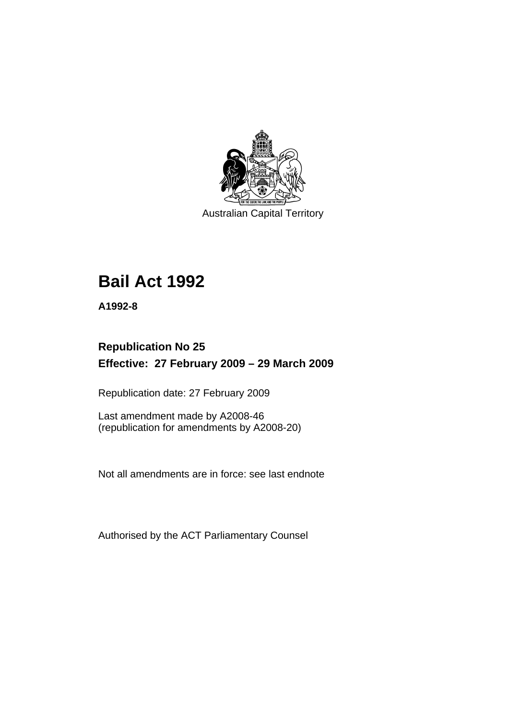

Australian Capital Territory

# **[Bail Act 1992](#page-6-0)**

**A1992-8** 

# **Republication No 25 Effective: 27 February 2009 – 29 March 2009**

Republication date: 27 February 2009

Last amendment made by A2008-46 (republication for amendments by A2008-20)

Not all amendments are in force: see last endnote

Authorised by the ACT Parliamentary Counsel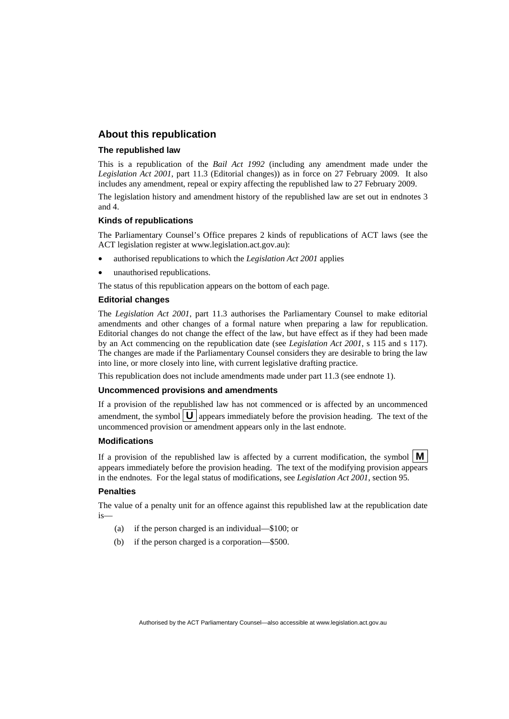#### **About this republication**

#### **The republished law**

This is a republication of the *Bail Act 1992* (including any amendment made under the *Legislation Act 2001*, part 11.3 (Editorial changes)) as in force on 27 February 2009*.* It also includes any amendment, repeal or expiry affecting the republished law to 27 February 2009.

The legislation history and amendment history of the republished law are set out in endnotes 3 and 4.

#### **Kinds of republications**

The Parliamentary Counsel's Office prepares 2 kinds of republications of ACT laws (see the ACT legislation register at www.legislation.act.gov.au):

- authorised republications to which the *Legislation Act 2001* applies
- unauthorised republications.

The status of this republication appears on the bottom of each page.

#### **Editorial changes**

The *Legislation Act 2001*, part 11.3 authorises the Parliamentary Counsel to make editorial amendments and other changes of a formal nature when preparing a law for republication. Editorial changes do not change the effect of the law, but have effect as if they had been made by an Act commencing on the republication date (see *Legislation Act 2001*, s 115 and s 117). The changes are made if the Parliamentary Counsel considers they are desirable to bring the law into line, or more closely into line, with current legislative drafting practice.

This republication does not include amendments made under part 11.3 (see endnote 1).

#### **Uncommenced provisions and amendments**

If a provision of the republished law has not commenced or is affected by an uncommenced amendment, the symbol  $\mathbf{U}$  appears immediately before the provision heading. The text of the uncommenced provision or amendment appears only in the last endnote.

#### **Modifications**

If a provision of the republished law is affected by a current modification, the symbol  $\mathbf{M}$ appears immediately before the provision heading. The text of the modifying provision appears in the endnotes. For the legal status of modifications, see *Legislation Act 2001*, section 95.

#### **Penalties**

The value of a penalty unit for an offence against this republished law at the republication date is—

- (a) if the person charged is an individual—\$100; or
- (b) if the person charged is a corporation—\$500.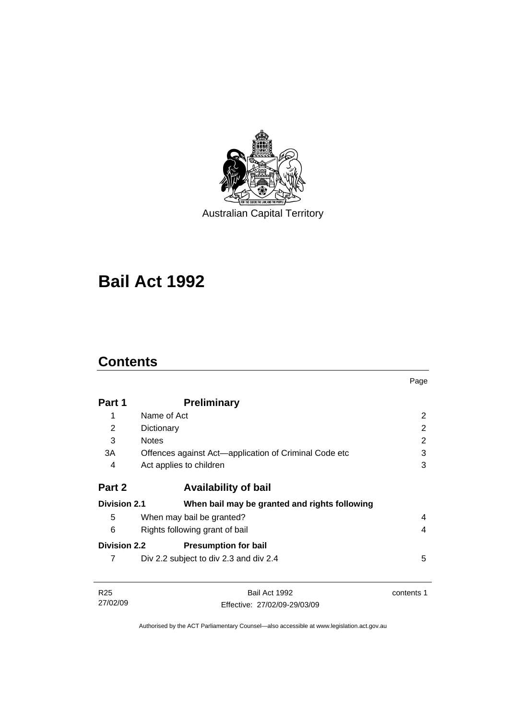

Australian Capital Territory

# **[Bail Act 1992](#page-6-0)**

# **Contents**

27/02/09

|                     |                                                       | Page           |
|---------------------|-------------------------------------------------------|----------------|
| Part 1              | <b>Preliminary</b>                                    |                |
| 1                   | Name of Act                                           | 2              |
| 2                   | Dictionary                                            | $\overline{2}$ |
| 3                   | <b>Notes</b>                                          | 2              |
| 3A                  | Offences against Act-application of Criminal Code etc | 3              |
| 4                   | Act applies to children                               | 3              |
| Part 2              | <b>Availability of bail</b>                           |                |
| <b>Division 2.1</b> | When bail may be granted and rights following         |                |
| 5                   | When may bail be granted?                             | 4              |
| 6                   | Rights following grant of bail                        | 4              |
| <b>Division 2.2</b> | <b>Presumption for bail</b>                           |                |
| 7                   | Div 2.2 subject to div 2.3 and div 2.4                | 5              |
| R <sub>25</sub>     | Bail Act 1992                                         | contents 1     |

Authorised by the ACT Parliamentary Counsel—also accessible at www.legislation.act.gov.au

Effective: 27/02/09-29/03/09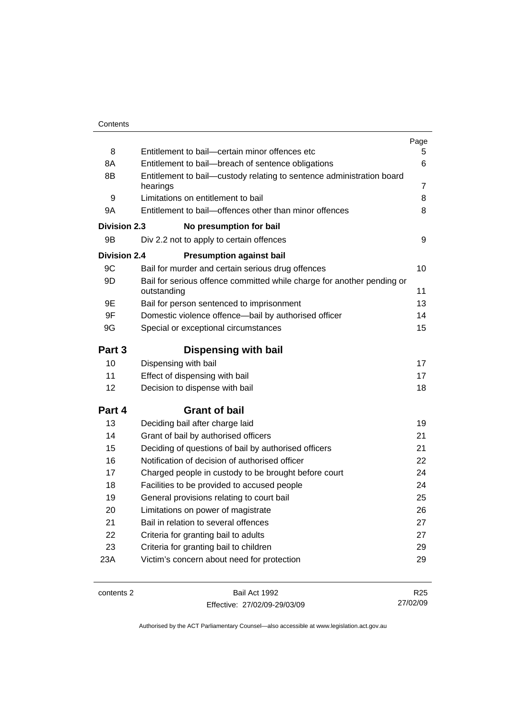|                     |                                                                                       | Page            |
|---------------------|---------------------------------------------------------------------------------------|-----------------|
| 8                   | Entitlement to bail-certain minor offences etc                                        | 5.              |
| 8A                  | Entitlement to bail-breach of sentence obligations                                    | 6               |
| 8B                  | Entitlement to bail-custody relating to sentence administration board                 |                 |
|                     | hearings                                                                              | 7               |
| 9                   | Limitations on entitlement to bail                                                    | 8               |
| 9A                  | Entitlement to bail-offences other than minor offences                                | 8               |
| <b>Division 2.3</b> | No presumption for bail                                                               |                 |
| 9B                  | Div 2.2 not to apply to certain offences                                              | 9               |
| Division 2.4        | <b>Presumption against bail</b>                                                       |                 |
| 9C                  | Bail for murder and certain serious drug offences                                     | 10              |
| 9D                  | Bail for serious offence committed while charge for another pending or<br>outstanding | 11              |
| 9E                  | Bail for person sentenced to imprisonment                                             | 13              |
| 9F                  | Domestic violence offence-bail by authorised officer                                  | 14              |
| 9G                  | Special or exceptional circumstances                                                  | 15              |
| Part 3              | <b>Dispensing with bail</b>                                                           |                 |
| 10                  | Dispensing with bail                                                                  | 17              |
| 11                  | Effect of dispensing with bail                                                        | 17              |
| 12                  | Decision to dispense with bail                                                        | 18              |
| Part 4              | <b>Grant of bail</b>                                                                  |                 |
| 13                  | Deciding bail after charge laid                                                       | 19              |
| 14                  | Grant of bail by authorised officers                                                  | 21              |
| 15                  | Deciding of questions of bail by authorised officers                                  | 21              |
| 16                  | Notification of decision of authorised officer                                        | 22              |
| 17                  | Charged people in custody to be brought before court                                  | 24              |
| 18                  | Facilities to be provided to accused people                                           | 24              |
| 19                  | General provisions relating to court bail                                             | 25              |
| 20                  | Limitations on power of magistrate                                                    | 26              |
| 21                  | Bail in relation to several offences                                                  | 27              |
| 22                  | Criteria for granting bail to adults                                                  | 27              |
| 23                  | Criteria for granting bail to children                                                | 29              |
| 23A                 | Victim's concern about need for protection                                            | 29              |
|                     |                                                                                       |                 |
| contents 2          | Bail Act 1992                                                                         | R <sub>25</sub> |

Effective: 27/02/09-29/03/09

R25 27/02/09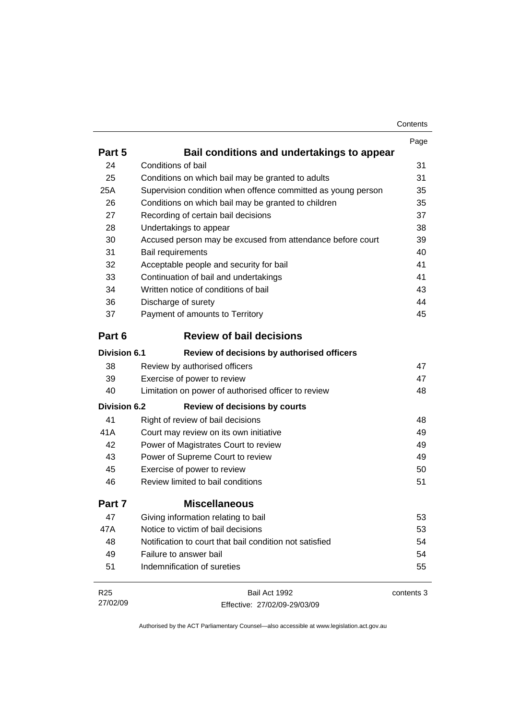| Contents |
|----------|
|----------|

|                     |                                                              | Page       |
|---------------------|--------------------------------------------------------------|------------|
| Part 5              | Bail conditions and undertakings to appear                   |            |
| 24                  | Conditions of bail                                           | 31         |
| 25                  | Conditions on which bail may be granted to adults            | 31         |
| 25A                 | Supervision condition when offence committed as young person | 35         |
| 26                  | Conditions on which bail may be granted to children          | 35         |
| 27                  | Recording of certain bail decisions                          | 37         |
| 28                  | Undertakings to appear                                       | 38         |
| 30                  | Accused person may be excused from attendance before court   | 39         |
| 31                  | Bail requirements                                            | 40         |
| 32                  | Acceptable people and security for bail                      | 41         |
| 33                  | Continuation of bail and undertakings                        | 41         |
| 34                  | Written notice of conditions of bail                         | 43         |
| 36                  | Discharge of surety                                          | 44         |
| 37                  | Payment of amounts to Territory                              | 45         |
| Part 6              | <b>Review of bail decisions</b>                              |            |
| <b>Division 6.1</b> | Review of decisions by authorised officers                   |            |
| 38                  | Review by authorised officers                                | 47         |
| 39                  | Exercise of power to review                                  | 47         |
| 40                  | Limitation on power of authorised officer to review          | 48         |
| <b>Division 6.2</b> | <b>Review of decisions by courts</b>                         |            |
| 41                  | Right of review of bail decisions                            | 48         |
| 41A                 | Court may review on its own initiative                       | 49         |
| 42                  | Power of Magistrates Court to review                         | 49         |
| 43                  | Power of Supreme Court to review                             | 49         |
| 45                  | Exercise of power to review                                  | 50         |
| 46                  | Review limited to bail conditions                            | 51         |
| Part 7              | <b>Miscellaneous</b>                                         |            |
| 47                  | Giving information relating to bail                          | 53         |
| 47A                 | Notice to victim of bail decisions                           | 53         |
| 48                  | Notification to court that bail condition not satisfied      | 54         |
| 49                  | Failure to answer bail                                       | 54         |
| 51                  | Indemnification of sureties                                  | 55         |
| R <sub>25</sub>     | Bail Act 1992                                                | contents 3 |
| 27/02/09            | Effective: 27/02/09-29/03/09                                 |            |

Effective: 27/02/09-29/03/09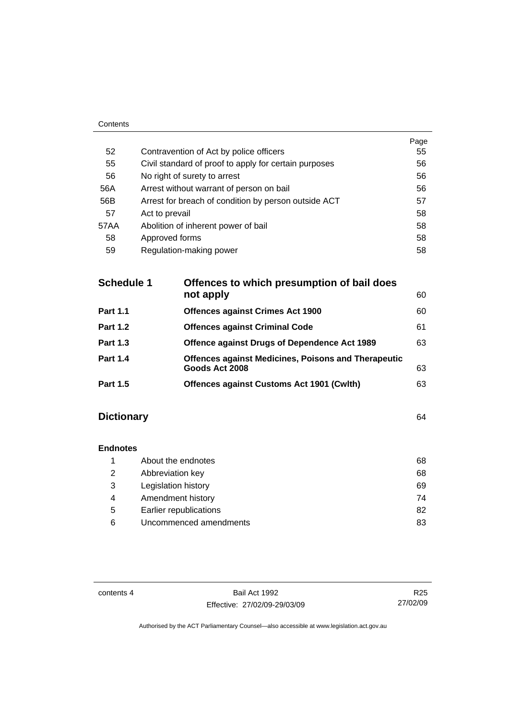| ------ |                                                       |      |
|--------|-------------------------------------------------------|------|
|        |                                                       | Page |
| 52     | Contravention of Act by police officers               | 55   |
| 55     | Civil standard of proof to apply for certain purposes | 56   |
| 56     | No right of surety to arrest                          | 56   |
| 56A    | Arrest without warrant of person on bail              | 56   |
| 56B    | Arrest for breach of condition by person outside ACT  | 57   |
| 57     | Act to prevail                                        | 58   |
| 57AA   | Abolition of inherent power of bail                   | 58   |
| 58     | Approved forms                                        | 58   |
| 59     | Regulation-making power                               | 58   |

| <b>Schedule 1</b> | Offences to which presumption of bail does<br>not apply                      | 60 |
|-------------------|------------------------------------------------------------------------------|----|
| <b>Part 1.1</b>   | <b>Offences against Crimes Act 1900</b>                                      | 60 |
| <b>Part 1.2</b>   | <b>Offences against Criminal Code</b>                                        | 61 |
| <b>Part 1.3</b>   | Offence against Drugs of Dependence Act 1989                                 | 63 |
| <b>Part 1.4</b>   | <b>Offences against Medicines, Poisons and Therapeutic</b><br>Goods Act 2008 | 63 |
| <b>Part 1.5</b>   | <b>Offences against Customs Act 1901 (Cwith)</b>                             | 63 |
|                   |                                                                              |    |

# **Dictionary** [64](#page-69-0)

Contents

# **Endnotes**

|   | About the endnotes     | 68 |
|---|------------------------|----|
| 2 | Abbreviation key       | 68 |
| 3 | Legislation history    | 69 |
| 4 | Amendment history      | 74 |
| 5 | Earlier republications | 82 |
| 6 | Uncommenced amendments | 83 |

contents 4 Bail Act 1992 Effective: 27/02/09-29/03/09

R25 27/02/09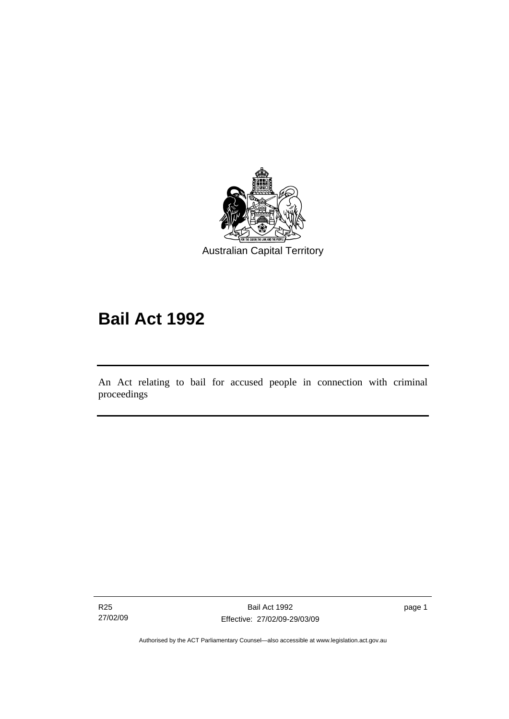<span id="page-6-0"></span>

# **Bail Act 1992**

An Act relating to bail for accused people in connection with criminal proceedings

R25 27/02/09

l

page 1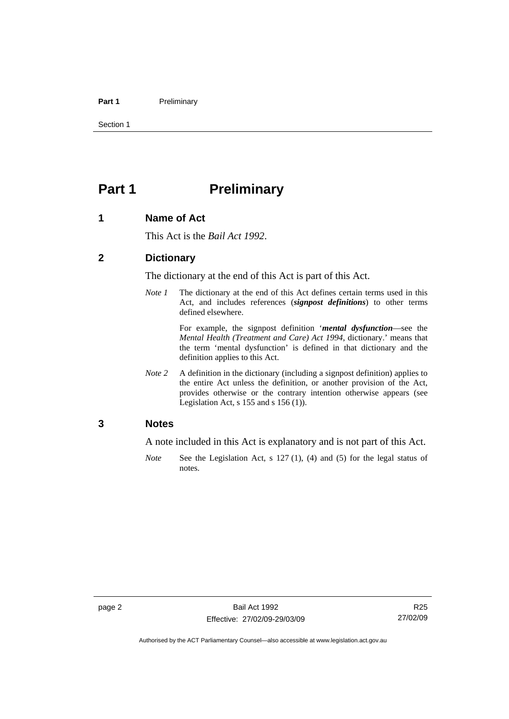#### <span id="page-7-0"></span>Part 1 **Preliminary**

Section 1

# **Part 1** Preliminary

#### **1 Name of Act**

This Act is the *Bail Act 1992*.

#### **2 Dictionary**

The dictionary at the end of this Act is part of this Act.

*Note 1* The dictionary at the end of this Act defines certain terms used in this Act, and includes references (*signpost definitions*) to other terms defined elsewhere.

> For example, the signpost definition '*mental dysfunction*—see the *Mental Health (Treatment and Care) Act 1994*, dictionary.' means that the term 'mental dysfunction' is defined in that dictionary and the definition applies to this Act.

*Note* 2 A definition in the dictionary (including a signpost definition) applies to the entire Act unless the definition, or another provision of the Act, provides otherwise or the contrary intention otherwise appears (see Legislation Act, s  $155$  and s  $156$  (1)).

#### **3 Notes**

A note included in this Act is explanatory and is not part of this Act.

*Note* See the Legislation Act, s 127 (1), (4) and (5) for the legal status of notes.

R25 27/02/09

Authorised by the ACT Parliamentary Counsel—also accessible at www.legislation.act.gov.au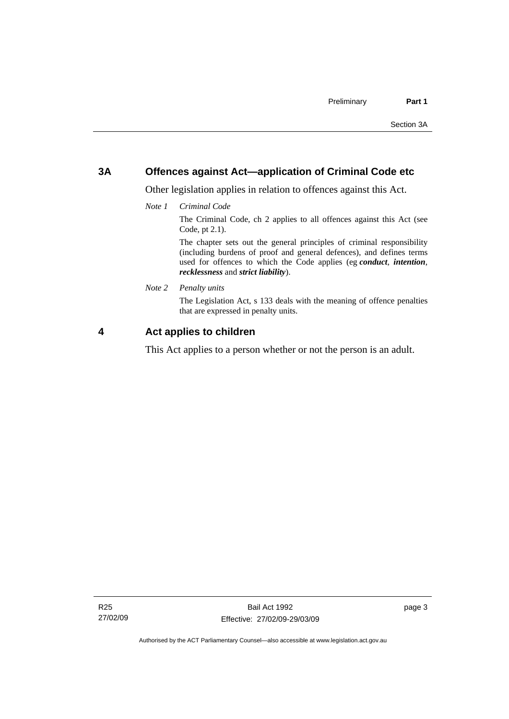### <span id="page-8-0"></span>**3A Offences against Act—application of Criminal Code etc**

Other legislation applies in relation to offences against this Act.

*Note 1 Criminal Code*

The Criminal Code, ch 2 applies to all offences against this Act (see Code, pt 2.1).

The chapter sets out the general principles of criminal responsibility (including burdens of proof and general defences), and defines terms used for offences to which the Code applies (eg *conduct*, *intention*, *recklessness* and *strict liability*).

*Note 2 Penalty units* 

The Legislation Act, s 133 deals with the meaning of offence penalties that are expressed in penalty units.

### **4 Act applies to children**

This Act applies to a person whether or not the person is an adult.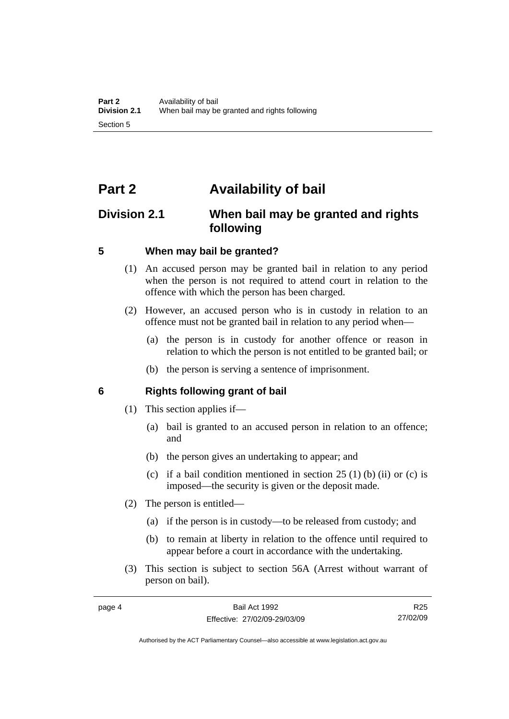# <span id="page-9-0"></span>**Part 2 Availability of bail**

# **Division 2.1 When bail may be granted and rights following**

#### **5 When may bail be granted?**

- (1) An accused person may be granted bail in relation to any period when the person is not required to attend court in relation to the offence with which the person has been charged.
- (2) However, an accused person who is in custody in relation to an offence must not be granted bail in relation to any period when—
	- (a) the person is in custody for another offence or reason in relation to which the person is not entitled to be granted bail; or
	- (b) the person is serving a sentence of imprisonment.

#### **6 Rights following grant of bail**

- (1) This section applies if—
	- (a) bail is granted to an accused person in relation to an offence; and
	- (b) the person gives an undertaking to appear; and
	- (c) if a bail condition mentioned in section  $25(1)$  (b) (ii) or (c) is imposed—the security is given or the deposit made.
- (2) The person is entitled—
	- (a) if the person is in custody—to be released from custody; and
	- (b) to remain at liberty in relation to the offence until required to appear before a court in accordance with the undertaking.
- (3) This section is subject to section 56A (Arrest without warrant of person on bail).

R25 27/02/09

Authorised by the ACT Parliamentary Counsel—also accessible at www.legislation.act.gov.au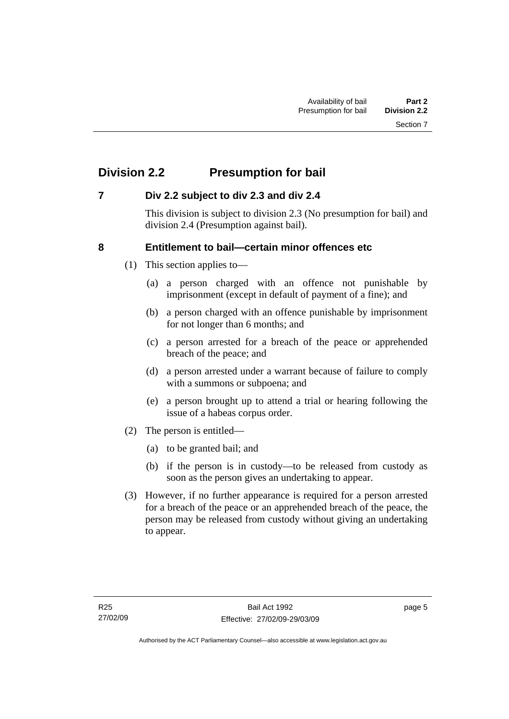# <span id="page-10-0"></span>**Division 2.2 Presumption for bail**

### **7 Div 2.2 subject to div 2.3 and div 2.4**

This division is subject to division 2.3 (No presumption for bail) and division 2.4 (Presumption against bail).

### **8 Entitlement to bail—certain minor offences etc**

- (1) This section applies to—
	- (a) a person charged with an offence not punishable by imprisonment (except in default of payment of a fine); and
	- (b) a person charged with an offence punishable by imprisonment for not longer than 6 months; and
	- (c) a person arrested for a breach of the peace or apprehended breach of the peace; and
	- (d) a person arrested under a warrant because of failure to comply with a summons or subpoena; and
	- (e) a person brought up to attend a trial or hearing following the issue of a habeas corpus order.
- (2) The person is entitled—
	- (a) to be granted bail; and
	- (b) if the person is in custody—to be released from custody as soon as the person gives an undertaking to appear.
- (3) However, if no further appearance is required for a person arrested for a breach of the peace or an apprehended breach of the peace, the person may be released from custody without giving an undertaking to appear.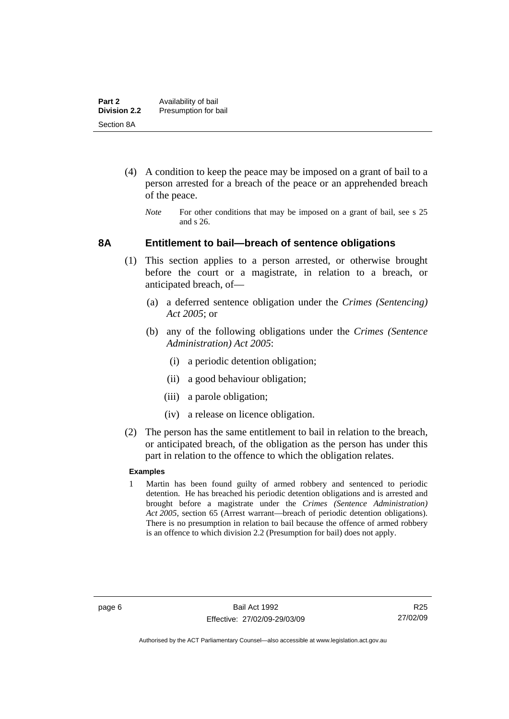- <span id="page-11-0"></span> (4) A condition to keep the peace may be imposed on a grant of bail to a person arrested for a breach of the peace or an apprehended breach of the peace.
	- *Note* For other conditions that may be imposed on a grant of bail, see s 25 and s 26.

#### **8A Entitlement to bail—breach of sentence obligations**

- (1) This section applies to a person arrested, or otherwise brought before the court or a magistrate, in relation to a breach, or anticipated breach, of—
	- (a) a deferred sentence obligation under the *Crimes (Sentencing) Act 2005*; or
	- (b) any of the following obligations under the *Crimes (Sentence Administration) Act 2005*:
		- (i) a periodic detention obligation;
		- (ii) a good behaviour obligation;
		- (iii) a parole obligation;
		- (iv) a release on licence obligation.
- (2) The person has the same entitlement to bail in relation to the breach, or anticipated breach, of the obligation as the person has under this part in relation to the offence to which the obligation relates.

#### **Examples**

1 Martin has been found guilty of armed robbery and sentenced to periodic detention. He has breached his periodic detention obligations and is arrested and brought before a magistrate under the *Crimes (Sentence Administration) Act 2005*, section 65 (Arrest warrant—breach of periodic detention obligations). There is no presumption in relation to bail because the offence of armed robbery is an offence to which division 2.2 (Presumption for bail) does not apply.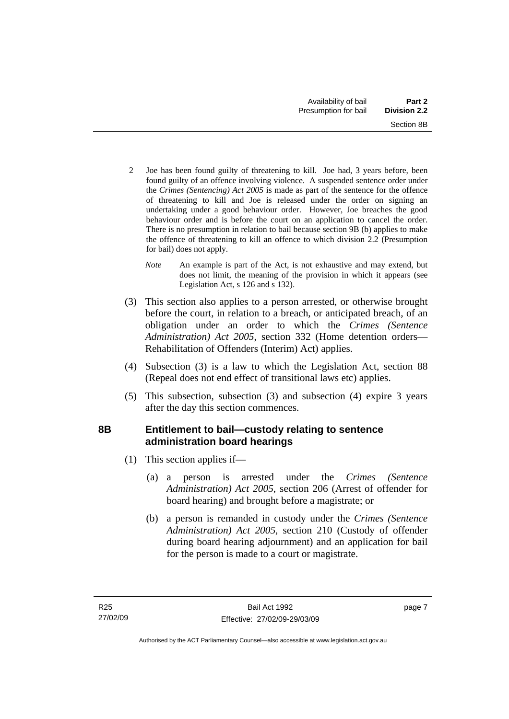- <span id="page-12-0"></span>2 Joe has been found guilty of threatening to kill. Joe had, 3 years before, been found guilty of an offence involving violence. A suspended sentence order under the *Crimes (Sentencing) Act 2005* is made as part of the sentence for the offence of threatening to kill and Joe is released under the order on signing an undertaking under a good behaviour order. However, Joe breaches the good behaviour order and is before the court on an application to cancel the order. There is no presumption in relation to bail because section 9B (b) applies to make the offence of threatening to kill an offence to which division 2.2 (Presumption for bail) does not apply.
	- *Note* An example is part of the Act, is not exhaustive and may extend, but does not limit, the meaning of the provision in which it appears (see Legislation Act, s 126 and s 132).
- (3) This section also applies to a person arrested, or otherwise brought before the court, in relation to a breach, or anticipated breach, of an obligation under an order to which the *Crimes (Sentence Administration) Act 2005*, section 332 (Home detention orders— Rehabilitation of Offenders (Interim) Act) applies.
- (4) Subsection (3) is a law to which the Legislation Act, section 88 (Repeal does not end effect of transitional laws etc) applies.
- (5) This subsection, subsection (3) and subsection (4) expire 3 years after the day this section commences.

# **8B Entitlement to bail—custody relating to sentence administration board hearings**

- (1) This section applies if—
	- (a) a person is arrested under the *Crimes (Sentence Administration) Act 2005*, section 206 (Arrest of offender for board hearing) and brought before a magistrate; or
	- (b) a person is remanded in custody under the *Crimes (Sentence Administration) Act 2005*, section 210 (Custody of offender during board hearing adjournment) and an application for bail for the person is made to a court or magistrate.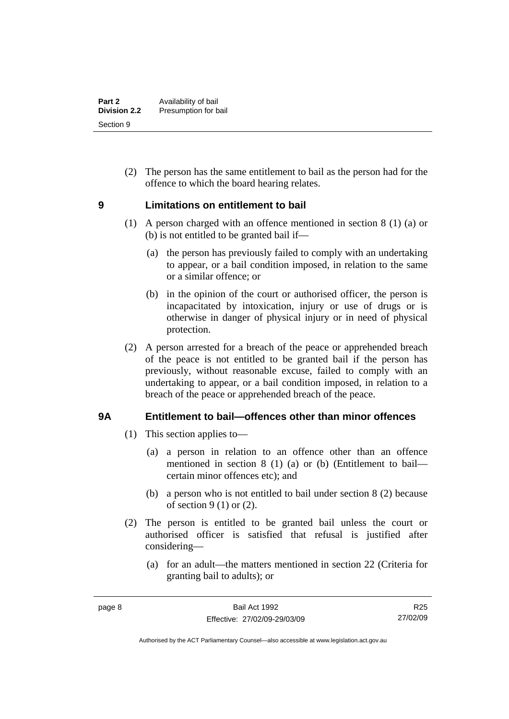<span id="page-13-0"></span> (2) The person has the same entitlement to bail as the person had for the offence to which the board hearing relates.

### **9 Limitations on entitlement to bail**

- (1) A person charged with an offence mentioned in section 8 (1) (a) or (b) is not entitled to be granted bail if—
	- (a) the person has previously failed to comply with an undertaking to appear, or a bail condition imposed, in relation to the same or a similar offence; or
	- (b) in the opinion of the court or authorised officer, the person is incapacitated by intoxication, injury or use of drugs or is otherwise in danger of physical injury or in need of physical protection.
- (2) A person arrested for a breach of the peace or apprehended breach of the peace is not entitled to be granted bail if the person has previously, without reasonable excuse, failed to comply with an undertaking to appear, or a bail condition imposed, in relation to a breach of the peace or apprehended breach of the peace.

## **9A Entitlement to bail—offences other than minor offences**

- (1) This section applies to—
	- (a) a person in relation to an offence other than an offence mentioned in section 8 (1) (a) or (b) (Entitlement to bail certain minor offences etc); and
	- (b) a person who is not entitled to bail under section 8 (2) because of section  $9(1)$  or  $(2)$ .
- (2) The person is entitled to be granted bail unless the court or authorised officer is satisfied that refusal is justified after considering—
	- (a) for an adult—the matters mentioned in section 22 (Criteria for granting bail to adults); or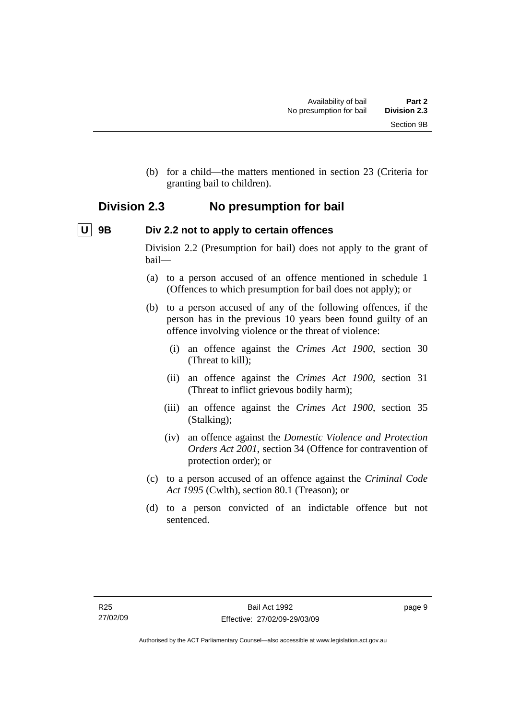<span id="page-14-0"></span> (b) for a child—the matters mentioned in section 23 (Criteria for granting bail to children).

# **Division 2.3 No presumption for bail**

# **U** 9B Div 2.2 not to apply to certain offences

Division 2.2 (Presumption for bail) does not apply to the grant of bail—

- (a) to a person accused of an offence mentioned in schedule 1 (Offences to which presumption for bail does not apply); or
- (b) to a person accused of any of the following offences, if the person has in the previous 10 years been found guilty of an offence involving violence or the threat of violence:
	- (i) an offence against the *Crimes Act 1900*, section 30 (Threat to kill);
	- (ii) an offence against the *Crimes Act 1900*, section 31 (Threat to inflict grievous bodily harm);
	- (iii) an offence against the *Crimes Act 1900*, section 35 (Stalking);
	- (iv) an offence against the *Domestic Violence and Protection Orders Act 2001*, section 34 (Offence for contravention of protection order); or
- (c) to a person accused of an offence against the *Criminal Code Act 1995* (Cwlth), section 80.1 (Treason); or
- (d) to a person convicted of an indictable offence but not sentenced.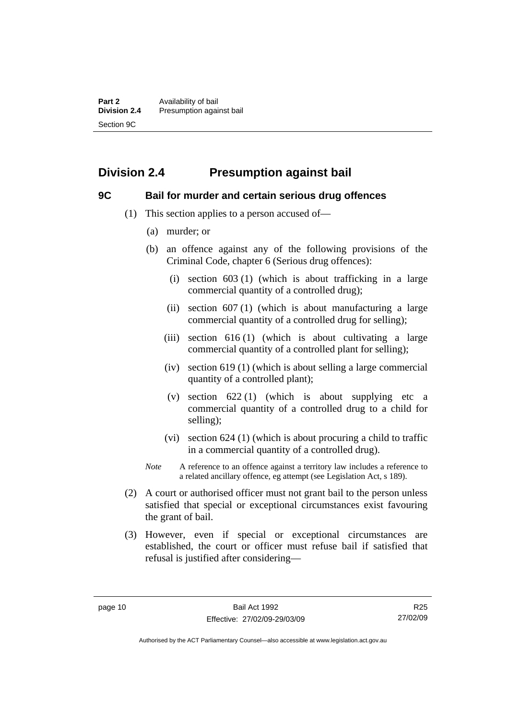# <span id="page-15-0"></span>**Division 2.4 Presumption against bail**

#### **9C Bail for murder and certain serious drug offences**

- (1) This section applies to a person accused of—
	- (a) murder; or
	- (b) an offence against any of the following provisions of the Criminal Code, chapter 6 (Serious drug offences):
		- (i) section 603 (1) (which is about trafficking in a large commercial quantity of a controlled drug);
		- (ii) section  $607(1)$  (which is about manufacturing a large commercial quantity of a controlled drug for selling);
		- (iii) section  $616(1)$  (which is about cultivating a large commercial quantity of a controlled plant for selling);
		- (iv) section 619 (1) (which is about selling a large commercial quantity of a controlled plant);
		- (v) section  $622(1)$  (which is about supplying etc a commercial quantity of a controlled drug to a child for selling);
		- (vi) section 624 (1) (which is about procuring a child to traffic in a commercial quantity of a controlled drug).
	- *Note* A reference to an offence against a territory law includes a reference to a related ancillary offence, eg attempt (see Legislation Act, s 189).
- (2) A court or authorised officer must not grant bail to the person unless satisfied that special or exceptional circumstances exist favouring the grant of bail.
- (3) However, even if special or exceptional circumstances are established, the court or officer must refuse bail if satisfied that refusal is justified after considering—

Authorised by the ACT Parliamentary Counsel—also accessible at www.legislation.act.gov.au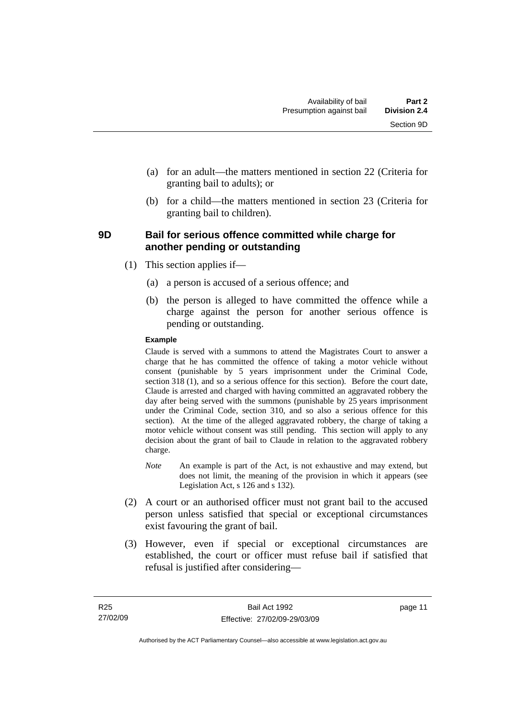- <span id="page-16-0"></span> (a) for an adult—the matters mentioned in section 22 (Criteria for granting bail to adults); or
- (b) for a child—the matters mentioned in section 23 (Criteria for granting bail to children).

#### **9D Bail for serious offence committed while charge for another pending or outstanding**

- (1) This section applies if—
	- (a) a person is accused of a serious offence; and
	- (b) the person is alleged to have committed the offence while a charge against the person for another serious offence is pending or outstanding.

#### **Example**

Claude is served with a summons to attend the Magistrates Court to answer a charge that he has committed the offence of taking a motor vehicle without consent (punishable by 5 years imprisonment under the Criminal Code, section 318 (1), and so a serious offence for this section). Before the court date, Claude is arrested and charged with having committed an aggravated robbery the day after being served with the summons (punishable by 25 years imprisonment under the Criminal Code, section 310, and so also a serious offence for this section). At the time of the alleged aggravated robbery, the charge of taking a motor vehicle without consent was still pending. This section will apply to any decision about the grant of bail to Claude in relation to the aggravated robbery charge.

- *Note* An example is part of the Act, is not exhaustive and may extend, but does not limit, the meaning of the provision in which it appears (see Legislation Act, s 126 and s 132).
- (2) A court or an authorised officer must not grant bail to the accused person unless satisfied that special or exceptional circumstances exist favouring the grant of bail.
- (3) However, even if special or exceptional circumstances are established, the court or officer must refuse bail if satisfied that refusal is justified after considering—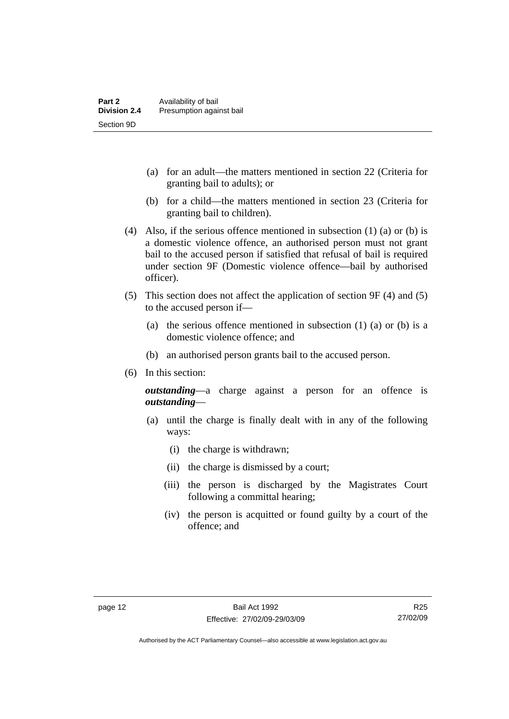- (a) for an adult—the matters mentioned in section 22 (Criteria for granting bail to adults); or
- (b) for a child—the matters mentioned in section 23 (Criteria for granting bail to children).
- (4) Also, if the serious offence mentioned in subsection (1) (a) or (b) is a domestic violence offence, an authorised person must not grant bail to the accused person if satisfied that refusal of bail is required under section 9F (Domestic violence offence—bail by authorised officer).
- (5) This section does not affect the application of section 9F (4) and (5) to the accused person if—
	- (a) the serious offence mentioned in subsection (1) (a) or (b) is a domestic violence offence; and
	- (b) an authorised person grants bail to the accused person.
- (6) In this section:

*outstanding*—a charge against a person for an offence is *outstanding*—

- (a) until the charge is finally dealt with in any of the following ways:
	- (i) the charge is withdrawn;
	- (ii) the charge is dismissed by a court;
	- (iii) the person is discharged by the Magistrates Court following a committal hearing;
	- (iv) the person is acquitted or found guilty by a court of the offence; and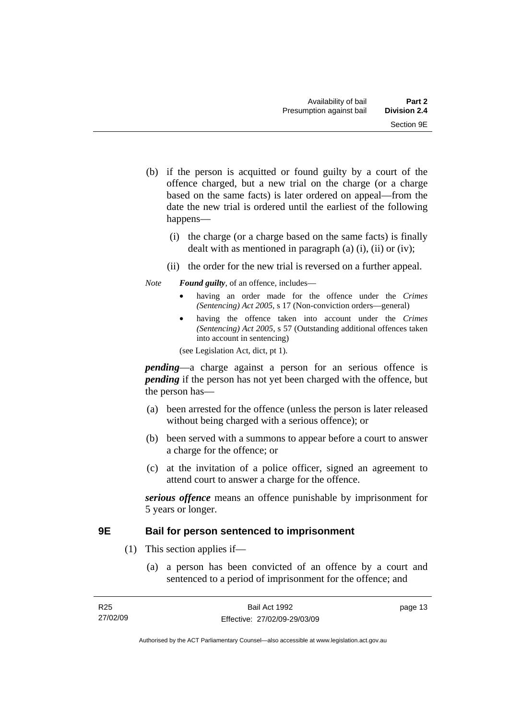- <span id="page-18-0"></span> (b) if the person is acquitted or found guilty by a court of the offence charged, but a new trial on the charge (or a charge based on the same facts) is later ordered on appeal—from the date the new trial is ordered until the earliest of the following happens—
	- (i) the charge (or a charge based on the same facts) is finally dealt with as mentioned in paragraph (a)  $(i)$ ,  $(ii)$  or  $(iv)$ ;
	- (ii) the order for the new trial is reversed on a further appeal.

#### *Note Found guilty*, of an offence, includes—

- having an order made for the offence under the *Crimes (Sentencing) Act 2005*, s 17 (Non-conviction orders—general)
- having the offence taken into account under the *Crimes (Sentencing) Act 2005*, s 57 (Outstanding additional offences taken into account in sentencing)

(see Legislation Act, dict, pt 1).

*pending*—a charge against a person for an serious offence is *pending* if the person has not yet been charged with the offence, but the person has—

- (a) been arrested for the offence (unless the person is later released without being charged with a serious offence); or
- (b) been served with a summons to appear before a court to answer a charge for the offence; or
- (c) at the invitation of a police officer, signed an agreement to attend court to answer a charge for the offence.

*serious offence* means an offence punishable by imprisonment for 5 years or longer.

### **9E Bail for person sentenced to imprisonment**

- (1) This section applies if—
	- (a) a person has been convicted of an offence by a court and sentenced to a period of imprisonment for the offence; and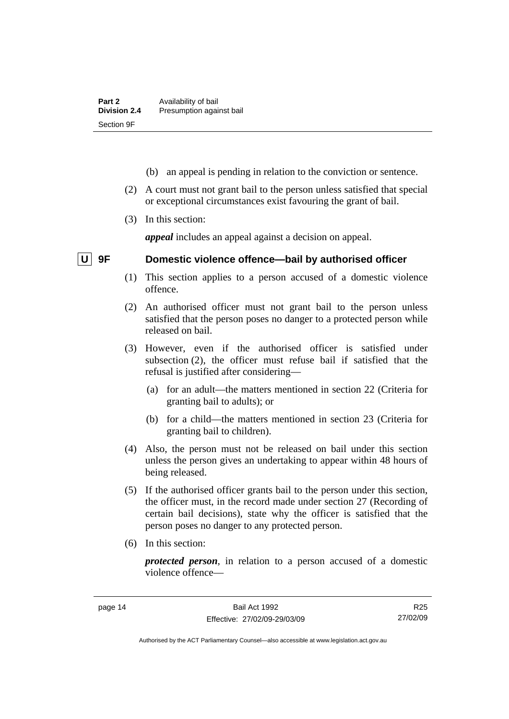- <span id="page-19-0"></span>(b) an appeal is pending in relation to the conviction or sentence.
- (2) A court must not grant bail to the person unless satisfied that special or exceptional circumstances exist favouring the grant of bail.
- (3) In this section:

*appeal* includes an appeal against a decision on appeal.

## **U 9F Domestic violence offence—bail by authorised officer**

- (1) This section applies to a person accused of a domestic violence offence.
- (2) An authorised officer must not grant bail to the person unless satisfied that the person poses no danger to a protected person while released on bail.
- (3) However, even if the authorised officer is satisfied under subsection (2), the officer must refuse bail if satisfied that the refusal is justified after considering—
	- (a) for an adult—the matters mentioned in section 22 (Criteria for granting bail to adults); or
	- (b) for a child—the matters mentioned in section 23 (Criteria for granting bail to children).
- (4) Also, the person must not be released on bail under this section unless the person gives an undertaking to appear within 48 hours of being released.
- (5) If the authorised officer grants bail to the person under this section, the officer must, in the record made under section 27 (Recording of certain bail decisions), state why the officer is satisfied that the person poses no danger to any protected person.
- (6) In this section:

*protected person*, in relation to a person accused of a domestic violence offence—

R25 27/02/09

Authorised by the ACT Parliamentary Counsel—also accessible at www.legislation.act.gov.au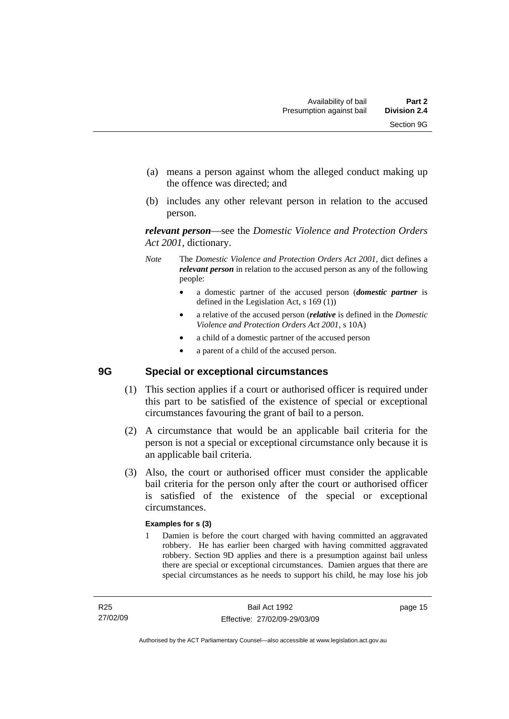- <span id="page-20-0"></span> (a) means a person against whom the alleged conduct making up the offence was directed; and
- (b) includes any other relevant person in relation to the accused person.

*relevant person*—see the *Domestic Violence and Protection Orders Act 2001*, dictionary.

- *Note* The *Domestic Violence and Protection Orders Act 2001*, dict defines a *relevant person* in relation to the accused person as any of the following people:
	- a domestic partner of the accused person (*domestic partner* is defined in the Legislation Act, s 169 (1))
	- a relative of the accused person (*relative* is defined in the *Domestic Violence and Protection Orders Act 2001*, s 10A)
	- a child of a domestic partner of the accused person
	- a parent of a child of the accused person.

## **9G Special or exceptional circumstances**

- (1) This section applies if a court or authorised officer is required under this part to be satisfied of the existence of special or exceptional circumstances favouring the grant of bail to a person.
- (2) A circumstance that would be an applicable bail criteria for the person is not a special or exceptional circumstance only because it is an applicable bail criteria.
- (3) Also, the court or authorised officer must consider the applicable bail criteria for the person only after the court or authorised officer is satisfied of the existence of the special or exceptional circumstances.

#### **Examples for s (3)**

1 Damien is before the court charged with having committed an aggravated robbery. He has earlier been charged with having committed aggravated robbery. Section 9D applies and there is a presumption against bail unless there are special or exceptional circumstances. Damien argues that there are special circumstances as he needs to support his child, he may lose his job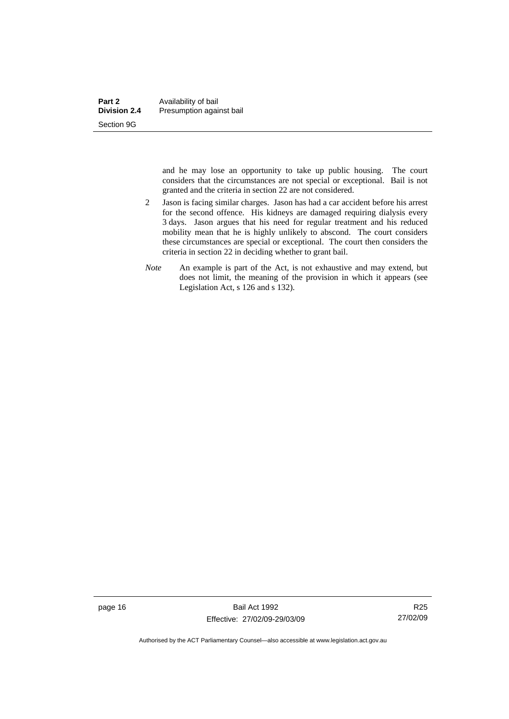and he may lose an opportunity to take up public housing. The court considers that the circumstances are not special or exceptional. Bail is not granted and the criteria in section 22 are not considered.

- 2 Jason is facing similar charges. Jason has had a car accident before his arrest for the second offence. His kidneys are damaged requiring dialysis every 3 days. Jason argues that his need for regular treatment and his reduced mobility mean that he is highly unlikely to abscond. The court considers these circumstances are special or exceptional. The court then considers the criteria in section 22 in deciding whether to grant bail.
- *Note* An example is part of the Act, is not exhaustive and may extend, but does not limit, the meaning of the provision in which it appears (see Legislation Act, s 126 and s 132).

page 16 Bail Act 1992 Effective: 27/02/09-29/03/09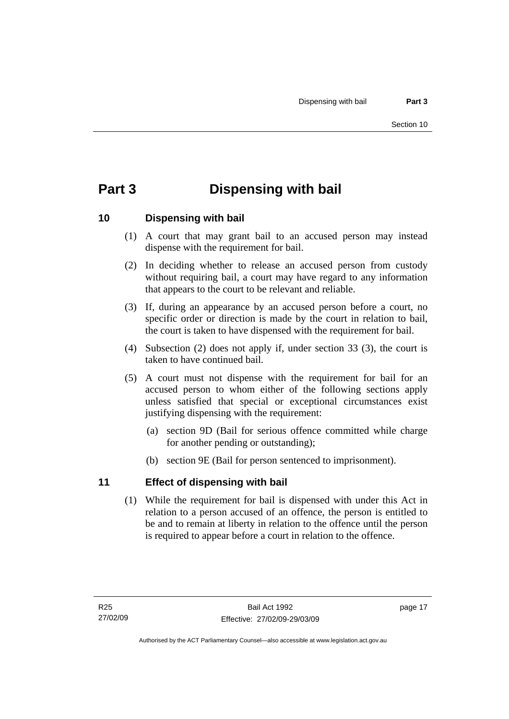# <span id="page-22-0"></span>**Part 3 Dispensing with bail**

## **10 Dispensing with bail**

- (1) A court that may grant bail to an accused person may instead dispense with the requirement for bail.
- (2) In deciding whether to release an accused person from custody without requiring bail, a court may have regard to any information that appears to the court to be relevant and reliable.
- (3) If, during an appearance by an accused person before a court, no specific order or direction is made by the court in relation to bail, the court is taken to have dispensed with the requirement for bail.
- (4) Subsection (2) does not apply if, under section 33 (3), the court is taken to have continued bail.
- (5) A court must not dispense with the requirement for bail for an accused person to whom either of the following sections apply unless satisfied that special or exceptional circumstances exist justifying dispensing with the requirement:
	- (a) section 9D (Bail for serious offence committed while charge for another pending or outstanding);
	- (b) section 9E (Bail for person sentenced to imprisonment).

## **11 Effect of dispensing with bail**

 (1) While the requirement for bail is dispensed with under this Act in relation to a person accused of an offence, the person is entitled to be and to remain at liberty in relation to the offence until the person is required to appear before a court in relation to the offence.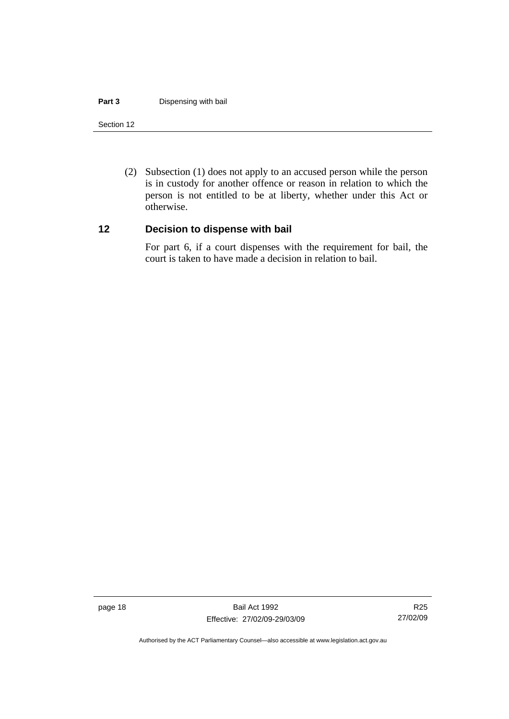#### <span id="page-23-0"></span>**Part 3 Dispensing with bail**

#### Section 12

 (2) Subsection (1) does not apply to an accused person while the person is in custody for another offence or reason in relation to which the person is not entitled to be at liberty, whether under this Act or otherwise.

#### **12 Decision to dispense with bail**

For part 6, if a court dispenses with the requirement for bail, the court is taken to have made a decision in relation to bail.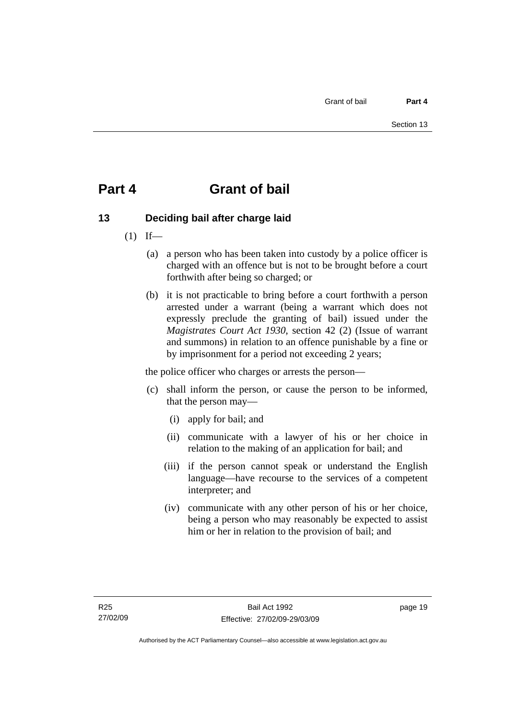# <span id="page-24-0"></span>**Part 4 Grant of bail**

# **13 Deciding bail after charge laid**

- $(1)$  If—
	- (a) a person who has been taken into custody by a police officer is charged with an offence but is not to be brought before a court forthwith after being so charged; or
	- (b) it is not practicable to bring before a court forthwith a person arrested under a warrant (being a warrant which does not expressly preclude the granting of bail) issued under the *Magistrates Court Act 1930*, section 42 (2) (Issue of warrant and summons) in relation to an offence punishable by a fine or by imprisonment for a period not exceeding 2 years;

the police officer who charges or arrests the person—

- (c) shall inform the person, or cause the person to be informed, that the person may—
	- (i) apply for bail; and
	- (ii) communicate with a lawyer of his or her choice in relation to the making of an application for bail; and
	- (iii) if the person cannot speak or understand the English language—have recourse to the services of a competent interpreter; and
	- (iv) communicate with any other person of his or her choice, being a person who may reasonably be expected to assist him or her in relation to the provision of bail; and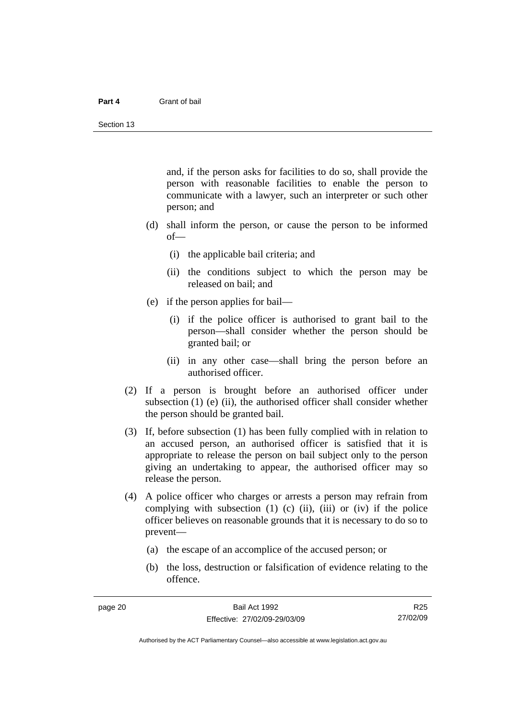#### **Part 4** Grant of bail

and, if the person asks for facilities to do so, shall provide the person with reasonable facilities to enable the person to communicate with a lawyer, such an interpreter or such other person; and

- (d) shall inform the person, or cause the person to be informed of—
	- (i) the applicable bail criteria; and
	- (ii) the conditions subject to which the person may be released on bail; and
- (e) if the person applies for bail—
	- (i) if the police officer is authorised to grant bail to the person—shall consider whether the person should be granted bail; or
	- (ii) in any other case—shall bring the person before an authorised officer.
- (2) If a person is brought before an authorised officer under subsection  $(1)$  (e)  $(ii)$ , the authorised officer shall consider whether the person should be granted bail.
- (3) If, before subsection (1) has been fully complied with in relation to an accused person, an authorised officer is satisfied that it is appropriate to release the person on bail subject only to the person giving an undertaking to appear, the authorised officer may so release the person.
- (4) A police officer who charges or arrests a person may refrain from complying with subsection  $(1)$   $(c)$   $(ii)$ ,  $(iii)$  or  $(iv)$  if the police officer believes on reasonable grounds that it is necessary to do so to prevent—
	- (a) the escape of an accomplice of the accused person; or
	- (b) the loss, destruction or falsification of evidence relating to the offence.

R25 27/02/09

Authorised by the ACT Parliamentary Counsel—also accessible at www.legislation.act.gov.au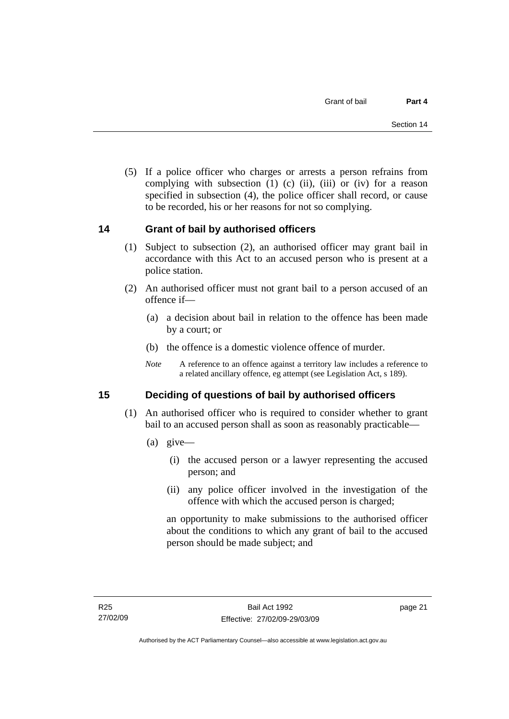<span id="page-26-0"></span> (5) If a police officer who charges or arrests a person refrains from complying with subsection  $(1)$   $(c)$   $(ii)$ ,  $(iii)$  or  $(iv)$  for a reason specified in subsection (4), the police officer shall record, or cause to be recorded, his or her reasons for not so complying.

## **14 Grant of bail by authorised officers**

- (1) Subject to subsection (2), an authorised officer may grant bail in accordance with this Act to an accused person who is present at a police station.
- (2) An authorised officer must not grant bail to a person accused of an offence if—
	- (a) a decision about bail in relation to the offence has been made by a court; or
	- (b) the offence is a domestic violence offence of murder.
	- *Note* A reference to an offence against a territory law includes a reference to a related ancillary offence, eg attempt (see Legislation Act, s 189).

## **15 Deciding of questions of bail by authorised officers**

- (1) An authorised officer who is required to consider whether to grant bail to an accused person shall as soon as reasonably practicable—
	- (a) give—
		- (i) the accused person or a lawyer representing the accused person; and
		- (ii) any police officer involved in the investigation of the offence with which the accused person is charged;

an opportunity to make submissions to the authorised officer about the conditions to which any grant of bail to the accused person should be made subject; and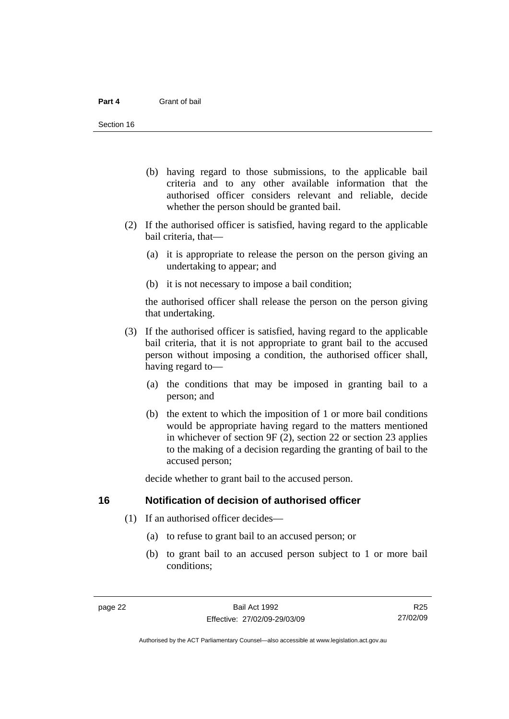- <span id="page-27-0"></span> (b) having regard to those submissions, to the applicable bail criteria and to any other available information that the authorised officer considers relevant and reliable, decide whether the person should be granted bail.
- (2) If the authorised officer is satisfied, having regard to the applicable bail criteria, that—
	- (a) it is appropriate to release the person on the person giving an undertaking to appear; and
	- (b) it is not necessary to impose a bail condition;

the authorised officer shall release the person on the person giving that undertaking.

- (3) If the authorised officer is satisfied, having regard to the applicable bail criteria, that it is not appropriate to grant bail to the accused person without imposing a condition, the authorised officer shall, having regard to—
	- (a) the conditions that may be imposed in granting bail to a person; and
	- (b) the extent to which the imposition of 1 or more bail conditions would be appropriate having regard to the matters mentioned in whichever of section 9F (2), section 22 or section 23 applies to the making of a decision regarding the granting of bail to the accused person;

decide whether to grant bail to the accused person.

#### **16 Notification of decision of authorised officer**

- (1) If an authorised officer decides—
	- (a) to refuse to grant bail to an accused person; or
	- (b) to grant bail to an accused person subject to 1 or more bail conditions;

R25 27/02/09

Authorised by the ACT Parliamentary Counsel—also accessible at www.legislation.act.gov.au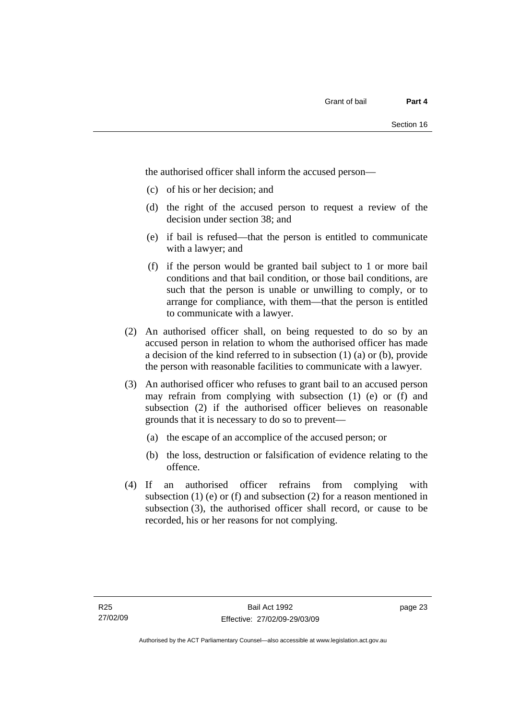the authorised officer shall inform the accused person—

- (c) of his or her decision; and
- (d) the right of the accused person to request a review of the decision under section 38; and
- (e) if bail is refused—that the person is entitled to communicate with a lawyer; and
- (f) if the person would be granted bail subject to 1 or more bail conditions and that bail condition, or those bail conditions, are such that the person is unable or unwilling to comply, or to arrange for compliance, with them—that the person is entitled to communicate with a lawyer.
- (2) An authorised officer shall, on being requested to do so by an accused person in relation to whom the authorised officer has made a decision of the kind referred to in subsection (1) (a) or (b), provide the person with reasonable facilities to communicate with a lawyer.
- (3) An authorised officer who refuses to grant bail to an accused person may refrain from complying with subsection (1) (e) or (f) and subsection (2) if the authorised officer believes on reasonable grounds that it is necessary to do so to prevent—
	- (a) the escape of an accomplice of the accused person; or
	- (b) the loss, destruction or falsification of evidence relating to the offence.
- (4) If an authorised officer refrains from complying with subsection  $(1)$  (e) or  $(f)$  and subsection  $(2)$  for a reason mentioned in subsection (3), the authorised officer shall record, or cause to be recorded, his or her reasons for not complying.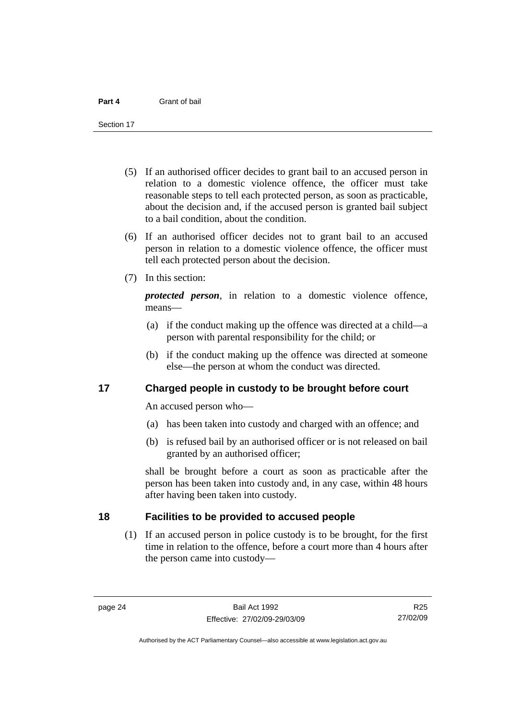<span id="page-29-0"></span>Section 17

- (5) If an authorised officer decides to grant bail to an accused person in relation to a domestic violence offence, the officer must take reasonable steps to tell each protected person, as soon as practicable, about the decision and, if the accused person is granted bail subject to a bail condition, about the condition.
- (6) If an authorised officer decides not to grant bail to an accused person in relation to a domestic violence offence, the officer must tell each protected person about the decision.
- (7) In this section:

*protected person*, in relation to a domestic violence offence, means—

- (a) if the conduct making up the offence was directed at a child—a person with parental responsibility for the child; or
- (b) if the conduct making up the offence was directed at someone else—the person at whom the conduct was directed.

#### **17 Charged people in custody to be brought before court**

An accused person who—

- (a) has been taken into custody and charged with an offence; and
- (b) is refused bail by an authorised officer or is not released on bail granted by an authorised officer;

shall be brought before a court as soon as practicable after the person has been taken into custody and, in any case, within 48 hours after having been taken into custody.

### **18 Facilities to be provided to accused people**

 (1) If an accused person in police custody is to be brought, for the first time in relation to the offence, before a court more than 4 hours after the person came into custody—

R25 27/02/09

Authorised by the ACT Parliamentary Counsel—also accessible at www.legislation.act.gov.au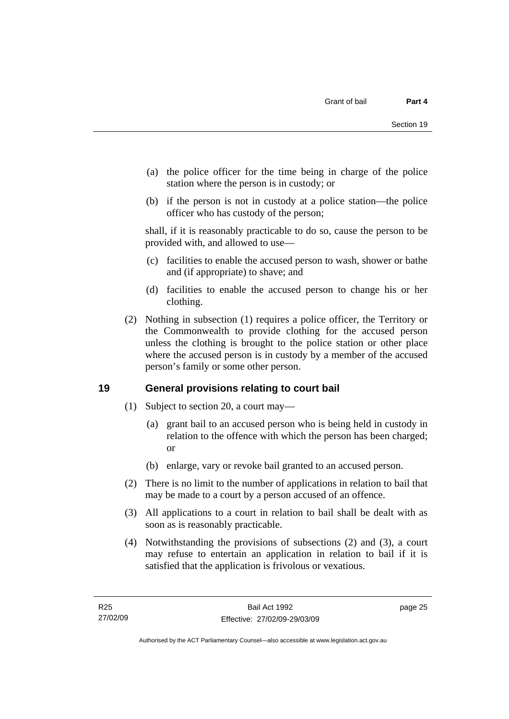- <span id="page-30-0"></span> (a) the police officer for the time being in charge of the police station where the person is in custody; or
- (b) if the person is not in custody at a police station—the police officer who has custody of the person;

shall, if it is reasonably practicable to do so, cause the person to be provided with, and allowed to use—

- (c) facilities to enable the accused person to wash, shower or bathe and (if appropriate) to shave; and
- (d) facilities to enable the accused person to change his or her clothing.
- (2) Nothing in subsection (1) requires a police officer, the Territory or the Commonwealth to provide clothing for the accused person unless the clothing is brought to the police station or other place where the accused person is in custody by a member of the accused person's family or some other person.

## **19 General provisions relating to court bail**

- (1) Subject to section 20, a court may—
	- (a) grant bail to an accused person who is being held in custody in relation to the offence with which the person has been charged; or
	- (b) enlarge, vary or revoke bail granted to an accused person.
- (2) There is no limit to the number of applications in relation to bail that may be made to a court by a person accused of an offence.
- (3) All applications to a court in relation to bail shall be dealt with as soon as is reasonably practicable.
- (4) Notwithstanding the provisions of subsections (2) and (3), a court may refuse to entertain an application in relation to bail if it is satisfied that the application is frivolous or vexatious.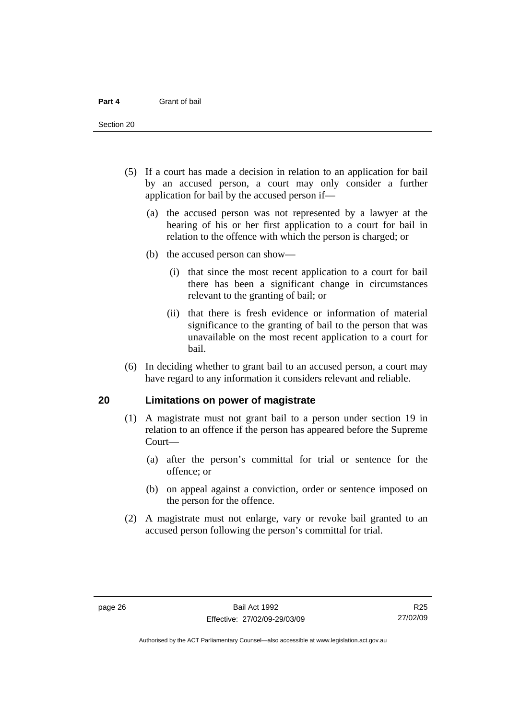<span id="page-31-0"></span>Section 20

- (5) If a court has made a decision in relation to an application for bail by an accused person, a court may only consider a further application for bail by the accused person if—
	- (a) the accused person was not represented by a lawyer at the hearing of his or her first application to a court for bail in relation to the offence with which the person is charged; or
	- (b) the accused person can show—
		- (i) that since the most recent application to a court for bail there has been a significant change in circumstances relevant to the granting of bail; or
		- (ii) that there is fresh evidence or information of material significance to the granting of bail to the person that was unavailable on the most recent application to a court for bail.
- (6) In deciding whether to grant bail to an accused person, a court may have regard to any information it considers relevant and reliable.

#### **20 Limitations on power of magistrate**

- (1) A magistrate must not grant bail to a person under section 19 in relation to an offence if the person has appeared before the Supreme Court—
	- (a) after the person's committal for trial or sentence for the offence; or
	- (b) on appeal against a conviction, order or sentence imposed on the person for the offence.
- (2) A magistrate must not enlarge, vary or revoke bail granted to an accused person following the person's committal for trial.

R25 27/02/09

Authorised by the ACT Parliamentary Counsel—also accessible at www.legislation.act.gov.au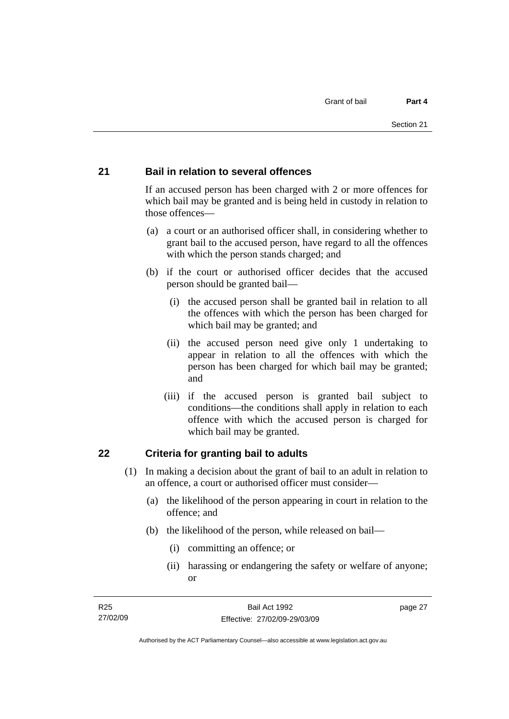#### <span id="page-32-0"></span>**21 Bail in relation to several offences**

If an accused person has been charged with 2 or more offences for which bail may be granted and is being held in custody in relation to those offences—

- (a) a court or an authorised officer shall, in considering whether to grant bail to the accused person, have regard to all the offences with which the person stands charged; and
- (b) if the court or authorised officer decides that the accused person should be granted bail—
	- (i) the accused person shall be granted bail in relation to all the offences with which the person has been charged for which bail may be granted; and
	- (ii) the accused person need give only 1 undertaking to appear in relation to all the offences with which the person has been charged for which bail may be granted; and
	- (iii) if the accused person is granted bail subject to conditions—the conditions shall apply in relation to each offence with which the accused person is charged for which bail may be granted.

#### **22 Criteria for granting bail to adults**

- (1) In making a decision about the grant of bail to an adult in relation to an offence, a court or authorised officer must consider—
	- (a) the likelihood of the person appearing in court in relation to the offence; and
	- (b) the likelihood of the person, while released on bail—
		- (i) committing an offence; or
		- (ii) harassing or endangering the safety or welfare of anyone; or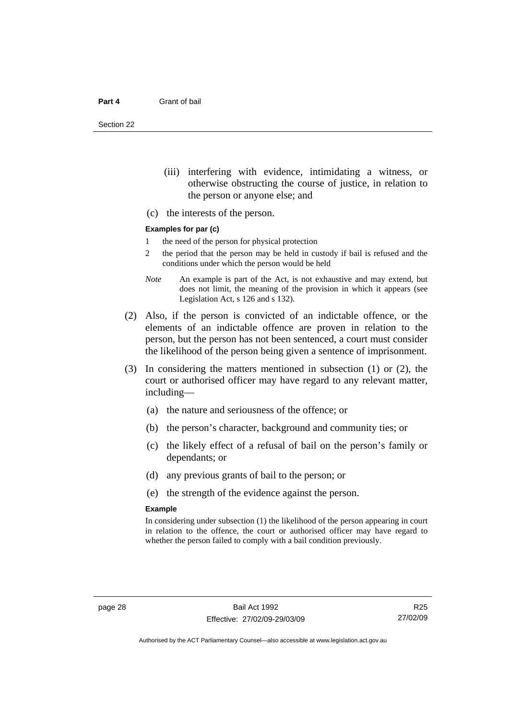Section 22

- (iii) interfering with evidence, intimidating a witness, or otherwise obstructing the course of justice, in relation to the person or anyone else; and
- (c) the interests of the person.

#### **Examples for par (c)**

- 1 the need of the person for physical protection
- 2 the period that the person may be held in custody if bail is refused and the conditions under which the person would be held
- *Note* An example is part of the Act, is not exhaustive and may extend, but does not limit, the meaning of the provision in which it appears (see Legislation Act, s 126 and s 132).
- (2) Also, if the person is convicted of an indictable offence, or the elements of an indictable offence are proven in relation to the person, but the person has not been sentenced, a court must consider the likelihood of the person being given a sentence of imprisonment.
- (3) In considering the matters mentioned in subsection (1) or (2), the court or authorised officer may have regard to any relevant matter, including—
	- (a) the nature and seriousness of the offence; or
	- (b) the person's character, background and community ties; or
	- (c) the likely effect of a refusal of bail on the person's family or dependants; or
	- (d) any previous grants of bail to the person; or
	- (e) the strength of the evidence against the person.

#### **Example**

In considering under subsection (1) the likelihood of the person appearing in court in relation to the offence, the court or authorised officer may have regard to whether the person failed to comply with a bail condition previously.

R25 27/02/09

Authorised by the ACT Parliamentary Counsel—also accessible at www.legislation.act.gov.au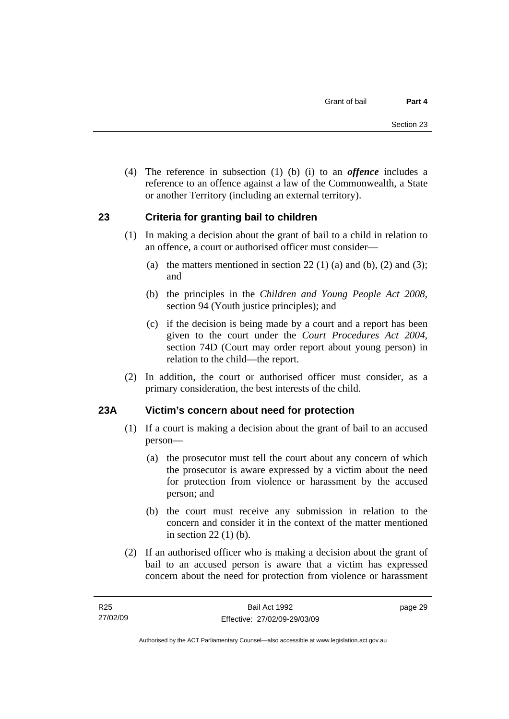<span id="page-34-0"></span> (4) The reference in subsection (1) (b) (i) to an *offence* includes a reference to an offence against a law of the Commonwealth, a State or another Territory (including an external territory).

## **23 Criteria for granting bail to children**

- (1) In making a decision about the grant of bail to a child in relation to an offence, a court or authorised officer must consider—
	- (a) the matters mentioned in section 22 (1) (a) and (b), (2) and (3); and
	- (b) the principles in the *Children and Young People Act 2008*, section 94 (Youth justice principles); and
	- (c) if the decision is being made by a court and a report has been given to the court under the *Court Procedures Act 2004*, section 74D (Court may order report about young person) in relation to the child—the report.
- (2) In addition, the court or authorised officer must consider, as a primary consideration, the best interests of the child.

## **23A Victim's concern about need for protection**

- (1) If a court is making a decision about the grant of bail to an accused person—
	- (a) the prosecutor must tell the court about any concern of which the prosecutor is aware expressed by a victim about the need for protection from violence or harassment by the accused person; and
	- (b) the court must receive any submission in relation to the concern and consider it in the context of the matter mentioned in section 22 (1) (b).
- (2) If an authorised officer who is making a decision about the grant of bail to an accused person is aware that a victim has expressed concern about the need for protection from violence or harassment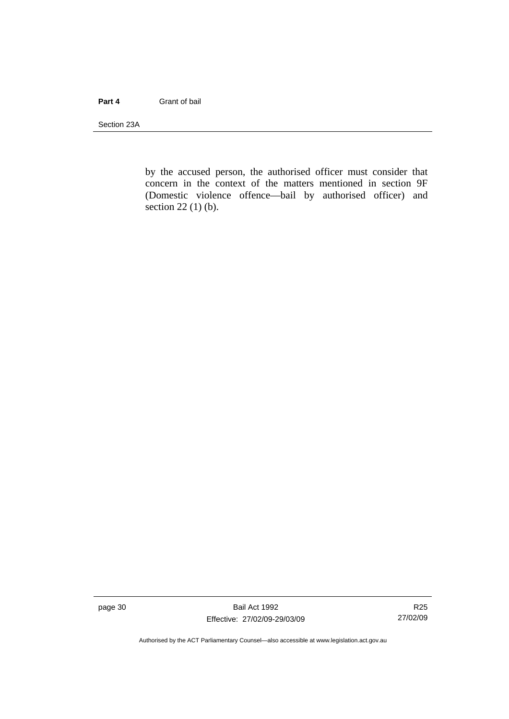#### **Part 4** Grant of bail

Section 23A

by the accused person, the authorised officer must consider that concern in the context of the matters mentioned in section 9F (Domestic violence offence—bail by authorised officer) and section 22 (1) (b).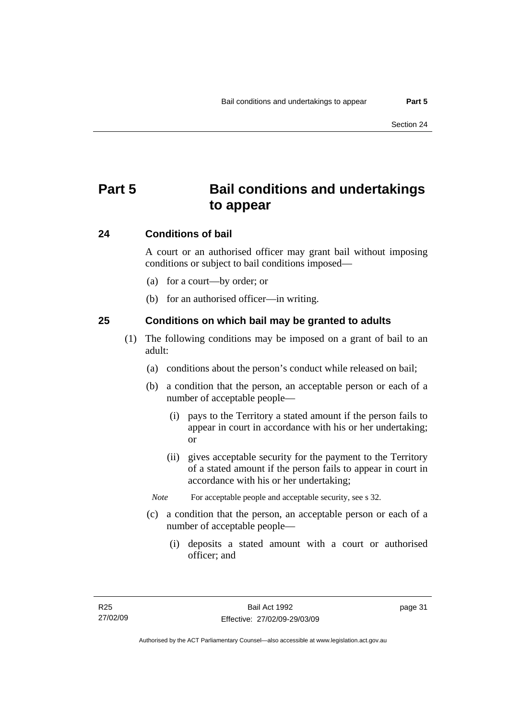# **Part 5 Bail conditions and undertakings to appear**

#### **24 Conditions of bail**

A court or an authorised officer may grant bail without imposing conditions or subject to bail conditions imposed—

- (a) for a court—by order; or
- (b) for an authorised officer—in writing.

#### **25 Conditions on which bail may be granted to adults**

- (1) The following conditions may be imposed on a grant of bail to an adult:
	- (a) conditions about the person's conduct while released on bail;
	- (b) a condition that the person, an acceptable person or each of a number of acceptable people—
		- (i) pays to the Territory a stated amount if the person fails to appear in court in accordance with his or her undertaking; or
		- (ii) gives acceptable security for the payment to the Territory of a stated amount if the person fails to appear in court in accordance with his or her undertaking;
		- *Note* For acceptable people and acceptable security, see s 32.
	- (c) a condition that the person, an acceptable person or each of a number of acceptable people—
		- (i) deposits a stated amount with a court or authorised officer; and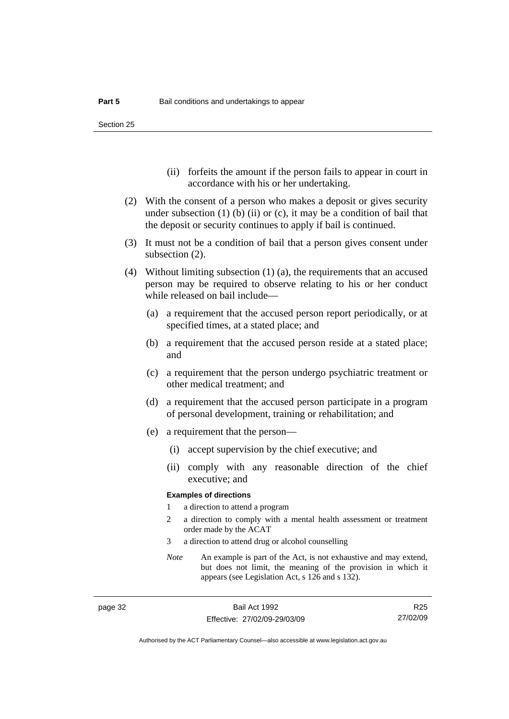Section 25

- (ii) forfeits the amount if the person fails to appear in court in accordance with his or her undertaking.
- (2) With the consent of a person who makes a deposit or gives security under subsection  $(1)$  (b)  $(ii)$  or  $(c)$ , it may be a condition of bail that the deposit or security continues to apply if bail is continued.
- (3) It must not be a condition of bail that a person gives consent under subsection (2).
- (4) Without limiting subsection (1) (a), the requirements that an accused person may be required to observe relating to his or her conduct while released on bail include—
	- (a) a requirement that the accused person report periodically, or at specified times, at a stated place; and
	- (b) a requirement that the accused person reside at a stated place; and
	- (c) a requirement that the person undergo psychiatric treatment or other medical treatment; and
	- (d) a requirement that the accused person participate in a program of personal development, training or rehabilitation; and
	- (e) a requirement that the person—
		- (i) accept supervision by the chief executive; and
		- (ii) comply with any reasonable direction of the chief executive; and

#### **Examples of directions**

- 1 a direction to attend a program
- 2 a direction to comply with a mental health assessment or treatment order made by the ACAT
- 3 a direction to attend drug or alcohol counselling
- *Note* An example is part of the Act, is not exhaustive and may extend, but does not limit, the meaning of the provision in which it appears (see Legislation Act, s 126 and s 132).

R25 27/02/09

Authorised by the ACT Parliamentary Counsel—also accessible at www.legislation.act.gov.au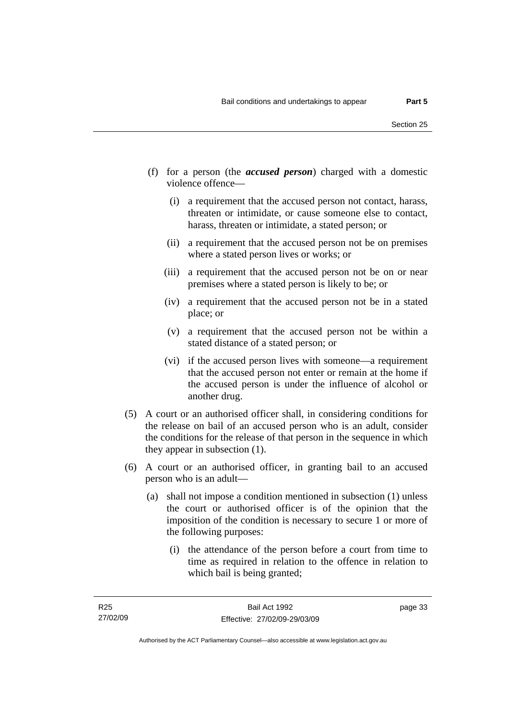- (f) for a person (the *accused person*) charged with a domestic violence offence—
	- (i) a requirement that the accused person not contact, harass, threaten or intimidate, or cause someone else to contact, harass, threaten or intimidate, a stated person; or
	- (ii) a requirement that the accused person not be on premises where a stated person lives or works; or
	- (iii) a requirement that the accused person not be on or near premises where a stated person is likely to be; or
	- (iv) a requirement that the accused person not be in a stated place; or
	- (v) a requirement that the accused person not be within a stated distance of a stated person; or
	- (vi) if the accused person lives with someone—a requirement that the accused person not enter or remain at the home if the accused person is under the influence of alcohol or another drug.
- (5) A court or an authorised officer shall, in considering conditions for the release on bail of an accused person who is an adult, consider the conditions for the release of that person in the sequence in which they appear in subsection (1).
- (6) A court or an authorised officer, in granting bail to an accused person who is an adult—
	- (a) shall not impose a condition mentioned in subsection (1) unless the court or authorised officer is of the opinion that the imposition of the condition is necessary to secure 1 or more of the following purposes:
		- (i) the attendance of the person before a court from time to time as required in relation to the offence in relation to which bail is being granted;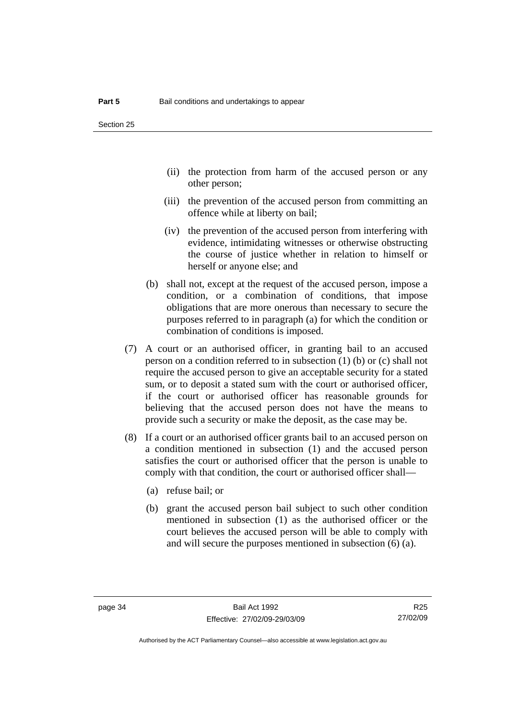- (ii) the protection from harm of the accused person or any other person;
- (iii) the prevention of the accused person from committing an offence while at liberty on bail;
- (iv) the prevention of the accused person from interfering with evidence, intimidating witnesses or otherwise obstructing the course of justice whether in relation to himself or herself or anyone else; and
- (b) shall not, except at the request of the accused person, impose a condition, or a combination of conditions, that impose obligations that are more onerous than necessary to secure the purposes referred to in paragraph (a) for which the condition or combination of conditions is imposed.
- (7) A court or an authorised officer, in granting bail to an accused person on a condition referred to in subsection (1) (b) or (c) shall not require the accused person to give an acceptable security for a stated sum, or to deposit a stated sum with the court or authorised officer, if the court or authorised officer has reasonable grounds for believing that the accused person does not have the means to provide such a security or make the deposit, as the case may be.
- (8) If a court or an authorised officer grants bail to an accused person on a condition mentioned in subsection (1) and the accused person satisfies the court or authorised officer that the person is unable to comply with that condition, the court or authorised officer shall—
	- (a) refuse bail; or
	- (b) grant the accused person bail subject to such other condition mentioned in subsection (1) as the authorised officer or the court believes the accused person will be able to comply with and will secure the purposes mentioned in subsection (6) (a).

R25 27/02/09

Authorised by the ACT Parliamentary Counsel—also accessible at www.legislation.act.gov.au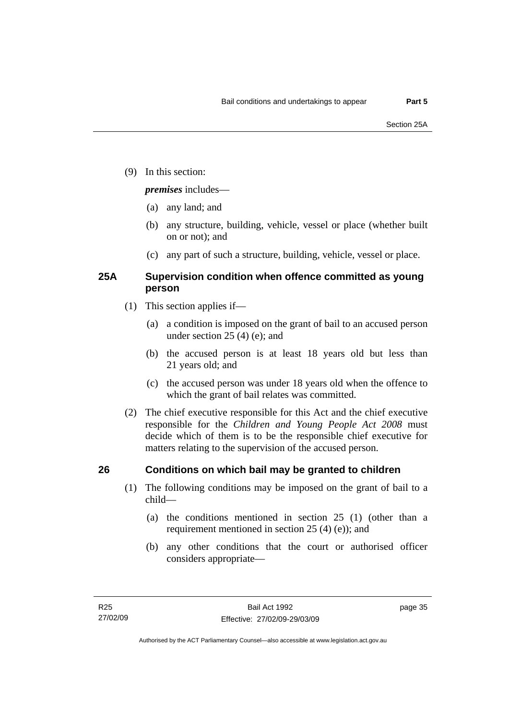(9) In this section:

#### *premises* includes—

- (a) any land; and
- (b) any structure, building, vehicle, vessel or place (whether built on or not); and
- (c) any part of such a structure, building, vehicle, vessel or place.

### **25A Supervision condition when offence committed as young person**

- (1) This section applies if—
	- (a) a condition is imposed on the grant of bail to an accused person under section 25 (4) (e); and
	- (b) the accused person is at least 18 years old but less than 21 years old; and
	- (c) the accused person was under 18 years old when the offence to which the grant of bail relates was committed.
- (2) The chief executive responsible for this Act and the chief executive responsible for the *Children and Young People Act 2008* must decide which of them is to be the responsible chief executive for matters relating to the supervision of the accused person.

### **26 Conditions on which bail may be granted to children**

- (1) The following conditions may be imposed on the grant of bail to a child—
	- (a) the conditions mentioned in section 25 (1) (other than a requirement mentioned in section 25 (4) (e)); and
	- (b) any other conditions that the court or authorised officer considers appropriate—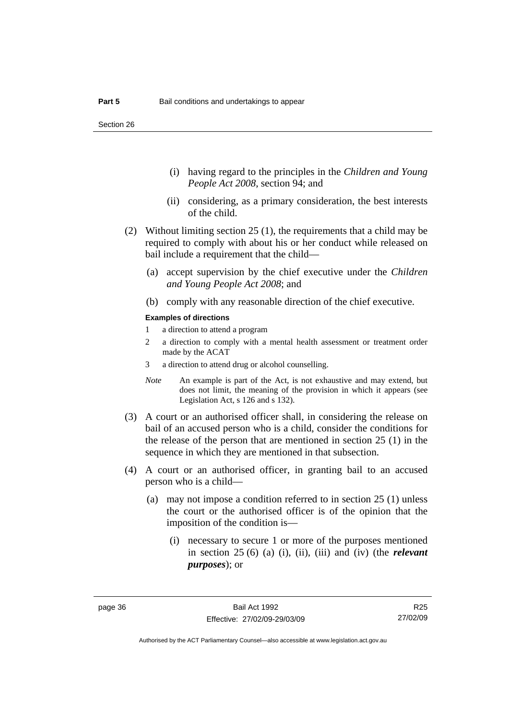- (i) having regard to the principles in the *Children and Young People Act 2008*, section 94; and
- (ii) considering, as a primary consideration, the best interests of the child.
- (2) Without limiting section 25 (1), the requirements that a child may be required to comply with about his or her conduct while released on bail include a requirement that the child—
	- (a) accept supervision by the chief executive under the *Children and Young People Act 2008*; and
	- (b) comply with any reasonable direction of the chief executive.

#### **Examples of directions**

- 1 a direction to attend a program
- 2 a direction to comply with a mental health assessment or treatment order made by the ACAT
- 3 a direction to attend drug or alcohol counselling.
- *Note* An example is part of the Act, is not exhaustive and may extend, but does not limit, the meaning of the provision in which it appears (see Legislation Act, s 126 and s 132).
- (3) A court or an authorised officer shall, in considering the release on bail of an accused person who is a child, consider the conditions for the release of the person that are mentioned in section 25 (1) in the sequence in which they are mentioned in that subsection.
- (4) A court or an authorised officer, in granting bail to an accused person who is a child—
	- (a) may not impose a condition referred to in section 25 (1) unless the court or the authorised officer is of the opinion that the imposition of the condition is—
		- (i) necessary to secure 1 or more of the purposes mentioned in section 25 (6) (a) (i), (ii), (iii) and (iv) (the *relevant purposes*); or

R25 27/02/09

Authorised by the ACT Parliamentary Counsel—also accessible at www.legislation.act.gov.au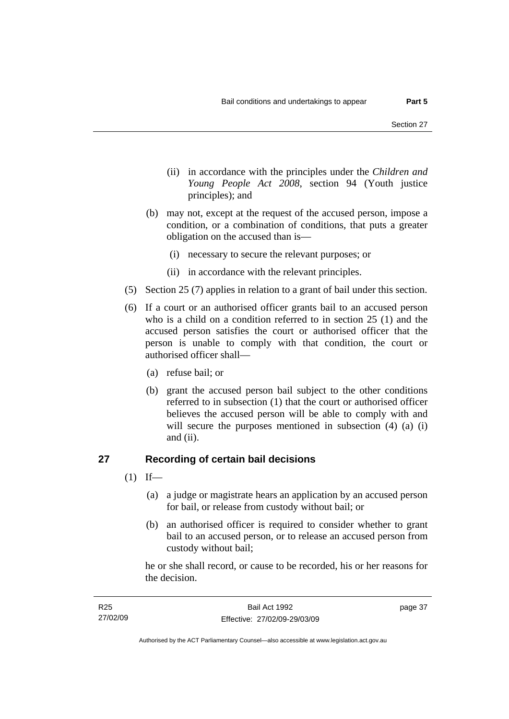- (ii) in accordance with the principles under the *Children and Young People Act 2008*, section 94 (Youth justice principles); and
- (b) may not, except at the request of the accused person, impose a condition, or a combination of conditions, that puts a greater obligation on the accused than is—
	- (i) necessary to secure the relevant purposes; or
	- (ii) in accordance with the relevant principles.
- (5) Section 25 (7) applies in relation to a grant of bail under this section.
- (6) If a court or an authorised officer grants bail to an accused person who is a child on a condition referred to in section 25 (1) and the accused person satisfies the court or authorised officer that the person is unable to comply with that condition, the court or authorised officer shall—
	- (a) refuse bail; or
	- (b) grant the accused person bail subject to the other conditions referred to in subsection (1) that the court or authorised officer believes the accused person will be able to comply with and will secure the purposes mentioned in subsection (4) (a) (i) and (ii).

### **27 Recording of certain bail decisions**

- $(1)$  If—
	- (a) a judge or magistrate hears an application by an accused person for bail, or release from custody without bail; or
	- (b) an authorised officer is required to consider whether to grant bail to an accused person, or to release an accused person from custody without bail;

he or she shall record, or cause to be recorded, his or her reasons for the decision.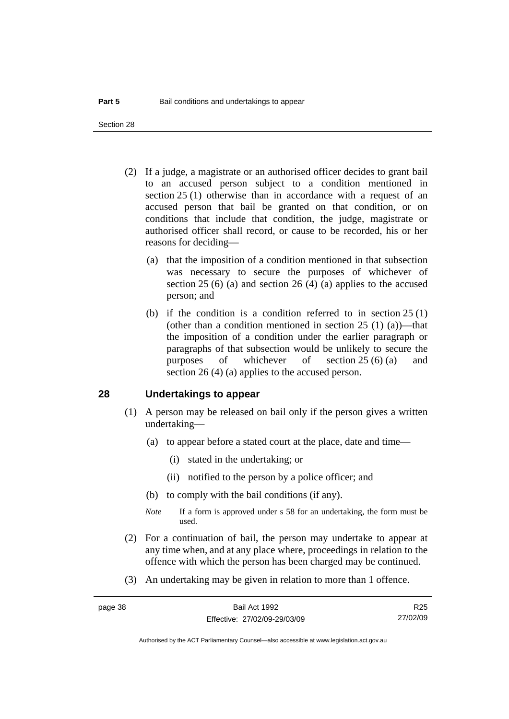Section 28

- (2) If a judge, a magistrate or an authorised officer decides to grant bail to an accused person subject to a condition mentioned in section 25 (1) otherwise than in accordance with a request of an accused person that bail be granted on that condition, or on conditions that include that condition, the judge, magistrate or authorised officer shall record, or cause to be recorded, his or her reasons for deciding—
	- (a) that the imposition of a condition mentioned in that subsection was necessary to secure the purposes of whichever of section 25 (6) (a) and section 26 (4) (a) applies to the accused person; and
	- (b) if the condition is a condition referred to in section 25 (1) (other than a condition mentioned in section  $25(1)(a)$ )—that the imposition of a condition under the earlier paragraph or paragraphs of that subsection would be unlikely to secure the purposes of whichever of section 25 (6) (a) and section 26 (4) (a) applies to the accused person.

#### **28 Undertakings to appear**

- (1) A person may be released on bail only if the person gives a written undertaking—
	- (a) to appear before a stated court at the place, date and time—
		- (i) stated in the undertaking; or
		- (ii) notified to the person by a police officer; and
	- (b) to comply with the bail conditions (if any).
	- *Note* If a form is approved under s 58 for an undertaking, the form must be used.
- (2) For a continuation of bail, the person may undertake to appear at any time when, and at any place where, proceedings in relation to the offence with which the person has been charged may be continued.
- (3) An undertaking may be given in relation to more than 1 offence.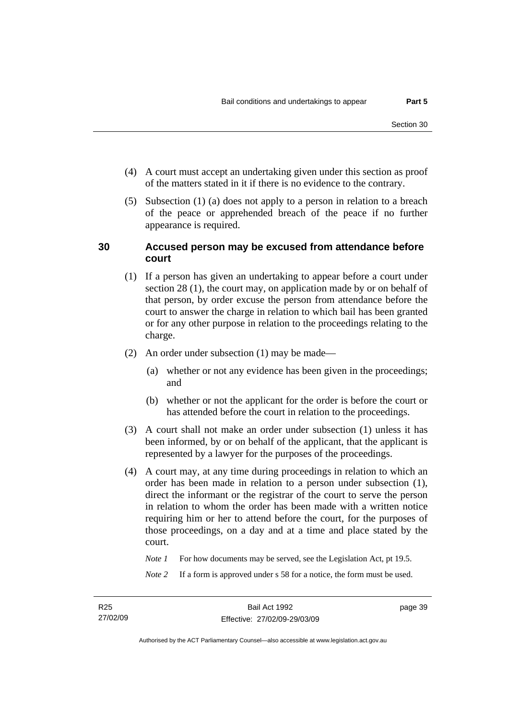- (4) A court must accept an undertaking given under this section as proof of the matters stated in it if there is no evidence to the contrary.
- (5) Subsection (1) (a) does not apply to a person in relation to a breach of the peace or apprehended breach of the peace if no further appearance is required.

#### **30 Accused person may be excused from attendance before court**

- (1) If a person has given an undertaking to appear before a court under section 28 (1), the court may, on application made by or on behalf of that person, by order excuse the person from attendance before the court to answer the charge in relation to which bail has been granted or for any other purpose in relation to the proceedings relating to the charge.
- (2) An order under subsection (1) may be made—
	- (a) whether or not any evidence has been given in the proceedings; and
	- (b) whether or not the applicant for the order is before the court or has attended before the court in relation to the proceedings.
- (3) A court shall not make an order under subsection (1) unless it has been informed, by or on behalf of the applicant, that the applicant is represented by a lawyer for the purposes of the proceedings.
- (4) A court may, at any time during proceedings in relation to which an order has been made in relation to a person under subsection (1), direct the informant or the registrar of the court to serve the person in relation to whom the order has been made with a written notice requiring him or her to attend before the court, for the purposes of those proceedings, on a day and at a time and place stated by the court.

*Note 1* For how documents may be served, see the Legislation Act, pt 19.5.

*Note* 2 If a form is approved under s 58 for a notice, the form must be used.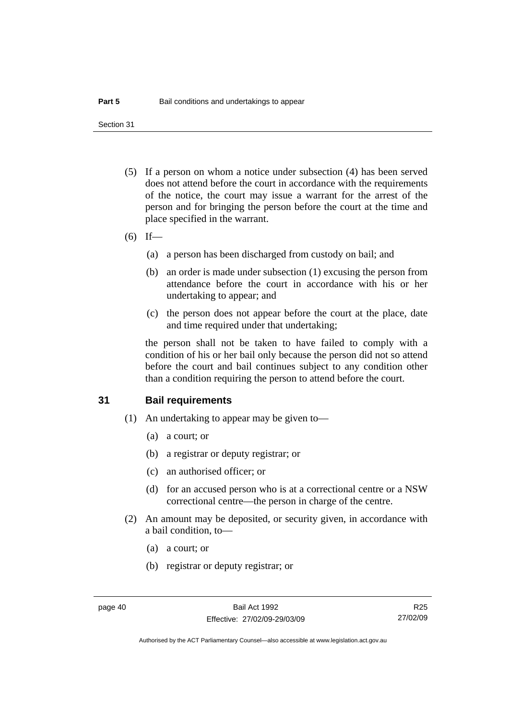Section 31

- (5) If a person on whom a notice under subsection (4) has been served does not attend before the court in accordance with the requirements of the notice, the court may issue a warrant for the arrest of the person and for bringing the person before the court at the time and place specified in the warrant.
- (6) If—
	- (a) a person has been discharged from custody on bail; and
	- (b) an order is made under subsection (1) excusing the person from attendance before the court in accordance with his or her undertaking to appear; and
	- (c) the person does not appear before the court at the place, date and time required under that undertaking;

the person shall not be taken to have failed to comply with a condition of his or her bail only because the person did not so attend before the court and bail continues subject to any condition other than a condition requiring the person to attend before the court.

#### **31 Bail requirements**

- (1) An undertaking to appear may be given to—
	- (a) a court; or
	- (b) a registrar or deputy registrar; or
	- (c) an authorised officer; or
	- (d) for an accused person who is at a correctional centre or a NSW correctional centre—the person in charge of the centre.
- (2) An amount may be deposited, or security given, in accordance with a bail condition, to—
	- (a) a court; or
	- (b) registrar or deputy registrar; or

R25 27/02/09

Authorised by the ACT Parliamentary Counsel—also accessible at www.legislation.act.gov.au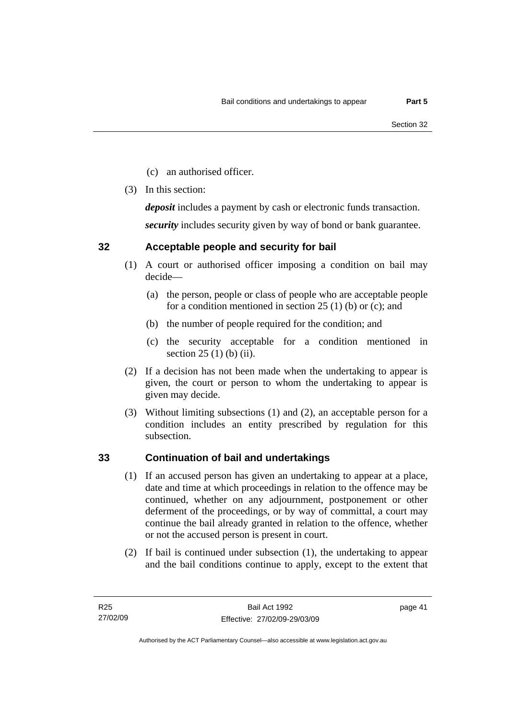- (c) an authorised officer.
- (3) In this section:

*deposit* includes a payment by cash or electronic funds transaction.

*security* includes security given by way of bond or bank guarantee.

### **32 Acceptable people and security for bail**

- (1) A court or authorised officer imposing a condition on bail may decide—
	- (a) the person, people or class of people who are acceptable people for a condition mentioned in section 25 (1) (b) or (c); and
	- (b) the number of people required for the condition; and
	- (c) the security acceptable for a condition mentioned in section 25 (1) (b) (ii).
- (2) If a decision has not been made when the undertaking to appear is given, the court or person to whom the undertaking to appear is given may decide.
- (3) Without limiting subsections (1) and (2), an acceptable person for a condition includes an entity prescribed by regulation for this subsection.

### **33 Continuation of bail and undertakings**

- (1) If an accused person has given an undertaking to appear at a place, date and time at which proceedings in relation to the offence may be continued, whether on any adjournment, postponement or other deferment of the proceedings, or by way of committal, a court may continue the bail already granted in relation to the offence, whether or not the accused person is present in court.
- (2) If bail is continued under subsection (1), the undertaking to appear and the bail conditions continue to apply, except to the extent that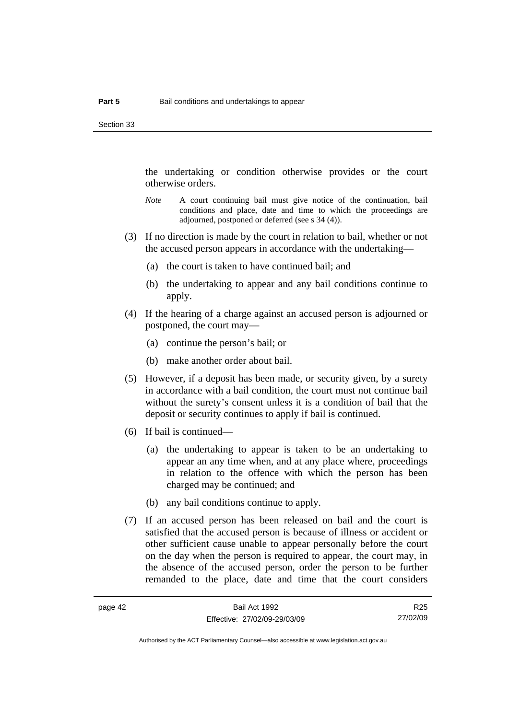the undertaking or condition otherwise provides or the court otherwise orders.

- *Note* A court continuing bail must give notice of the continuation, bail conditions and place, date and time to which the proceedings are adjourned, postponed or deferred (see s 34 (4)).
- (3) If no direction is made by the court in relation to bail, whether or not the accused person appears in accordance with the undertaking—
	- (a) the court is taken to have continued bail; and
	- (b) the undertaking to appear and any bail conditions continue to apply.
- (4) If the hearing of a charge against an accused person is adjourned or postponed, the court may—
	- (a) continue the person's bail; or
	- (b) make another order about bail.
- (5) However, if a deposit has been made, or security given, by a surety in accordance with a bail condition, the court must not continue bail without the surety's consent unless it is a condition of bail that the deposit or security continues to apply if bail is continued.
- (6) If bail is continued—
	- (a) the undertaking to appear is taken to be an undertaking to appear an any time when, and at any place where, proceedings in relation to the offence with which the person has been charged may be continued; and
	- (b) any bail conditions continue to apply.
- (7) If an accused person has been released on bail and the court is satisfied that the accused person is because of illness or accident or other sufficient cause unable to appear personally before the court on the day when the person is required to appear, the court may, in the absence of the accused person, order the person to be further remanded to the place, date and time that the court considers

R25 27/02/09

Authorised by the ACT Parliamentary Counsel—also accessible at www.legislation.act.gov.au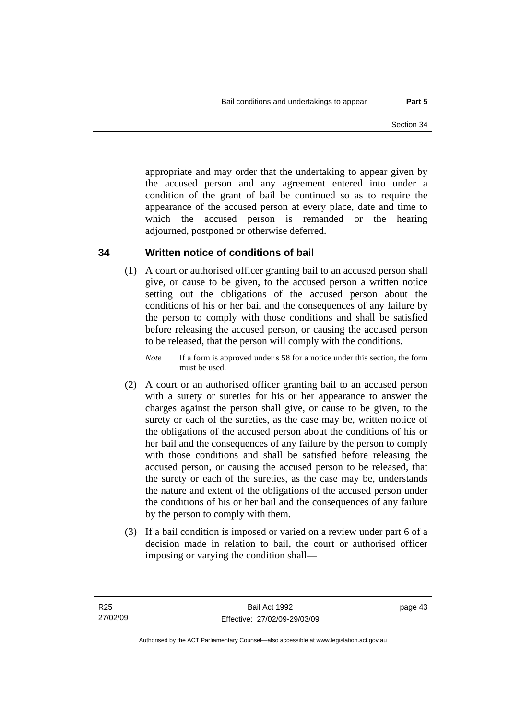appropriate and may order that the undertaking to appear given by the accused person and any agreement entered into under a condition of the grant of bail be continued so as to require the appearance of the accused person at every place, date and time to which the accused person is remanded or the hearing adjourned, postponed or otherwise deferred.

### **34 Written notice of conditions of bail**

 (1) A court or authorised officer granting bail to an accused person shall give, or cause to be given, to the accused person a written notice setting out the obligations of the accused person about the conditions of his or her bail and the consequences of any failure by the person to comply with those conditions and shall be satisfied before releasing the accused person, or causing the accused person to be released, that the person will comply with the conditions.

*Note* If a form is approved under s 58 for a notice under this section, the form must be used.

- (2) A court or an authorised officer granting bail to an accused person with a surety or sureties for his or her appearance to answer the charges against the person shall give, or cause to be given, to the surety or each of the sureties, as the case may be, written notice of the obligations of the accused person about the conditions of his or her bail and the consequences of any failure by the person to comply with those conditions and shall be satisfied before releasing the accused person, or causing the accused person to be released, that the surety or each of the sureties, as the case may be, understands the nature and extent of the obligations of the accused person under the conditions of his or her bail and the consequences of any failure by the person to comply with them.
- (3) If a bail condition is imposed or varied on a review under part 6 of a decision made in relation to bail, the court or authorised officer imposing or varying the condition shall—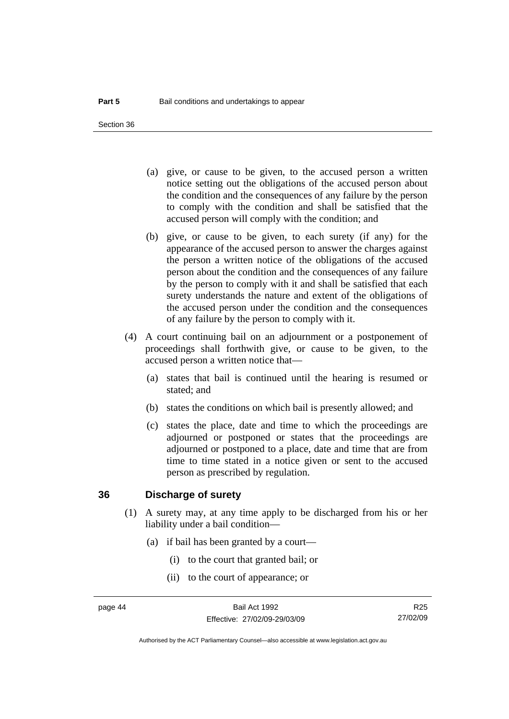Section 36

- (a) give, or cause to be given, to the accused person a written notice setting out the obligations of the accused person about the condition and the consequences of any failure by the person to comply with the condition and shall be satisfied that the accused person will comply with the condition; and
- (b) give, or cause to be given, to each surety (if any) for the appearance of the accused person to answer the charges against the person a written notice of the obligations of the accused person about the condition and the consequences of any failure by the person to comply with it and shall be satisfied that each surety understands the nature and extent of the obligations of the accused person under the condition and the consequences of any failure by the person to comply with it.
- (4) A court continuing bail on an adjournment or a postponement of proceedings shall forthwith give, or cause to be given, to the accused person a written notice that—
	- (a) states that bail is continued until the hearing is resumed or stated; and
	- (b) states the conditions on which bail is presently allowed; and
	- (c) states the place, date and time to which the proceedings are adjourned or postponed or states that the proceedings are adjourned or postponed to a place, date and time that are from time to time stated in a notice given or sent to the accused person as prescribed by regulation.

#### **36 Discharge of surety**

- (1) A surety may, at any time apply to be discharged from his or her liability under a bail condition—
	- (a) if bail has been granted by a court—
		- (i) to the court that granted bail; or
		- (ii) to the court of appearance; or

R25 27/02/09

Authorised by the ACT Parliamentary Counsel—also accessible at www.legislation.act.gov.au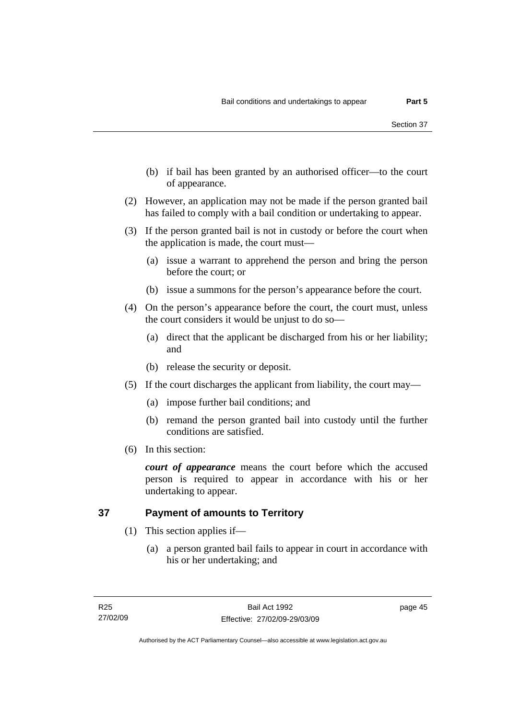- (b) if bail has been granted by an authorised officer—to the court of appearance.
- (2) However, an application may not be made if the person granted bail has failed to comply with a bail condition or undertaking to appear.
- (3) If the person granted bail is not in custody or before the court when the application is made, the court must—
	- (a) issue a warrant to apprehend the person and bring the person before the court; or
	- (b) issue a summons for the person's appearance before the court.
- (4) On the person's appearance before the court, the court must, unless the court considers it would be unjust to do so—
	- (a) direct that the applicant be discharged from his or her liability; and
	- (b) release the security or deposit.
- (5) If the court discharges the applicant from liability, the court may—
	- (a) impose further bail conditions; and
	- (b) remand the person granted bail into custody until the further conditions are satisfied.
- (6) In this section:

*court of appearance* means the court before which the accused person is required to appear in accordance with his or her undertaking to appear.

### **37 Payment of amounts to Territory**

- (1) This section applies if—
	- (a) a person granted bail fails to appear in court in accordance with his or her undertaking; and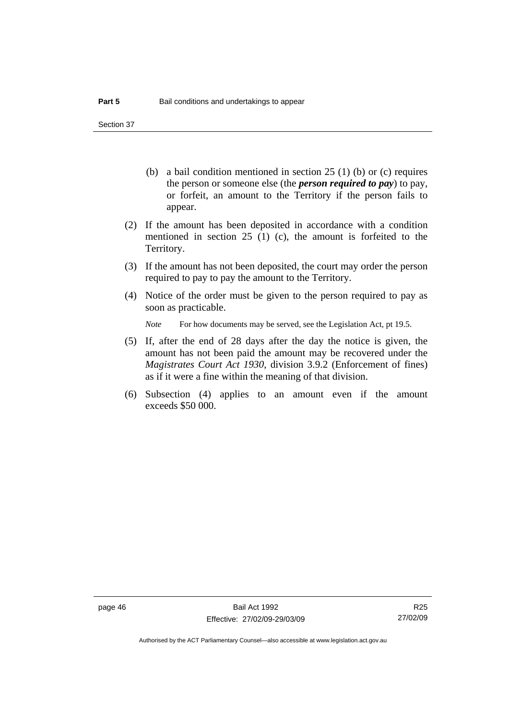Section 37

- (b) a bail condition mentioned in section 25 (1) (b) or (c) requires the person or someone else (the *person required to pay*) to pay, or forfeit, an amount to the Territory if the person fails to appear.
- (2) If the amount has been deposited in accordance with a condition mentioned in section 25 (1) (c), the amount is forfeited to the Territory.
- (3) If the amount has not been deposited, the court may order the person required to pay to pay the amount to the Territory.
- (4) Notice of the order must be given to the person required to pay as soon as practicable.

*Note* For how documents may be served, see the Legislation Act, pt 19.5.

- (5) If, after the end of 28 days after the day the notice is given, the amount has not been paid the amount may be recovered under the *Magistrates Court Act 1930*, division 3.9.2 (Enforcement of fines) as if it were a fine within the meaning of that division.
- (6) Subsection (4) applies to an amount even if the amount exceeds \$50 000.

R25 27/02/09

Authorised by the ACT Parliamentary Counsel—also accessible at www.legislation.act.gov.au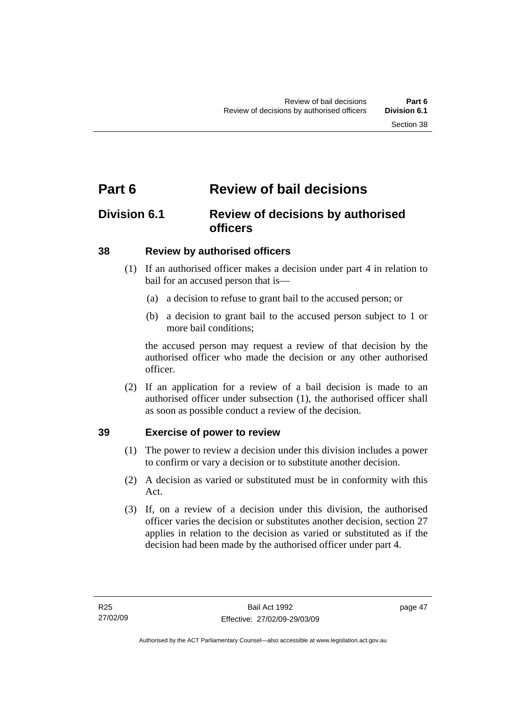# **Part 6 Review of bail decisions**

# **Division 6.1 Review of decisions by authorised officers**

### **38 Review by authorised officers**

- (1) If an authorised officer makes a decision under part 4 in relation to bail for an accused person that is—
	- (a) a decision to refuse to grant bail to the accused person; or
	- (b) a decision to grant bail to the accused person subject to 1 or more bail conditions;

the accused person may request a review of that decision by the authorised officer who made the decision or any other authorised officer.

 (2) If an application for a review of a bail decision is made to an authorised officer under subsection (1), the authorised officer shall as soon as possible conduct a review of the decision.

### **39 Exercise of power to review**

- (1) The power to review a decision under this division includes a power to confirm or vary a decision or to substitute another decision.
- (2) A decision as varied or substituted must be in conformity with this Act.
- (3) If, on a review of a decision under this division, the authorised officer varies the decision or substitutes another decision, section 27 applies in relation to the decision as varied or substituted as if the decision had been made by the authorised officer under part 4.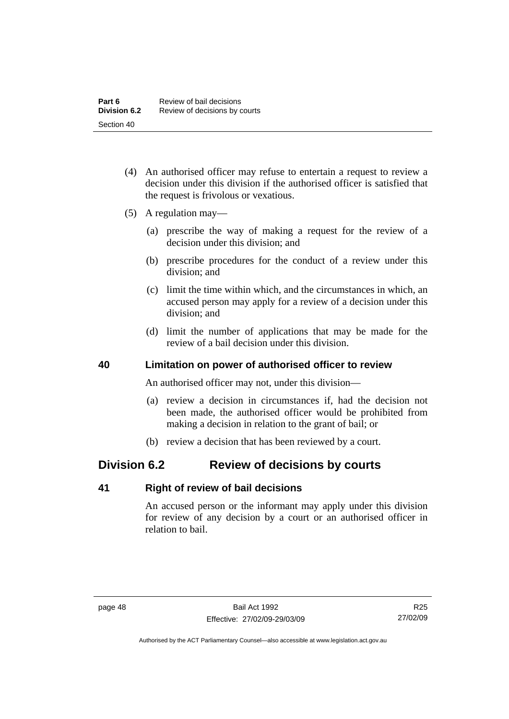- (4) An authorised officer may refuse to entertain a request to review a decision under this division if the authorised officer is satisfied that the request is frivolous or vexatious.
- (5) A regulation may—
	- (a) prescribe the way of making a request for the review of a decision under this division; and
	- (b) prescribe procedures for the conduct of a review under this division; and
	- (c) limit the time within which, and the circumstances in which, an accused person may apply for a review of a decision under this division; and
	- (d) limit the number of applications that may be made for the review of a bail decision under this division.

#### **40 Limitation on power of authorised officer to review**

An authorised officer may not, under this division—

- (a) review a decision in circumstances if, had the decision not been made, the authorised officer would be prohibited from making a decision in relation to the grant of bail; or
- (b) review a decision that has been reviewed by a court.

# **Division 6.2 Review of decisions by courts**

#### **41 Right of review of bail decisions**

An accused person or the informant may apply under this division for review of any decision by a court or an authorised officer in relation to bail.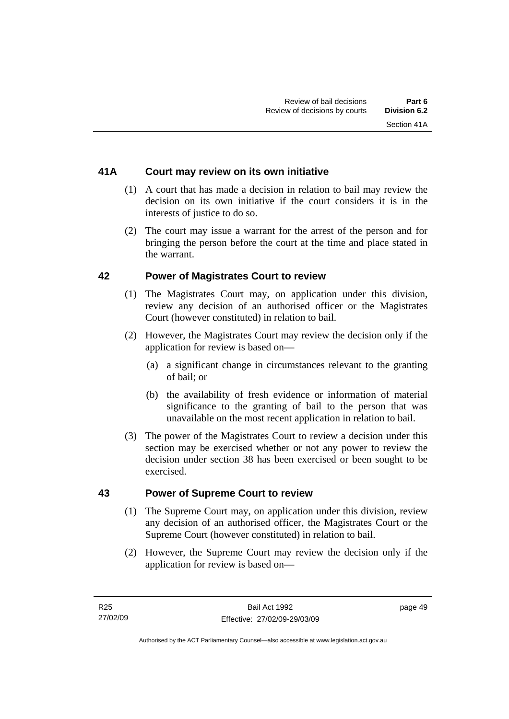### **41A Court may review on its own initiative**

- (1) A court that has made a decision in relation to bail may review the decision on its own initiative if the court considers it is in the interests of justice to do so.
- (2) The court may issue a warrant for the arrest of the person and for bringing the person before the court at the time and place stated in the warrant.

#### **42 Power of Magistrates Court to review**

- (1) The Magistrates Court may, on application under this division, review any decision of an authorised officer or the Magistrates Court (however constituted) in relation to bail.
- (2) However, the Magistrates Court may review the decision only if the application for review is based on—
	- (a) a significant change in circumstances relevant to the granting of bail; or
	- (b) the availability of fresh evidence or information of material significance to the granting of bail to the person that was unavailable on the most recent application in relation to bail.
- (3) The power of the Magistrates Court to review a decision under this section may be exercised whether or not any power to review the decision under section 38 has been exercised or been sought to be exercised.

#### **43 Power of Supreme Court to review**

- (1) The Supreme Court may, on application under this division, review any decision of an authorised officer, the Magistrates Court or the Supreme Court (however constituted) in relation to bail.
- (2) However, the Supreme Court may review the decision only if the application for review is based on—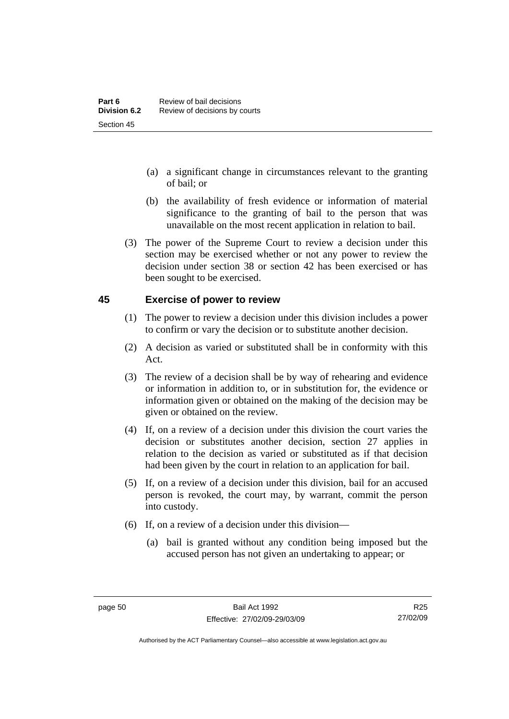- (a) a significant change in circumstances relevant to the granting of bail; or
- (b) the availability of fresh evidence or information of material significance to the granting of bail to the person that was unavailable on the most recent application in relation to bail.
- (3) The power of the Supreme Court to review a decision under this section may be exercised whether or not any power to review the decision under section 38 or section 42 has been exercised or has been sought to be exercised.

#### **45 Exercise of power to review**

- (1) The power to review a decision under this division includes a power to confirm or vary the decision or to substitute another decision.
- (2) A decision as varied or substituted shall be in conformity with this Act.
- (3) The review of a decision shall be by way of rehearing and evidence or information in addition to, or in substitution for, the evidence or information given or obtained on the making of the decision may be given or obtained on the review.
- (4) If, on a review of a decision under this division the court varies the decision or substitutes another decision, section 27 applies in relation to the decision as varied or substituted as if that decision had been given by the court in relation to an application for bail.
- (5) If, on a review of a decision under this division, bail for an accused person is revoked, the court may, by warrant, commit the person into custody.
- (6) If, on a review of a decision under this division—
	- (a) bail is granted without any condition being imposed but the accused person has not given an undertaking to appear; or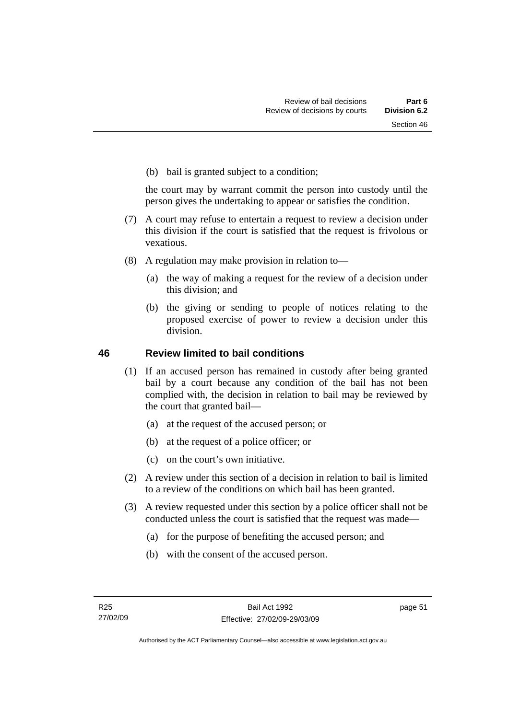(b) bail is granted subject to a condition;

the court may by warrant commit the person into custody until the person gives the undertaking to appear or satisfies the condition.

- (7) A court may refuse to entertain a request to review a decision under this division if the court is satisfied that the request is frivolous or vexatious.
- (8) A regulation may make provision in relation to—
	- (a) the way of making a request for the review of a decision under this division; and
	- (b) the giving or sending to people of notices relating to the proposed exercise of power to review a decision under this division.

#### **46 Review limited to bail conditions**

- (1) If an accused person has remained in custody after being granted bail by a court because any condition of the bail has not been complied with, the decision in relation to bail may be reviewed by the court that granted bail—
	- (a) at the request of the accused person; or
	- (b) at the request of a police officer; or
	- (c) on the court's own initiative.
- (2) A review under this section of a decision in relation to bail is limited to a review of the conditions on which bail has been granted.
- (3) A review requested under this section by a police officer shall not be conducted unless the court is satisfied that the request was made—
	- (a) for the purpose of benefiting the accused person; and
	- (b) with the consent of the accused person.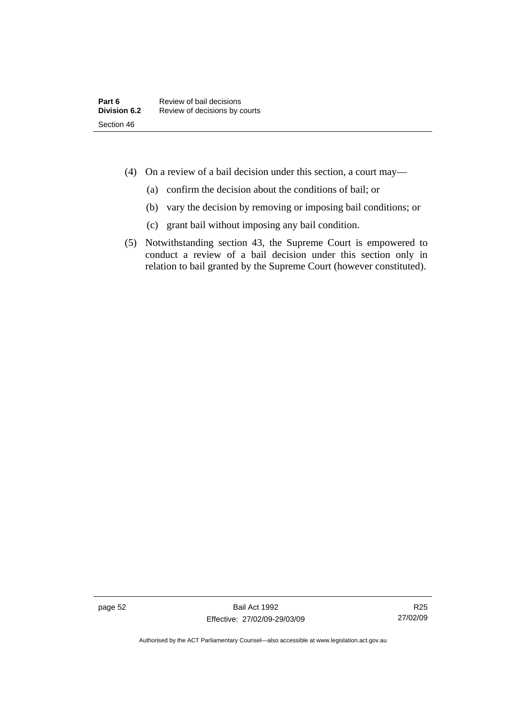- (4) On a review of a bail decision under this section, a court may—
	- (a) confirm the decision about the conditions of bail; or
	- (b) vary the decision by removing or imposing bail conditions; or
	- (c) grant bail without imposing any bail condition.
- (5) Notwithstanding section 43, the Supreme Court is empowered to conduct a review of a bail decision under this section only in relation to bail granted by the Supreme Court (however constituted).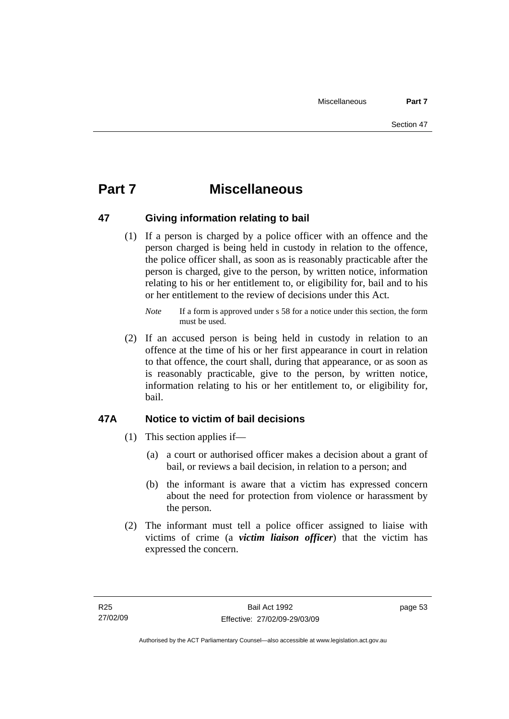# **Part 7 Miscellaneous**

#### **47 Giving information relating to bail**

 (1) If a person is charged by a police officer with an offence and the person charged is being held in custody in relation to the offence, the police officer shall, as soon as is reasonably practicable after the person is charged, give to the person, by written notice, information relating to his or her entitlement to, or eligibility for, bail and to his or her entitlement to the review of decisions under this Act.

 (2) If an accused person is being held in custody in relation to an offence at the time of his or her first appearance in court in relation to that offence, the court shall, during that appearance, or as soon as is reasonably practicable, give to the person, by written notice, information relating to his or her entitlement to, or eligibility for, bail.

### **47A Notice to victim of bail decisions**

- (1) This section applies if—
	- (a) a court or authorised officer makes a decision about a grant of bail, or reviews a bail decision, in relation to a person; and
	- (b) the informant is aware that a victim has expressed concern about the need for protection from violence or harassment by the person.
- (2) The informant must tell a police officer assigned to liaise with victims of crime (a *victim liaison officer*) that the victim has expressed the concern.

*Note* If a form is approved under s 58 for a notice under this section, the form must be used.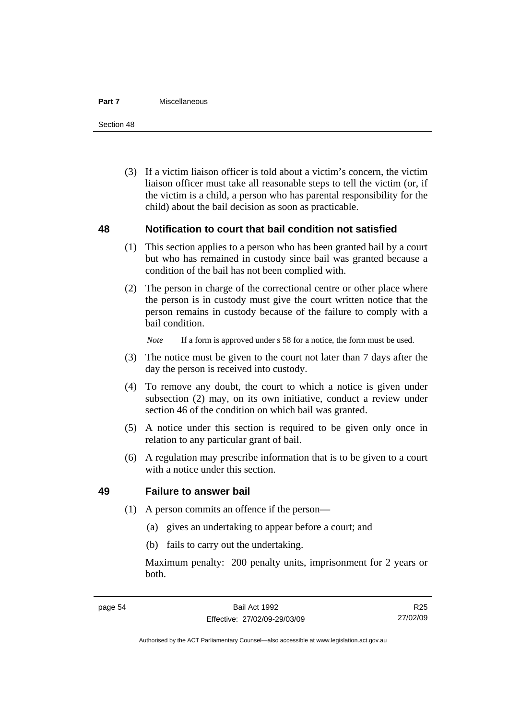#### **Part 7** Miscellaneous

Section 48

 (3) If a victim liaison officer is told about a victim's concern, the victim liaison officer must take all reasonable steps to tell the victim (or, if the victim is a child, a person who has parental responsibility for the child) about the bail decision as soon as practicable.

#### **48 Notification to court that bail condition not satisfied**

- (1) This section applies to a person who has been granted bail by a court but who has remained in custody since bail was granted because a condition of the bail has not been complied with.
- (2) The person in charge of the correctional centre or other place where the person is in custody must give the court written notice that the person remains in custody because of the failure to comply with a bail condition.

*Note* If a form is approved under s 58 for a notice, the form must be used.

- (3) The notice must be given to the court not later than 7 days after the day the person is received into custody.
- (4) To remove any doubt, the court to which a notice is given under subsection (2) may, on its own initiative, conduct a review under section 46 of the condition on which bail was granted.
- (5) A notice under this section is required to be given only once in relation to any particular grant of bail.
- (6) A regulation may prescribe information that is to be given to a court with a notice under this section.

#### **49 Failure to answer bail**

- (1) A person commits an offence if the person—
	- (a) gives an undertaking to appear before a court; and
	- (b) fails to carry out the undertaking.

Maximum penalty: 200 penalty units, imprisonment for 2 years or both.

R25 27/02/09

Authorised by the ACT Parliamentary Counsel—also accessible at www.legislation.act.gov.au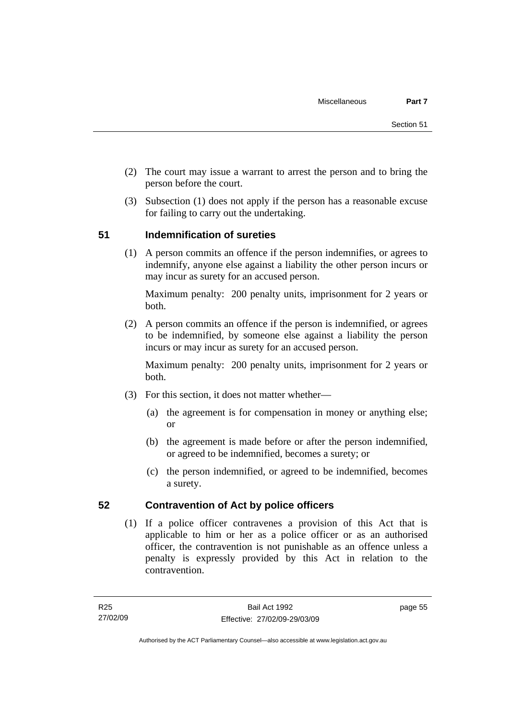- (2) The court may issue a warrant to arrest the person and to bring the person before the court.
- (3) Subsection (1) does not apply if the person has a reasonable excuse for failing to carry out the undertaking.

## **51 Indemnification of sureties**

 (1) A person commits an offence if the person indemnifies, or agrees to indemnify, anyone else against a liability the other person incurs or may incur as surety for an accused person.

Maximum penalty: 200 penalty units, imprisonment for 2 years or both.

 (2) A person commits an offence if the person is indemnified, or agrees to be indemnified, by someone else against a liability the person incurs or may incur as surety for an accused person.

Maximum penalty: 200 penalty units, imprisonment for 2 years or both.

- (3) For this section, it does not matter whether—
	- (a) the agreement is for compensation in money or anything else; or
	- (b) the agreement is made before or after the person indemnified, or agreed to be indemnified, becomes a surety; or
	- (c) the person indemnified, or agreed to be indemnified, becomes a surety.

### **52 Contravention of Act by police officers**

 (1) If a police officer contravenes a provision of this Act that is applicable to him or her as a police officer or as an authorised officer, the contravention is not punishable as an offence unless a penalty is expressly provided by this Act in relation to the contravention.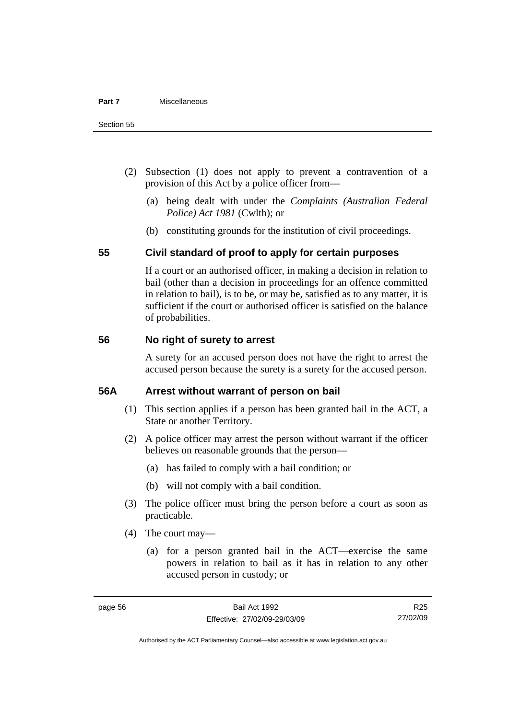- (2) Subsection (1) does not apply to prevent a contravention of a provision of this Act by a police officer from—
	- (a) being dealt with under the *Complaints (Australian Federal Police) Act 1981* (Cwlth); or
	- (b) constituting grounds for the institution of civil proceedings.

#### **55 Civil standard of proof to apply for certain purposes**

If a court or an authorised officer, in making a decision in relation to bail (other than a decision in proceedings for an offence committed in relation to bail), is to be, or may be, satisfied as to any matter, it is sufficient if the court or authorised officer is satisfied on the balance of probabilities.

#### **56 No right of surety to arrest**

A surety for an accused person does not have the right to arrest the accused person because the surety is a surety for the accused person.

#### **56A Arrest without warrant of person on bail**

- (1) This section applies if a person has been granted bail in the ACT, a State or another Territory.
- (2) A police officer may arrest the person without warrant if the officer believes on reasonable grounds that the person—
	- (a) has failed to comply with a bail condition; or
	- (b) will not comply with a bail condition.
- (3) The police officer must bring the person before a court as soon as practicable.
- (4) The court may—
	- (a) for a person granted bail in the ACT—exercise the same powers in relation to bail as it has in relation to any other accused person in custody; or

R25 27/02/09

Authorised by the ACT Parliamentary Counsel—also accessible at www.legislation.act.gov.au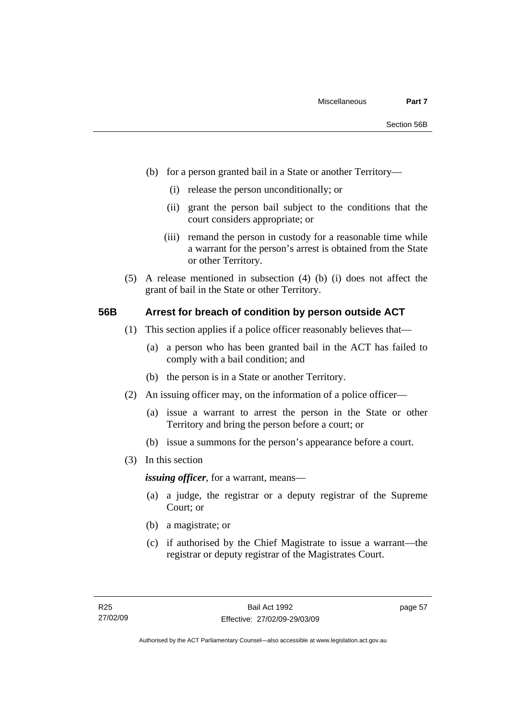- (b) for a person granted bail in a State or another Territory—
	- (i) release the person unconditionally; or
	- (ii) grant the person bail subject to the conditions that the court considers appropriate; or
	- (iii) remand the person in custody for a reasonable time while a warrant for the person's arrest is obtained from the State or other Territory.
- (5) A release mentioned in subsection (4) (b) (i) does not affect the grant of bail in the State or other Territory.

#### **56B Arrest for breach of condition by person outside ACT**

- (1) This section applies if a police officer reasonably believes that—
	- (a) a person who has been granted bail in the ACT has failed to comply with a bail condition; and
	- (b) the person is in a State or another Territory.
- (2) An issuing officer may, on the information of a police officer—
	- (a) issue a warrant to arrest the person in the State or other Territory and bring the person before a court; or
	- (b) issue a summons for the person's appearance before a court.
- (3) In this section

*issuing officer*, for a warrant, means—

- (a) a judge, the registrar or a deputy registrar of the Supreme Court; or
- (b) a magistrate; or
- (c) if authorised by the Chief Magistrate to issue a warrant—the registrar or deputy registrar of the Magistrates Court.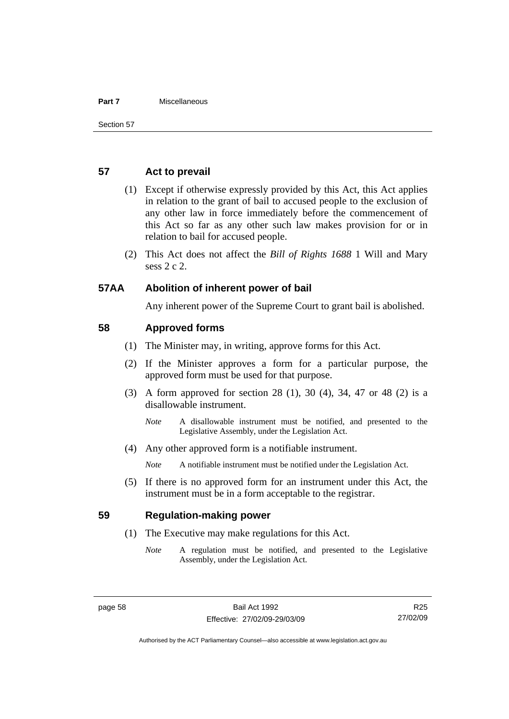#### **Part 7** Miscellaneous

#### **57 Act to prevail**

- (1) Except if otherwise expressly provided by this Act, this Act applies in relation to the grant of bail to accused people to the exclusion of any other law in force immediately before the commencement of this Act so far as any other such law makes provision for or in relation to bail for accused people.
- (2) This Act does not affect the *Bill of Rights 1688* 1 Will and Mary sess 2 c 2.

#### **57AA Abolition of inherent power of bail**

Any inherent power of the Supreme Court to grant bail is abolished.

#### **58 Approved forms**

- (1) The Minister may, in writing, approve forms for this Act.
- (2) If the Minister approves a form for a particular purpose, the approved form must be used for that purpose.
- (3) A form approved for section 28 (1), 30 (4), 34, 47 or 48 (2) is a disallowable instrument.
	- *Note* A disallowable instrument must be notified, and presented to the Legislative Assembly, under the Legislation Act.
- (4) Any other approved form is a notifiable instrument.

*Note* A notifiable instrument must be notified under the Legislation Act.

 (5) If there is no approved form for an instrument under this Act, the instrument must be in a form acceptable to the registrar.

#### **59 Regulation-making power**

- (1) The Executive may make regulations for this Act.
	- *Note* A regulation must be notified, and presented to the Legislative Assembly, under the Legislation Act.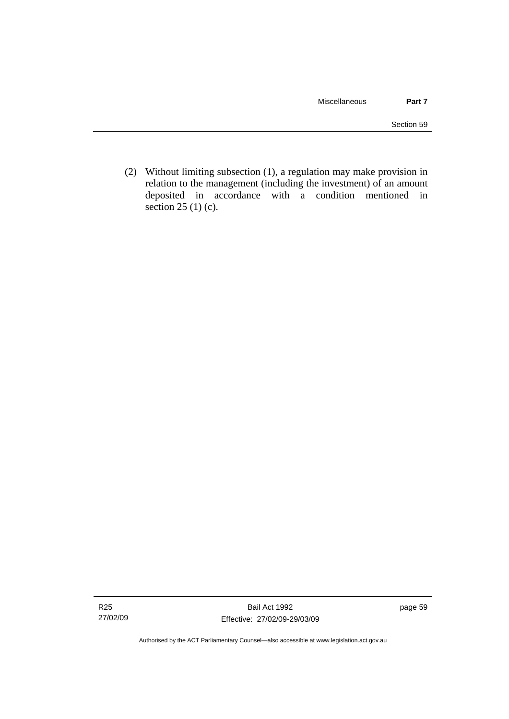(2) Without limiting subsection (1), a regulation may make provision in relation to the management (including the investment) of an amount deposited in accordance with a condition mentioned in section 25 (1) (c).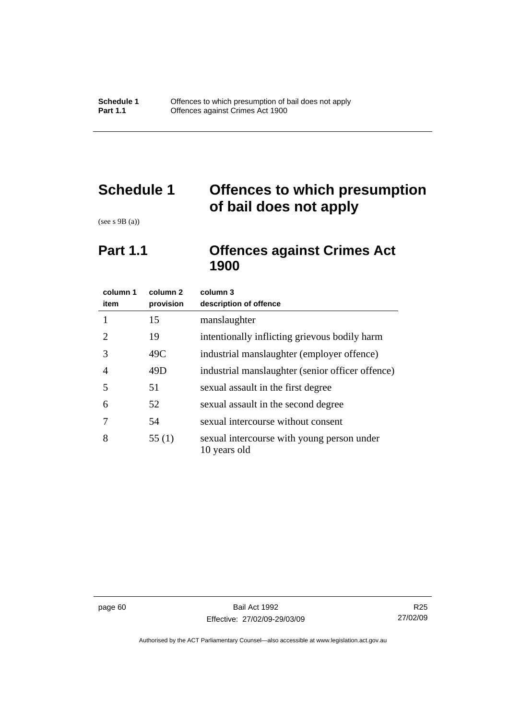# **Schedule 1 Offences to which presumption of bail does not apply**

(see s 9B (a))

# **Part 1.1 Offences against Crimes Act 1900**

| column 1<br>item            | column 2<br>provision | column 3<br>description of offence                         |
|-----------------------------|-----------------------|------------------------------------------------------------|
| 1                           | 15                    | manslaughter                                               |
| $\mathcal{D}_{\mathcal{L}}$ | 19                    | intentionally inflicting grievous bodily harm              |
| 3                           | 49C                   | industrial manslaughter (employer offence)                 |
| 4                           | 49D                   | industrial manslaughter (senior officer offence)           |
| 5                           | 51                    | sexual assault in the first degree                         |
| 6                           | 52                    | sexual assault in the second degree                        |
|                             | 54                    | sexual intercourse without consent                         |
| 8                           | 55(1)                 | sexual intercourse with young person under<br>10 years old |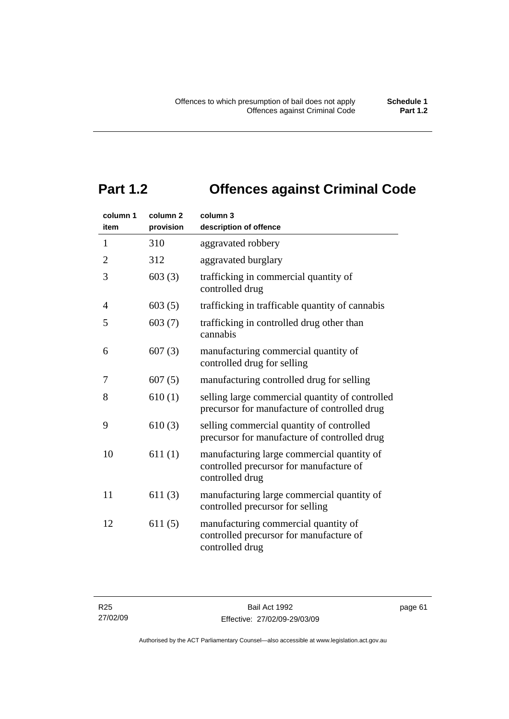# **Part 1.2 Offences against Criminal Code**

| column 1<br>item | column <sub>2</sub><br>provision | column 3<br>description of offence                                                                       |
|------------------|----------------------------------|----------------------------------------------------------------------------------------------------------|
| $\mathbf{1}$     | 310                              | aggravated robbery                                                                                       |
| $\overline{2}$   | 312                              | aggravated burglary                                                                                      |
| 3                | 603(3)                           | trafficking in commercial quantity of<br>controlled drug                                                 |
| 4                | 603(5)                           | trafficking in trafficable quantity of cannabis                                                          |
| 5                | 603(7)                           | trafficking in controlled drug other than<br>cannabis                                                    |
| 6                | 607(3)                           | manufacturing commercial quantity of<br>controlled drug for selling                                      |
| 7                | 607(5)                           | manufacturing controlled drug for selling                                                                |
| 8                | 610(1)                           | selling large commercial quantity of controlled<br>precursor for manufacture of controlled drug          |
| 9                | 610(3)                           | selling commercial quantity of controlled<br>precursor for manufacture of controlled drug                |
| 10               | 611(1)                           | manufacturing large commercial quantity of<br>controlled precursor for manufacture of<br>controlled drug |
| 11               | 611(3)                           | manufacturing large commercial quantity of<br>controlled precursor for selling                           |
| 12               | 611(5)                           | manufacturing commercial quantity of<br>controlled precursor for manufacture of<br>controlled drug       |

page 61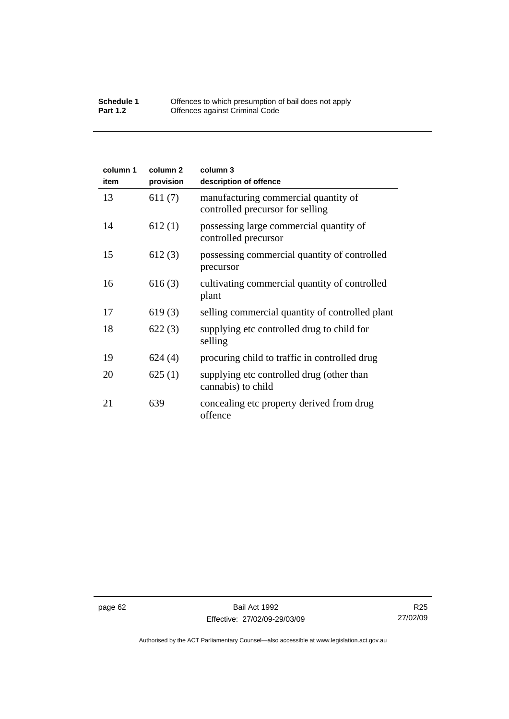#### **Schedule 1** Offences to which presumption of bail does not apply **Part 1.2 C** Offences against Criminal Code

| column 1<br>item | column <sub>2</sub><br>provision | column 3<br>description of offence                                       |
|------------------|----------------------------------|--------------------------------------------------------------------------|
| 13               | 611(7)                           | manufacturing commercial quantity of<br>controlled precursor for selling |
| 14               | 612(1)                           | possessing large commercial quantity of<br>controlled precursor          |
| 15               | 612(3)                           | possessing commercial quantity of controlled<br>precursor                |
| 16               | 616(3)                           | cultivating commercial quantity of controlled<br>plant                   |
| 17               | 619(3)                           | selling commercial quantity of controlled plant                          |
| 18               | 622(3)                           | supplying etc controlled drug to child for<br>selling                    |
| 19               | 624(4)                           | procuring child to traffic in controlled drug                            |
| 20               | 625(1)                           | supplying etc controlled drug (other than<br>cannabis) to child          |
| 21               | 639                              | concealing etc property derived from drug<br>offence                     |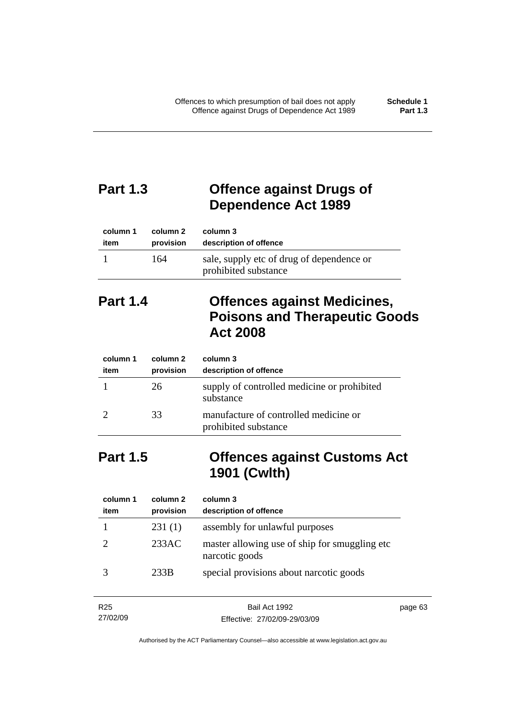# **Part 1.3 Offence against Drugs of Dependence Act 1989**

| column 1 | column 2  | column 3                                                          |
|----------|-----------|-------------------------------------------------------------------|
| item     | provision | description of offence                                            |
|          | 164       | sale, supply etc of drug of dependence or<br>prohibited substance |

# **Part 1.4 Offences against Medicines, Poisons and Therapeutic Goods Act 2008**

| column 1<br>item | column 2<br>provision | column 3<br>description of offence                            |
|------------------|-----------------------|---------------------------------------------------------------|
|                  | 26                    | supply of controlled medicine or prohibited<br>substance      |
|                  | 33                    | manufacture of controlled medicine or<br>prohibited substance |

# **Part 1.5 Offences against Customs Act 1901 (Cwlth)**

| column 1<br>item | column 2<br>provision | column 3<br>description of offence                               |
|------------------|-----------------------|------------------------------------------------------------------|
|                  | 231(1)                | assembly for unlawful purposes                                   |
|                  | 233AC                 | master allowing use of ship for smuggling etc.<br>narcotic goods |
|                  | 233B                  | special provisions about narcotic goods                          |

| R <sub>25</sub> | Bail Act 1992                | page 63 |
|-----------------|------------------------------|---------|
| 27/02/09        | Effective: 27/02/09-29/03/09 |         |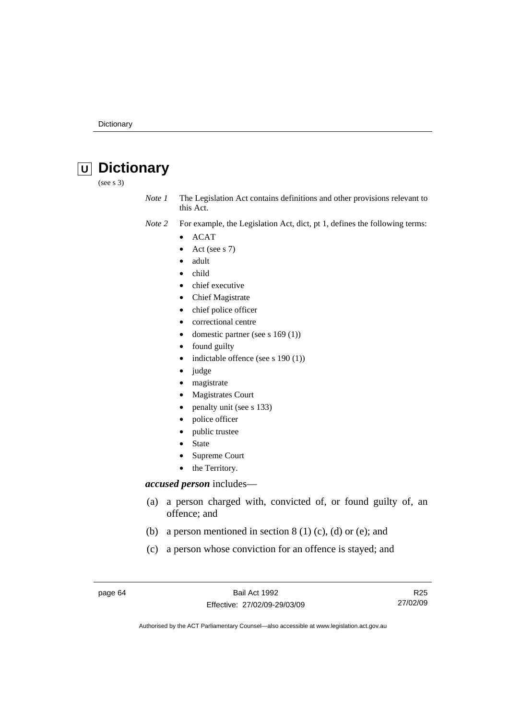# **U Dictionary**

(see s 3)

*Note 1* The Legislation Act contains definitions and other provisions relevant to this Act.

- *Note 2* For example, the Legislation Act, dict, pt 1, defines the following terms:
	- ACAT
		- Act (see s 7)
		- adult
	- child
	- chief executive
	- Chief Magistrate
	- chief police officer
	- correctional centre
	- domestic partner (see s 169 (1))
	- found guilty
	- indictable offence (see s 190 (1))
	- judge
	- magistrate
	- Magistrates Court
	- penalty unit (see s 133)
	- police officer
	- public trustee
	- **State**
	- Supreme Court
	- the Territory.

#### *accused person* includes—

- (a) a person charged with, convicted of, or found guilty of, an offence; and
- (b) a person mentioned in section  $8(1)(c)$ , (d) or (e); and
- (c) a person whose conviction for an offence is stayed; and

page 64 Bail Act 1992 Effective: 27/02/09-29/03/09

R25 27/02/09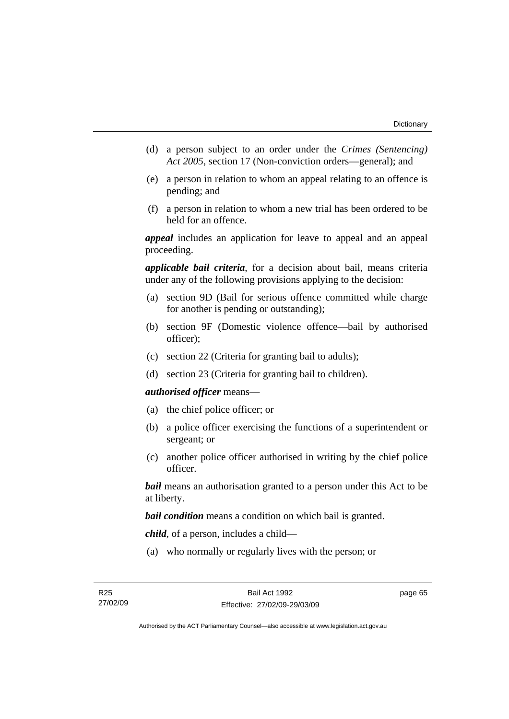- (d) a person subject to an order under the *Crimes (Sentencing) Act 2005*, section 17 (Non-conviction orders—general); and
- (e) a person in relation to whom an appeal relating to an offence is pending; and
- (f) a person in relation to whom a new trial has been ordered to be held for an offence.

*appeal* includes an application for leave to appeal and an appeal proceeding.

*applicable bail criteria*, for a decision about bail, means criteria under any of the following provisions applying to the decision:

- (a) section 9D (Bail for serious offence committed while charge for another is pending or outstanding);
- (b) section 9F (Domestic violence offence—bail by authorised officer);
- (c) section 22 (Criteria for granting bail to adults);
- (d) section 23 (Criteria for granting bail to children).

#### *authorised officer* means—

- (a) the chief police officer; or
- (b) a police officer exercising the functions of a superintendent or sergeant; or
- (c) another police officer authorised in writing by the chief police officer.

*bail* means an authorisation granted to a person under this Act to be at liberty.

*bail condition* means a condition on which bail is granted.

*child*, of a person, includes a child—

(a) who normally or regularly lives with the person; or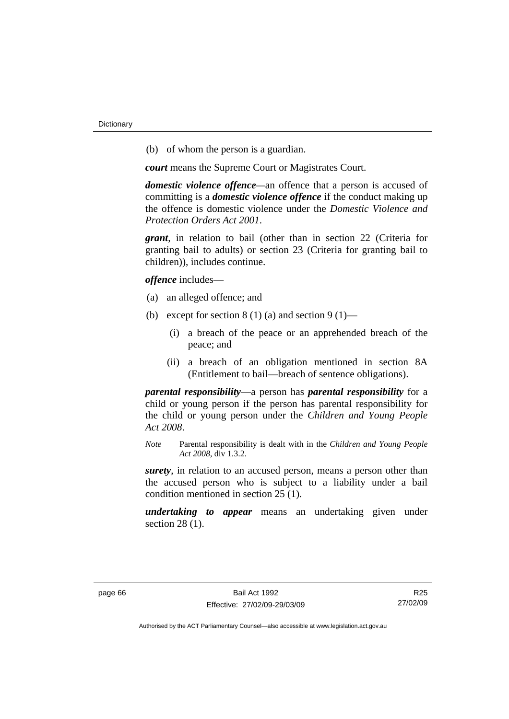(b) of whom the person is a guardian.

*court* means the Supreme Court or Magistrates Court.

*domestic violence offence—*an offence that a person is accused of committing is a *domestic violence offence* if the conduct making up the offence is domestic violence under the *Domestic Violence and Protection Orders Act 2001*.

*grant*, in relation to bail (other than in section 22 (Criteria for granting bail to adults) or section 23 (Criteria for granting bail to children)), includes continue.

*offence* includes—

- (a) an alleged offence; and
- (b) except for section  $8(1)(a)$  and section  $9(1)$ 
	- (i) a breach of the peace or an apprehended breach of the peace; and
	- (ii) a breach of an obligation mentioned in section 8A (Entitlement to bail—breach of sentence obligations).

*parental responsibility*—a person has *parental responsibility* for a child or young person if the person has parental responsibility for the child or young person under the *Children and Young People Act 2008*.

*Note* Parental responsibility is dealt with in the *Children and Young People Act 2008*, div 1.3.2.

*surety*, in relation to an accused person, means a person other than the accused person who is subject to a liability under a bail condition mentioned in section 25 (1).

*undertaking to appear* means an undertaking given under section 28 (1).

R25 27/02/09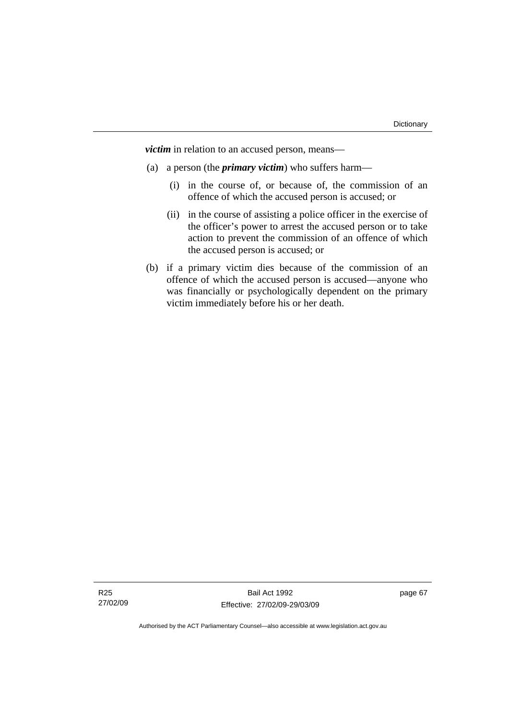*victim* in relation to an accused person, means—

- (a) a person (the *primary victim*) who suffers harm—
	- (i) in the course of, or because of, the commission of an offence of which the accused person is accused; or
	- (ii) in the course of assisting a police officer in the exercise of the officer's power to arrest the accused person or to take action to prevent the commission of an offence of which the accused person is accused; or
- (b) if a primary victim dies because of the commission of an offence of which the accused person is accused—anyone who was financially or psychologically dependent on the primary victim immediately before his or her death.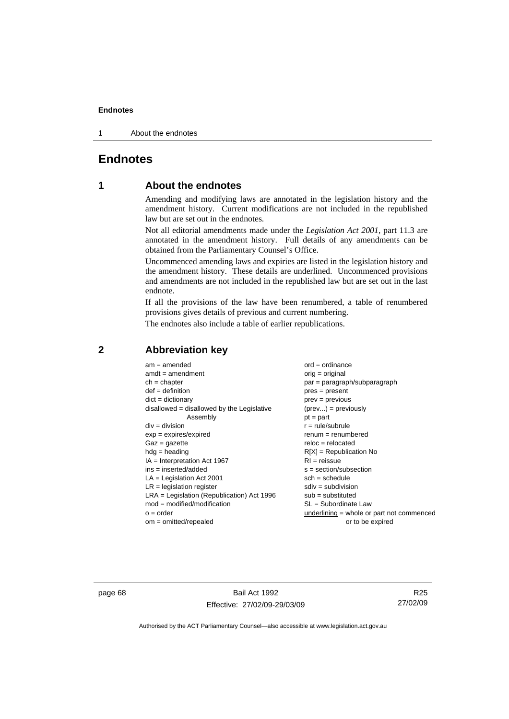1 About the endnotes

# **Endnotes**

# **1 About the endnotes**

Amending and modifying laws are annotated in the legislation history and the amendment history. Current modifications are not included in the republished law but are set out in the endnotes.

Not all editorial amendments made under the *Legislation Act 2001*, part 11.3 are annotated in the amendment history. Full details of any amendments can be obtained from the Parliamentary Counsel's Office.

Uncommenced amending laws and expiries are listed in the legislation history and the amendment history. These details are underlined. Uncommenced provisions and amendments are not included in the republished law but are set out in the last endnote.

If all the provisions of the law have been renumbered, a table of renumbered provisions gives details of previous and current numbering.

The endnotes also include a table of earlier republications.

| $am = amended$                               | $ord = ordinance$                         |
|----------------------------------------------|-------------------------------------------|
| $amdt = amendment$                           | orig = original                           |
| $ch = chapter$                               | par = paragraph/subparagraph              |
| $def = definition$                           | $pres = present$                          |
| $dict = dictionary$                          | $prev = previous$                         |
| $disallowed = disallowed by the Legislative$ | $(\text{prev}) = \text{previously}$       |
| Assembly                                     | $pt = part$                               |
| $div = division$                             | $r = rule/subrule$                        |
| $exp = expires/expired$                      | $renum = renumbered$                      |
| $Gaz = gazette$                              | $reloc = relocated$                       |
| $hdg =$ heading                              | $R[X]$ = Republication No                 |
| $IA = Interpretation Act 1967$               | $RI = reissue$                            |
| $ins = inserted/added$                       | $s = section/subsection$                  |
| $LA =$ Legislation Act 2001                  | $sch = schedule$                          |
| $LR =$ legislation register                  | $sdiv = subdivision$                      |
| $LRA =$ Legislation (Republication) Act 1996 | $sub =$ substituted                       |
| $mod = modified/modification$                | SL = Subordinate Law                      |
| $o = order$                                  | underlining = whole or part not commenced |
| $om = omitted/repealed$                      | or to be expired                          |
|                                              |                                           |

# **2 Abbreviation key**

page 68 Bail Act 1992 Effective: 27/02/09-29/03/09

R25 27/02/09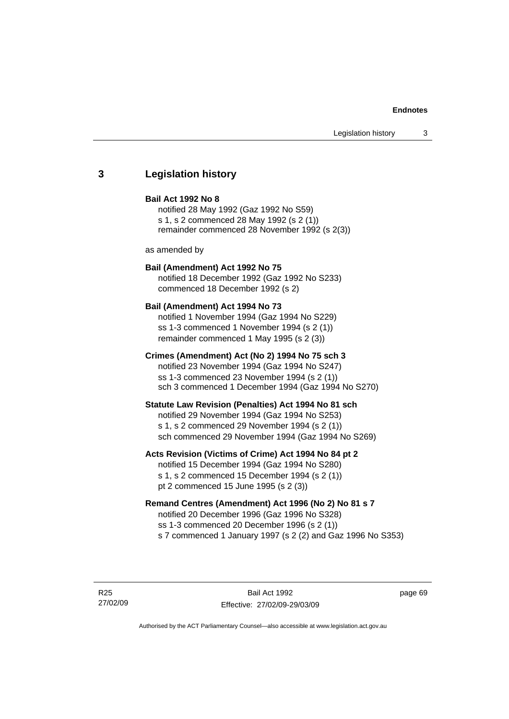## **3 Legislation history**

#### **Bail Act 1992 No 8**

notified 28 May 1992 (Gaz 1992 No S59) s 1, s 2 commenced 28 May 1992 (s 2 (1)) remainder commenced 28 November 1992 (s 2(3))

as amended by

## **Bail (Amendment) Act 1992 No 75**

notified 18 December 1992 (Gaz 1992 No S233) commenced 18 December 1992 (s 2)

#### **Bail (Amendment) Act 1994 No 73**

notified 1 November 1994 (Gaz 1994 No S229) ss 1-3 commenced 1 November 1994 (s 2 (1)) remainder commenced 1 May 1995 (s 2 (3))

#### **Crimes (Amendment) Act (No 2) 1994 No 75 sch 3**

notified 23 November 1994 (Gaz 1994 No S247) ss 1-3 commenced 23 November 1994 (s 2 (1)) sch 3 commenced 1 December 1994 (Gaz 1994 No S270)

#### **Statute Law Revision (Penalties) Act 1994 No 81 sch**

notified 29 November 1994 (Gaz 1994 No S253) s 1, s 2 commenced 29 November 1994 (s 2 (1)) sch commenced 29 November 1994 (Gaz 1994 No S269)

#### **Acts Revision (Victims of Crime) Act 1994 No 84 pt 2**

notified 15 December 1994 (Gaz 1994 No S280) s 1, s 2 commenced 15 December 1994 (s 2 (1)) pt 2 commenced 15 June 1995 (s 2 (3))

## **Remand Centres (Amendment) Act 1996 (No 2) No 81 s 7**

notified 20 December 1996 (Gaz 1996 No S328) ss 1-3 commenced 20 December 1996 (s 2 (1)) s 7 commenced 1 January 1997 (s 2 (2) and Gaz 1996 No S353)

R25 27/02/09

Bail Act 1992 Effective: 27/02/09-29/03/09 page 69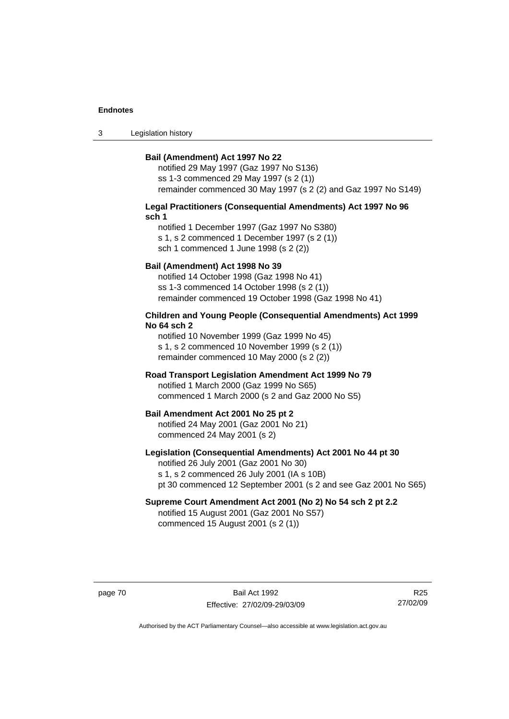3 Legislation history

#### **Bail (Amendment) Act 1997 No 22**

notified 29 May 1997 (Gaz 1997 No S136) ss 1-3 commenced 29 May 1997 (s 2 (1)) remainder commenced 30 May 1997 (s 2 (2) and Gaz 1997 No S149)

#### **Legal Practitioners (Consequential Amendments) Act 1997 No 96 sch 1**

notified 1 December 1997 (Gaz 1997 No S380) s 1, s 2 commenced 1 December 1997 (s 2 (1)) sch 1 commenced 1 June 1998 (s 2 (2))

#### **Bail (Amendment) Act 1998 No 39**

notified 14 October 1998 (Gaz 1998 No 41) ss 1-3 commenced 14 October 1998 (s 2 (1)) remainder commenced 19 October 1998 (Gaz 1998 No 41)

#### **Children and Young People (Consequential Amendments) Act 1999 No 64 sch 2**

notified 10 November 1999 (Gaz 1999 No 45) s 1, s 2 commenced 10 November 1999 (s 2 (1)) remainder commenced 10 May 2000 (s 2 (2))

#### **Road Transport Legislation Amendment Act 1999 No 79**

notified 1 March 2000 (Gaz 1999 No S65) commenced 1 March 2000 (s 2 and Gaz 2000 No S5)

#### **Bail Amendment Act 2001 No 25 pt 2**

notified 24 May 2001 (Gaz 2001 No 21) commenced 24 May 2001 (s 2)

#### **Legislation (Consequential Amendments) Act 2001 No 44 pt 30**

notified 26 July 2001 (Gaz 2001 No 30) s 1, s 2 commenced 26 July 2001 (IA s 10B) pt 30 commenced 12 September 2001 (s 2 and see Gaz 2001 No S65)

# **Supreme Court Amendment Act 2001 (No 2) No 54 sch 2 pt 2.2**

notified 15 August 2001 (Gaz 2001 No S57) commenced 15 August 2001 (s 2 (1))

page 70 Bail Act 1992 Effective: 27/02/09-29/03/09

R25 27/02/09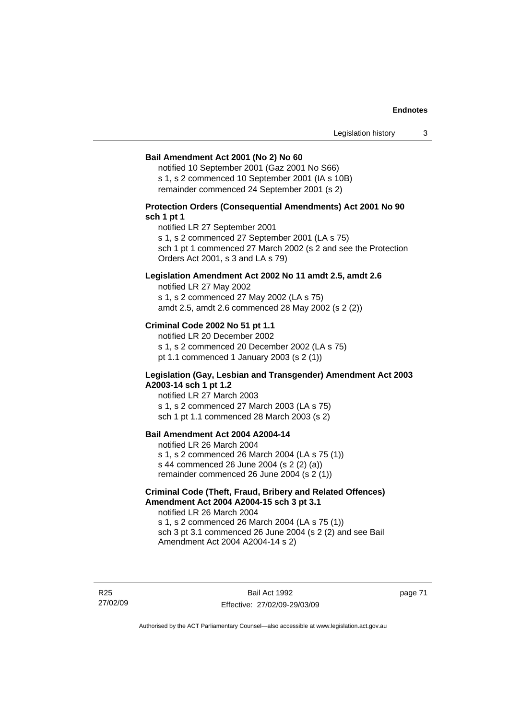#### **Bail Amendment Act 2001 (No 2) No 60**

notified 10 September 2001 (Gaz 2001 No S66) s 1, s 2 commenced 10 September 2001 (IA s 10B) remainder commenced 24 September 2001 (s 2)

### **Protection Orders (Consequential Amendments) Act 2001 No 90 sch 1 pt 1**

notified LR 27 September 2001

s 1, s 2 commenced 27 September 2001 (LA s 75)

sch 1 pt 1 commenced 27 March 2002 (s 2 and see the Protection Orders Act 2001, s 3 and LA s 79)

#### **Legislation Amendment Act 2002 No 11 amdt 2.5, amdt 2.6**

notified LR 27 May 2002 s 1, s 2 commenced 27 May 2002 (LA s 75) amdt 2.5, amdt 2.6 commenced 28 May 2002 (s 2 (2))

#### **Criminal Code 2002 No 51 pt 1.1**

notified LR 20 December 2002 s 1, s 2 commenced 20 December 2002 (LA s 75) pt 1.1 commenced 1 January 2003 (s 2 (1))

#### **Legislation (Gay, Lesbian and Transgender) Amendment Act 2003 A2003-14 sch 1 pt 1.2**

notified LR 27 March 2003 s 1, s 2 commenced 27 March 2003 (LA s 75) sch 1 pt 1.1 commenced 28 March 2003 (s 2)

## **Bail Amendment Act 2004 A2004-14**

notified LR 26 March 2004 s 1, s 2 commenced 26 March 2004 (LA s 75 (1)) s 44 commenced 26 June 2004 (s 2 (2) (a)) remainder commenced 26 June 2004 (s 2 (1))

#### **Criminal Code (Theft, Fraud, Bribery and Related Offences) Amendment Act 2004 A2004-15 sch 3 pt 3.1**

notified LR 26 March 2004 s 1, s 2 commenced 26 March 2004 (LA s 75 (1)) sch 3 pt 3.1 commenced 26 June 2004 (s 2 (2) and see Bail Amendment Act 2004 A2004-14 s 2)

R25 27/02/09

Bail Act 1992 Effective: 27/02/09-29/03/09 page 71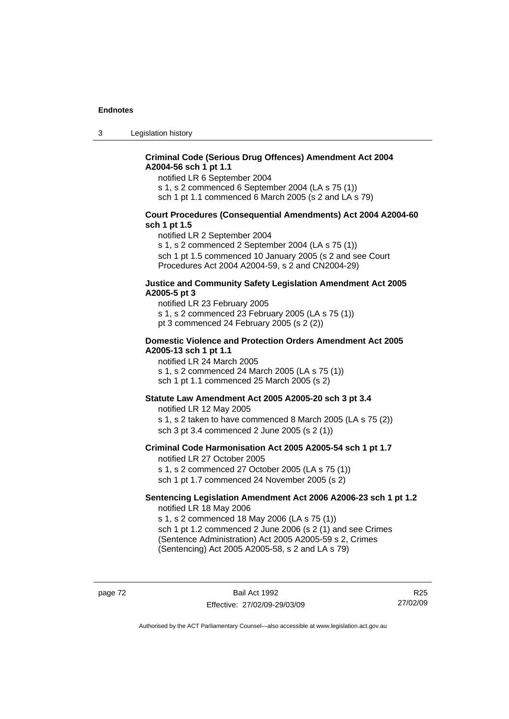3 Legislation history

## **Criminal Code (Serious Drug Offences) Amendment Act 2004 A2004-56 sch 1 pt 1.1**

notified LR 6 September 2004

s 1, s 2 commenced 6 September 2004 (LA s 75 (1))

sch 1 pt 1.1 commenced 6 March 2005 (s 2 and LA s 79)

#### **Court Procedures (Consequential Amendments) Act 2004 A2004-60 sch 1 pt 1.5**

notified LR 2 September 2004

s 1, s 2 commenced 2 September 2004 (LA s 75 (1)) sch 1 pt 1.5 commenced 10 January 2005 (s 2 and see Court Procedures Act 2004 A2004-59, s 2 and CN2004-29)

#### **Justice and Community Safety Legislation Amendment Act 2005 A2005-5 pt 3**

notified LR 23 February 2005 s 1, s 2 commenced 23 February 2005 (LA s 75 (1)) pt 3 commenced 24 February 2005 (s 2 (2))

#### **Domestic Violence and Protection Orders Amendment Act 2005 A2005-13 sch 1 pt 1.1**

notified LR 24 March 2005 s 1, s 2 commenced 24 March 2005 (LA s 75 (1)) sch 1 pt 1.1 commenced 25 March 2005 (s 2)

#### **Statute Law Amendment Act 2005 A2005-20 sch 3 pt 3.4**

notified LR 12 May 2005 s 1, s 2 taken to have commenced 8 March 2005 (LA s 75 (2)) sch 3 pt 3.4 commenced 2 June 2005 (s 2 (1))

#### **Criminal Code Harmonisation Act 2005 A2005-54 sch 1 pt 1.7**  notified LR 27 October 2005

s 1, s 2 commenced 27 October 2005 (LA s 75 (1)) sch 1 pt 1.7 commenced 24 November 2005 (s 2)

#### **Sentencing Legislation Amendment Act 2006 A2006-23 sch 1 pt 1.2**  notified LR 18 May 2006

s 1, s 2 commenced 18 May 2006 (LA s 75 (1)) sch 1 pt 1.2 commenced 2 June 2006 (s 2 (1) and see Crimes (Sentence Administration) Act 2005 A2005-59 s 2, Crimes

(Sentencing) Act 2005 A2005-58, s 2 and LA s 79)

page 72 Bail Act 1992 Effective: 27/02/09-29/03/09

R25 27/02/09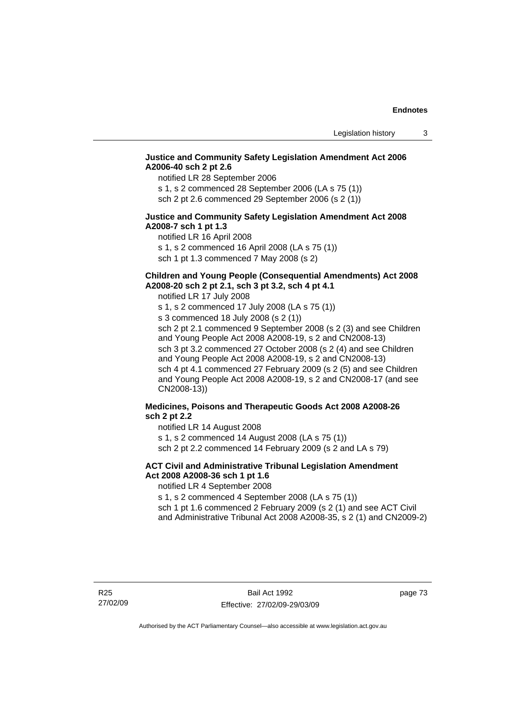## **Justice and Community Safety Legislation Amendment Act 2006 A2006-40 sch 2 pt 2.6**

notified LR 28 September 2006

s 1, s 2 commenced 28 September 2006 (LA s 75 (1)) sch 2 pt 2.6 commenced 29 September 2006 (s 2 (1))

#### **Justice and Community Safety Legislation Amendment Act 2008 A2008-7 sch 1 pt 1.3**

notified LR 16 April 2008 s 1, s 2 commenced 16 April 2008 (LA s 75 (1)) sch 1 pt 1.3 commenced 7 May 2008 (s 2)

# **Children and Young People (Consequential Amendments) Act 2008**

**A2008-20 sch 2 pt 2.1, sch 3 pt 3.2, sch 4 pt 4.1** 

notified LR 17 July 2008

s 1, s 2 commenced 17 July 2008 (LA s 75 (1)) s 3 commenced 18 July 2008 (s 2 (1)) sch 2 pt 2.1 commenced 9 September 2008 (s 2 (3) and see Children and Young People Act 2008 A2008-19, s 2 and CN2008-13) sch 3 pt 3.2 commenced 27 October 2008 (s 2 (4) and see Children and Young People Act 2008 A2008-19, s 2 and CN2008-13) sch 4 pt 4.1 commenced 27 February 2009 (s 2 (5) and see Children and Young People Act 2008 A2008-19, s 2 and CN2008-17 (and see CN2008-13))

## **Medicines, Poisons and Therapeutic Goods Act 2008 A2008-26 sch 2 pt 2.2**

notified LR 14 August 2008 s 1, s 2 commenced 14 August 2008 (LA s 75 (1))

sch 2 pt 2.2 commenced 14 February 2009 (s 2 and LA s 79)

## **ACT Civil and Administrative Tribunal Legislation Amendment Act 2008 A2008-36 sch 1 pt 1.6**

notified LR 4 September 2008

s 1, s 2 commenced 4 September 2008 (LA s 75 (1))

sch 1 pt 1.6 commenced 2 February 2009 (s 2 (1) and see ACT Civil and Administrative Tribunal Act 2008 A2008-35, s 2 (1) and CN2009-2)

page 73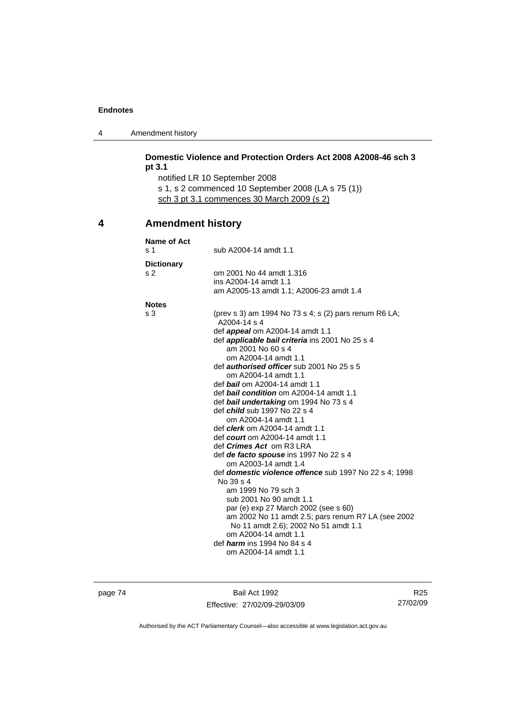4 Amendment history

|   | pt 3.1                   | Domestic Violence and Protection Orders Act 2008 A2008-46 sch 3<br>notified LR 10 September 2008<br>s 1, s 2 commenced 10 September 2008 (LA s 75 (1))<br>sch 3 pt 3.1 commences 30 March 2009 (s 2) |
|---|--------------------------|------------------------------------------------------------------------------------------------------------------------------------------------------------------------------------------------------|
| 4 | <b>Amendment history</b> |                                                                                                                                                                                                      |
|   | Name of Act              |                                                                                                                                                                                                      |
|   | s 1                      | sub A2004-14 amdt 1.1                                                                                                                                                                                |
|   | <b>Dictionary</b>        |                                                                                                                                                                                                      |
|   | s <sub>2</sub>           | om 2001 No 44 amdt 1.316                                                                                                                                                                             |
|   |                          | ins A2004-14 amdt 1.1                                                                                                                                                                                |
|   |                          | am A2005-13 amdt 1.1; A2006-23 amdt 1.4                                                                                                                                                              |
|   | <b>Notes</b>             |                                                                                                                                                                                                      |
|   | s 3                      | (prev s 3) am 1994 No 73 s 4; s (2) pars renum R6 LA;                                                                                                                                                |
|   |                          | A2004-14 s 4                                                                                                                                                                                         |
|   |                          | def appeal om A2004-14 amdt 1.1                                                                                                                                                                      |
|   |                          | def applicable bail criteria ins 2001 No 25 s 4<br>am 2001 No 60 s 4                                                                                                                                 |
|   |                          | om A2004-14 amdt 1.1                                                                                                                                                                                 |
|   |                          | def <b>authorised officer</b> sub 2001 No 25 s 5                                                                                                                                                     |
|   |                          | om A2004-14 amdt 1.1                                                                                                                                                                                 |
|   |                          | def bail om A2004-14 amdt 1.1                                                                                                                                                                        |
|   |                          | def <b>bail condition</b> om A2004-14 amdt 1.1                                                                                                                                                       |
|   |                          | def bail undertaking om 1994 No 73 s 4                                                                                                                                                               |
|   |                          | def <i>child</i> sub 1997 No 22 s 4                                                                                                                                                                  |
|   |                          | om A2004-14 amdt 1.1<br>def <i>clerk</i> om A2004-14 amdt 1.1                                                                                                                                        |
|   |                          | def <i>court</i> om A2004-14 amdt 1.1                                                                                                                                                                |
|   |                          | def <i>Crimes Act</i> om R3 LRA                                                                                                                                                                      |
|   |                          | def de facto spouse ins 1997 No 22 s 4                                                                                                                                                               |
|   |                          | om A2003-14 amdt 1.4                                                                                                                                                                                 |
|   |                          | def domestic violence offence sub 1997 No 22 s 4; 1998                                                                                                                                               |
|   |                          | No 39 s 4                                                                                                                                                                                            |
|   |                          | am 1999 No 79 sch 3<br>sub 2001 No 90 amdt 1.1                                                                                                                                                       |
|   |                          | par (e) exp 27 March 2002 (see s 60)                                                                                                                                                                 |
|   |                          | am 2002 No 11 amdt 2.5; pars renum R7 LA (see 2002                                                                                                                                                   |
|   |                          | No 11 amdt 2.6); 2002 No 51 amdt 1.1                                                                                                                                                                 |
|   |                          | om A2004-14 amdt 1.1                                                                                                                                                                                 |
|   |                          | def <i>harm</i> ins 1994 No 84 s 4                                                                                                                                                                   |
|   |                          | om A2004-14 amdt 1.1                                                                                                                                                                                 |

page 74 Bail Act 1992 Effective: 27/02/09-29/03/09

R25 27/02/09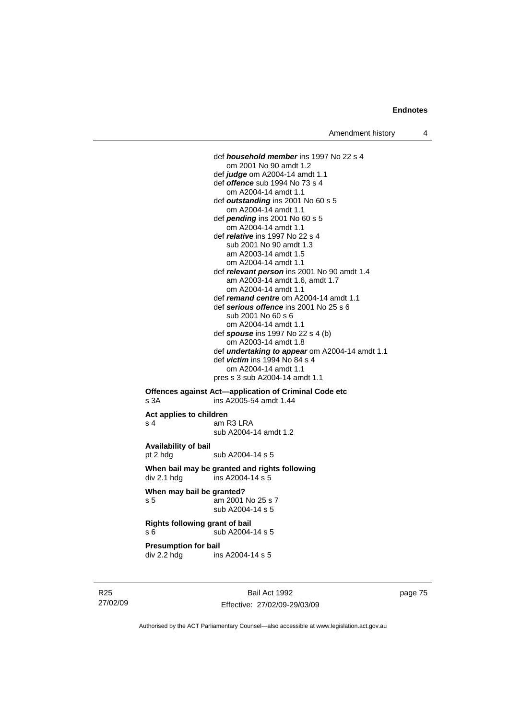def *household member* ins 1997 No 22 s 4 om 2001 No 90 amdt 1.2 def *judge* om A2004-14 amdt 1.1 def *offence* sub 1994 No 73 s 4 om A2004-14 amdt 1.1 def *outstanding* ins 2001 No 60 s 5 om A2004-14 amdt 1.1 def *pending* ins 2001 No 60 s 5 om A2004-14 amdt 1.1 def *relative* ins 1997 No 22 s 4 sub 2001 No 90 amdt 1.3 am A2003-14 amdt 1.5 om A2004-14 amdt 1.1 def *relevant person* ins 2001 No 90 amdt 1.4 am A2003-14 amdt 1.6, amdt 1.7 om A2004-14 amdt 1.1 def *remand centre* om A2004-14 amdt 1.1 def *serious offence* ins 2001 No 25 s 6 sub 2001 No 60 s 6 om A2004-14 amdt 1.1 def *spouse* ins 1997 No 22 s 4 (b) om A2003-14 amdt 1.8 def *undertaking to appear* om A2004-14 amdt 1.1 def *victim* ins 1994 No 84 s 4 om A2004-14 amdt 1.1 pres s 3 sub A2004-14 amdt 1.1 **Offences against Act—application of Criminal Code etc** 

# s 3A ins A2005-54 amdt 1.44 **Act applies to children**  s 4 am R3 LRA

sub A2004-14 amdt 1.2

**Availability of bail**  pt 2 hdg sub A2004-14 s 5

**When bail may be granted and rights following**   $div 2.1$  hdg ins A2004-14 s 5

**When may bail be granted?**  s 5 am 2001 No 25 s 7 sub A2004-14 s 5

**Rights following grant of bail**  s 6  $\overline{\smash{\big)}\smash{\big)}\smash{\big)}$  sub A2004-14 s 5

**Presumption for bail** 

div 2.2 hdg ins A2004-14 s 5

R25 27/02/09

Bail Act 1992 Effective: 27/02/09-29/03/09 page 75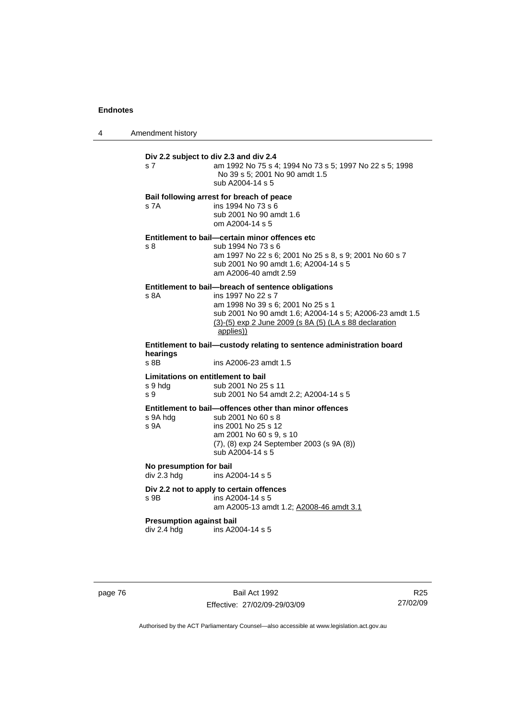4 Amendment history

| s 7                                                                               | Div 2.2 subject to div 2.3 and div 2.4<br>am 1992 No 75 s 4; 1994 No 73 s 5; 1997 No 22 s 5; 1998<br>No 39 s 5; 2001 No 90 amdt 1.5<br>sub A2004-14 s 5                                                                                          |  |
|-----------------------------------------------------------------------------------|--------------------------------------------------------------------------------------------------------------------------------------------------------------------------------------------------------------------------------------------------|--|
| s 7A                                                                              | Bail following arrest for breach of peace<br>ins 1994 No 73 s 6<br>sub 2001 No 90 amdt 1.6<br>om A2004-14 s 5                                                                                                                                    |  |
| s 8                                                                               | Entitlement to bail-certain minor offences etc<br>sub 1994 No 73 s 6<br>am 1997 No 22 s 6; 2001 No 25 s 8, s 9; 2001 No 60 s 7<br>sub 2001 No 90 amdt 1.6; A2004-14 s 5<br>am A2006-40 amdt 2.59                                                 |  |
| s 8A                                                                              | Entitlement to bail-breach of sentence obligations<br>ins 1997 No 22 s 7<br>am 1998 No 39 s 6; 2001 No 25 s 1<br>sub 2001 No 90 amdt 1.6; A2004-14 s 5; A2006-23 amdt 1.5<br>(3)-(5) exp 2 June 2009 (s 8A (5) (LA s 88 declaration<br>applies)) |  |
| Entitlement to bail-custody relating to sentence administration board<br>hearings |                                                                                                                                                                                                                                                  |  |
| s 8B                                                                              | ins A2006-23 amdt 1.5                                                                                                                                                                                                                            |  |
| Limitations on entitlement to bail<br>s 9 hdg<br>s 9                              | sub 2001 No 25 s 11<br>sub 2001 No 54 amdt 2.2; A2004-14 s 5                                                                                                                                                                                     |  |
| s 9A hdg<br>s 9A                                                                  | Entitlement to bail-offences other than minor offences<br>sub 2001 No 60 s 8<br>ins 2001 No 25 s 12<br>am 2001 No 60 s 9, s 10<br>(7), (8) exp 24 September 2003 (s 9A (8))<br>sub A2004-14 s 5                                                  |  |
| No presumption for bail<br>div 2.3 hdg                                            | ins A2004-14 s 5                                                                                                                                                                                                                                 |  |
| s 9B                                                                              | Div 2.2 not to apply to certain offences<br>ins A2004-14 s 5<br>am A2005-13 amdt 1.2; A2008-46 amdt 3.1                                                                                                                                          |  |
| <b>Presumption against bail</b><br>div 2.4 hdg                                    | ins A2004-14 s 5                                                                                                                                                                                                                                 |  |

page 76 Bail Act 1992 Effective: 27/02/09-29/03/09

R25 27/02/09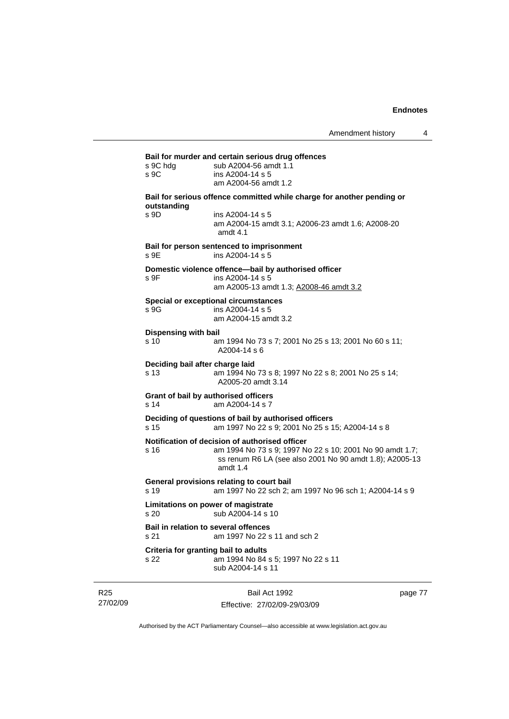| s 9C hdg<br>s 9C     | sub A2004-56 amdt 1.1<br>ins A2004-14 s 5                                                                                                                                           |
|----------------------|-------------------------------------------------------------------------------------------------------------------------------------------------------------------------------------|
|                      | am A2004-56 amdt 1.2                                                                                                                                                                |
| outstanding          | Bail for serious offence committed while charge for another pending or                                                                                                              |
| s 9D                 | ins A2004-14 s 5<br>am A2004-15 amdt 3.1; A2006-23 amdt 1.6; A2008-20<br>amdt $4.1$                                                                                                 |
| s 9E                 | Bail for person sentenced to imprisonment<br>ins A2004-14 s 5                                                                                                                       |
| s 9F                 | Domestic violence offence-bail by authorised officer<br>ins A2004-14 s 5                                                                                                            |
|                      | am A2005-13 amdt 1.3; A2008-46 amdt 3.2                                                                                                                                             |
| s 9G                 | <b>Special or exceptional circumstances</b><br>ins A2004-14 s 5<br>am A2004-15 amdt 3.2                                                                                             |
| Dispensing with bail |                                                                                                                                                                                     |
| s 10                 | am 1994 No 73 s 7; 2001 No 25 s 13; 2001 No 60 s 11;<br>A2004-14 s 6                                                                                                                |
| s <sub>13</sub>      | Deciding bail after charge laid<br>am 1994 No 73 s 8; 1997 No 22 s 8; 2001 No 25 s 14;<br>A2005-20 amdt 3.14                                                                        |
| s 14                 | Grant of bail by authorised officers<br>am A2004-14 s 7                                                                                                                             |
| s 15                 | Deciding of questions of bail by authorised officers<br>am 1997 No 22 s 9; 2001 No 25 s 15; A2004-14 s 8                                                                            |
| s 16                 | Notification of decision of authorised officer<br>am 1994 No 73 s 9; 1997 No 22 s 10; 2001 No 90 amdt 1.7;<br>ss renum R6 LA (see also 2001 No 90 amdt 1.8); A2005-13<br>amdt $1.4$ |
| s 19                 | General provisions relating to court bail<br>am 1997 No 22 sch 2; am 1997 No 96 sch 1; A2004-14 s 9                                                                                 |
| s 20                 | Limitations on power of magistrate<br>sub A2004-14 s 10                                                                                                                             |
| s 21                 | Bail in relation to several offences<br>am 1997 No 22 s 11 and sch 2                                                                                                                |
| s 22                 | Criteria for granting bail to adults<br>am 1994 No 84 s 5; 1997 No 22 s 11<br>sub A2004-14 s 11                                                                                     |

R25 27/02/09

Bail Act 1992 Effective: 27/02/09-29/03/09 page 77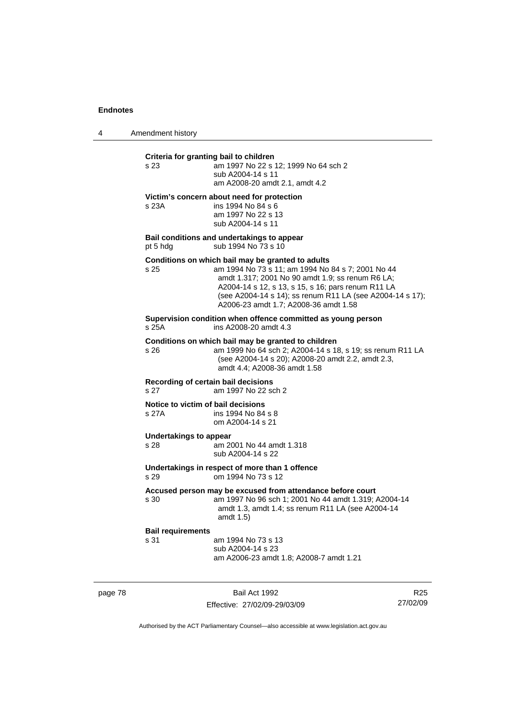4 Amendment history

| s 23                             | am 1997 No 22 s 12; 1999 No 64 sch 2<br>sub A2004-14 s 11<br>am A2008-20 amdt 2.1, amdt 4.2                                                                                                                                                                                                                            |
|----------------------------------|------------------------------------------------------------------------------------------------------------------------------------------------------------------------------------------------------------------------------------------------------------------------------------------------------------------------|
| s 23A                            | Victim's concern about need for protection<br>ins 1994 No 84 s 6<br>am 1997 No 22 s 13<br>sub A2004-14 s 11                                                                                                                                                                                                            |
| pt 5 hdg                         | Bail conditions and undertakings to appear<br>sub 1994 No 73 s 10                                                                                                                                                                                                                                                      |
| s 25                             | Conditions on which bail may be granted to adults<br>am 1994 No 73 s 11; am 1994 No 84 s 7; 2001 No 44<br>amdt 1.317; 2001 No 90 amdt 1.9; ss renum R6 LA;<br>A2004-14 s 12, s 13, s 15, s 16; pars renum R11 LA<br>(see A2004-14 s 14); ss renum R11 LA (see A2004-14 s 17);<br>A2006-23 amdt 1.7; A2008-36 amdt 1.58 |
| s 25A                            | Supervision condition when offence committed as young person<br>ins A2008-20 amdt 4.3                                                                                                                                                                                                                                  |
| s 26                             | Conditions on which bail may be granted to children<br>am 1999 No 64 sch 2; A2004-14 s 18, s 19; ss renum R11 LA<br>(see A2004-14 s 20); A2008-20 amdt 2.2, amdt 2.3,<br>amdt 4.4; A2008-36 amdt 1.58                                                                                                                  |
| s 27                             | Recording of certain bail decisions<br>am 1997 No 22 sch 2                                                                                                                                                                                                                                                             |
| s 27A                            | Notice to victim of bail decisions<br>ins 1994 No 84 s 8<br>om A2004-14 s 21                                                                                                                                                                                                                                           |
| Undertakings to appear<br>s 28   | am 2001 No 44 amdt 1.318<br>sub A2004-14 s 22                                                                                                                                                                                                                                                                          |
| s 29                             | Undertakings in respect of more than 1 offence<br>om 1994 No 73 s 12                                                                                                                                                                                                                                                   |
| s 30                             | Accused person may be excused from attendance before court<br>am 1997 No 96 sch 1; 2001 No 44 amdt 1.319; A2004-14<br>amdt 1.3, amdt 1.4; ss renum R11 LA (see A2004-14<br>amdt 1.5)                                                                                                                                   |
| <b>Bail requirements</b><br>s 31 | am 1994 No 73 s 13<br>sub A2004-14 s 23<br>am A2006-23 amdt 1.8; A2008-7 amdt 1.21                                                                                                                                                                                                                                     |

page 78 Bail Act 1992 Effective: 27/02/09-29/03/09

R25 27/02/09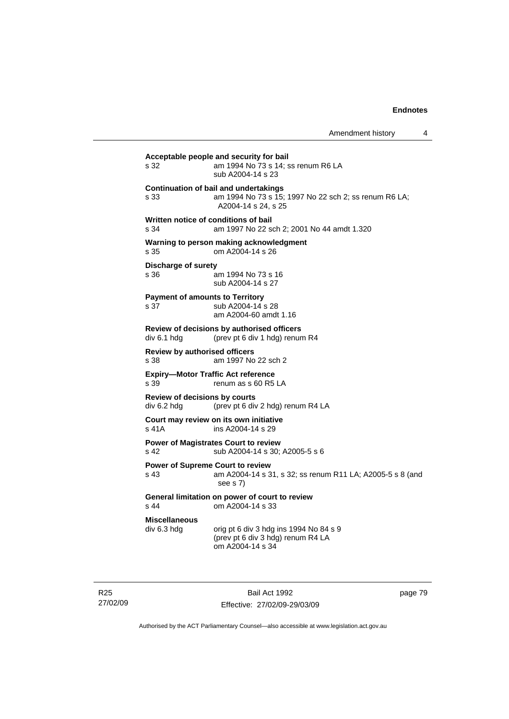| s 32                                           | am 1994 No 73 s 14; ss renum R6 LA<br>sub A2004-14 s 23                                                                      |
|------------------------------------------------|------------------------------------------------------------------------------------------------------------------------------|
| s 33                                           | <b>Continuation of bail and undertakings</b><br>am 1994 No 73 s 15; 1997 No 22 sch 2; ss renum R6 LA;<br>A2004-14 s 24, s 25 |
| s.34                                           | Written notice of conditions of bail<br>am 1997 No 22 sch 2; 2001 No 44 amdt 1.320                                           |
| s 35                                           | Warning to person making acknowledgment<br>om A2004-14 s 26                                                                  |
| <b>Discharge of surety</b><br>s 36             | am 1994 No 73 s 16<br>sub A2004-14 s 27                                                                                      |
| <b>Payment of amounts to Territory</b><br>s 37 | sub A2004-14 s 28<br>am A2004-60 amdt 1.16                                                                                   |
| div 6.1 hdg                                    | Review of decisions by authorised officers<br>(prev pt 6 div 1 hdg) renum R4                                                 |
| <b>Review by authorised officers</b><br>s 38   | am 1997 No 22 sch 2                                                                                                          |
| s 39                                           | <b>Expiry-Motor Traffic Act reference</b><br>renum as s 60 R5 LA                                                             |
| Review of decisions by courts<br>div 6.2 hdg   | (prev pt 6 div 2 hdg) renum R4 LA                                                                                            |
| s 41A                                          | Court may review on its own initiative<br>ins A2004-14 s 29                                                                  |
| s <sub>42</sub>                                | <b>Power of Magistrates Court to review</b><br>sub A2004-14 s 30; A2005-5 s 6                                                |
| s 43                                           | <b>Power of Supreme Court to review</b><br>am A2004-14 s 31, s 32; ss renum R11 LA; A2005-5 s 8 (and<br>see s 7)             |
| s 44                                           | General limitation on power of court to review<br>om A2004-14 s 33                                                           |
| <b>Miscellaneous</b><br>div 6.3 hdg            | orig pt 6 div 3 hdg ins 1994 No 84 s 9<br>(prev pt 6 div 3 hdg) renum R4 LA<br>om A2004-14 s 34                              |

R25 27/02/09

Bail Act 1992 Effective: 27/02/09-29/03/09 page 79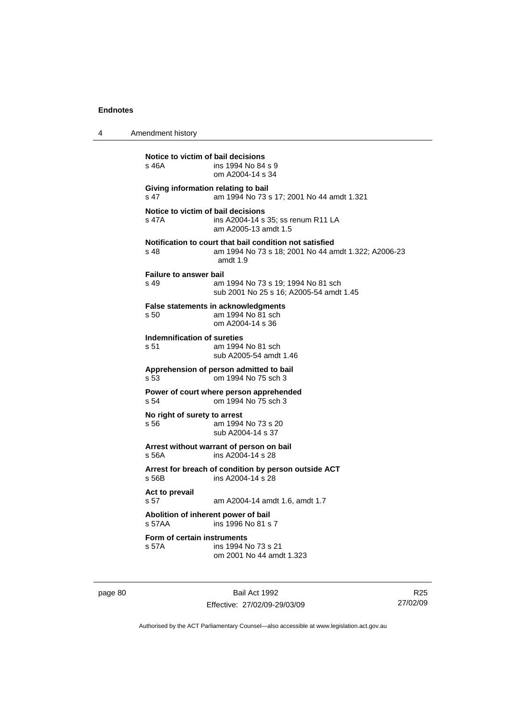| 4 | Amendment history                                                                                                                    |
|---|--------------------------------------------------------------------------------------------------------------------------------------|
|   | Notice to victim of bail decisions<br>s 46A<br>ins 1994 No 84 s 9<br>om A2004-14 s 34                                                |
|   | Giving information relating to bail<br>s 47<br>am 1994 No 73 s 17; 2001 No 44 amdt 1.321                                             |
|   | Notice to victim of bail decisions<br>s 47A<br>ins A2004-14 s 35; ss renum R11 LA<br>am A2005-13 amdt 1.5                            |
|   | Notification to court that bail condition not satisfied<br>am 1994 No 73 s 18; 2001 No 44 amdt 1.322; A2006-23<br>s 48<br>amdt $1.9$ |
|   | <b>Failure to answer bail</b><br>s 49<br>am 1994 No 73 s 19; 1994 No 81 sch<br>sub 2001 No 25 s 16; A2005-54 amdt 1.45               |
|   | <b>False statements in acknowledgments</b><br>s 50<br>am 1994 No 81 sch<br>om A2004-14 s 36                                          |
|   | Indemnification of sureties<br>s 51<br>am 1994 No 81 sch<br>sub A2005-54 amdt 1.46                                                   |
|   | Apprehension of person admitted to bail<br>s 53<br>om 1994 No 75 sch 3                                                               |
|   | Power of court where person apprehended<br>om 1994 No 75 sch 3<br>s 54                                                               |
|   | No right of surety to arrest<br>am 1994 No 73 s 20<br>s 56<br>sub A2004-14 s 37                                                      |
|   | Arrest without warrant of person on bail<br>ins A2004-14 s 28<br>s 56A                                                               |
|   | Arrest for breach of condition by person outside ACT<br>s 56B<br>ins A2004-14 s 28                                                   |
|   | Act to prevail<br>s <sub>57</sub><br>am A2004-14 amdt 1.6, amdt 1.7                                                                  |
|   | Abolition of inherent power of bail<br>s.57AA<br>ins 1996 No 81 s 7                                                                  |
|   | Form of certain instruments<br>ins 1994 No 73 s 21<br>s 57A<br>om 2001 No 44 amdt 1.323                                              |
|   |                                                                                                                                      |

page 80 Bail Act 1992

Effective: 27/02/09-29/03/09

R25 27/02/09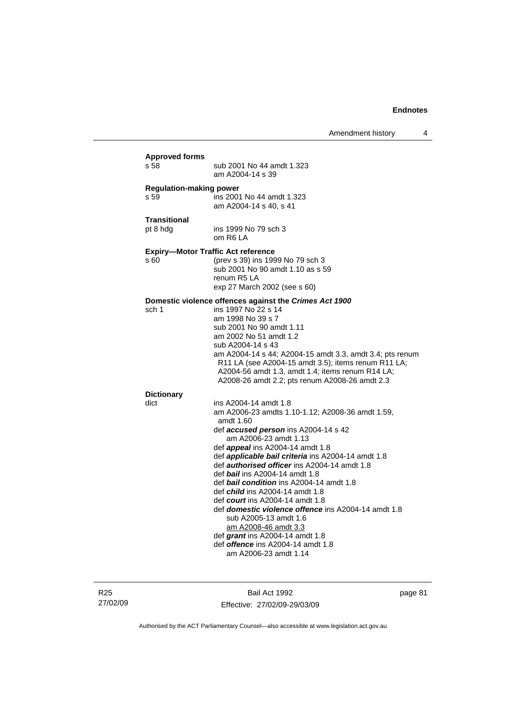| s 58                                   | sub 2001 No 44 amdt 1.323<br>am A2004-14 s 39                                                                                                                                                                                                                                                                                                                                                                                                                                                                                                                                                                                                                                     |
|----------------------------------------|-----------------------------------------------------------------------------------------------------------------------------------------------------------------------------------------------------------------------------------------------------------------------------------------------------------------------------------------------------------------------------------------------------------------------------------------------------------------------------------------------------------------------------------------------------------------------------------------------------------------------------------------------------------------------------------|
| <b>Regulation-making power</b><br>s 59 | ins 2001 No 44 amdt 1.323<br>am A2004-14 s 40, s 41                                                                                                                                                                                                                                                                                                                                                                                                                                                                                                                                                                                                                               |
| <b>Transitional</b><br>pt 8 hdg        | ins 1999 No 79 sch 3<br>om R6 LA                                                                                                                                                                                                                                                                                                                                                                                                                                                                                                                                                                                                                                                  |
| s 60                                   | <b>Expiry-Motor Traffic Act reference</b><br>(prev s 39) ins 1999 No 79 sch 3<br>sub 2001 No 90 amdt 1.10 as s 59<br>renum R5 LA<br>exp 27 March 2002 (see s 60)                                                                                                                                                                                                                                                                                                                                                                                                                                                                                                                  |
| sch 1                                  | Domestic violence offences against the Crimes Act 1900<br>ins 1997 No 22 s 14<br>am 1998 No 39 s 7<br>sub 2001 No 90 amdt 1.11<br>am 2002 No 51 amdt 1.2<br>sub A2004-14 s 43<br>am A2004-14 s 44; A2004-15 amdt 3.3, amdt 3.4; pts renum<br>R11 LA (see A2004-15 amdt 3.5); items renum R11 LA;<br>A2004-56 amdt 1.3, amdt 1.4; items renum R14 LA;<br>A2008-26 amdt 2.2; pts renum A2008-26 amdt 2.3                                                                                                                                                                                                                                                                            |
| <b>Dictionary</b><br>dict              | ins A2004-14 amdt 1.8<br>am A2006-23 amdts 1.10-1.12; A2008-36 amdt 1.59,<br>amdt 1.60<br>def <b>accused person</b> ins A2004-14 s 42<br>am A2006-23 amdt 1.13<br>def <b>appeal</b> ins A2004-14 amdt 1.8<br>def applicable bail criteria ins A2004-14 amdt 1.8<br>def authorised officer ins A2004-14 amdt 1.8<br>def bail ins A2004-14 amdt 1.8<br>def <b>bail condition</b> ins A2004-14 amdt 1.8<br>def child ins A2004-14 amdt 1.8<br>def <i>court</i> ins A2004-14 amdt 1.8<br>def <b>domestic violence offence</b> ins A2004-14 amdt 1.8<br>sub A2005-13 amdt 1.6<br>am A2008-46 amdt 3.3<br>def grant ins $A2004-14$ amdt 1.8<br>def <i>offence</i> ins A2004-14 amdt 1.8 |

R25 27/02/09

Bail Act 1992 Effective: 27/02/09-29/03/09 page 81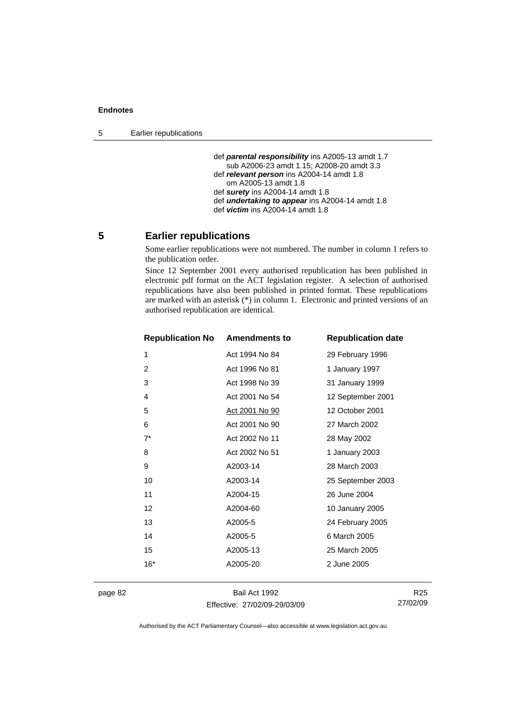5 Earlier republications

```
 def parental responsibility ins A2005-13 amdt 1.7 
   sub A2006-23 amdt 1.15; A2008-20 amdt 3.3 
def relevant person ins A2004-14 amdt 1.8 
   om A2005-13 amdt 1.8 
def surety ins A2004-14 amdt 1.8 
def undertaking to appear ins A2004-14 amdt 1.8 
def victim ins A2004-14 amdt 1.8
```
# **5 Earlier republications**

Some earlier republications were not numbered. The number in column 1 refers to the publication order.

Since 12 September 2001 every authorised republication has been published in electronic pdf format on the ACT legislation register. A selection of authorised republications have also been published in printed format. These republications are marked with an asterisk (\*) in column 1. Electronic and printed versions of an authorised republication are identical.

| <b>Republication No</b> | <b>Amendments to</b> | <b>Republication date</b> |
|-------------------------|----------------------|---------------------------|
| 1                       | Act 1994 No 84       | 29 February 1996          |
| 2                       | Act 1996 No 81       | 1 January 1997            |
| 3                       | Act 1998 No 39       | 31 January 1999           |
| 4                       | Act 2001 No 54       | 12 September 2001         |
| 5                       | Act 2001 No 90       | 12 October 2001           |
| 6                       | Act 2001 No 90       | 27 March 2002             |
| $7^*$                   | Act 2002 No 11       | 28 May 2002               |
| 8                       | Act 2002 No 51       | 1 January 2003            |
| 9                       | A2003-14             | 28 March 2003             |
| 10                      | A2003-14             | 25 September 2003         |
| 11                      | A2004-15             | 26 June 2004              |
| 12                      | A2004-60             | 10 January 2005           |
| 13                      | A2005-5              | 24 February 2005          |
| 14                      | A2005-5              | 6 March 2005              |
| 15                      | A2005-13             | 25 March 2005             |
| $16*$                   | A2005-20             | 2 June 2005               |
|                         |                      |                           |

page 82 Bail Act 1992 Effective: 27/02/09-29/03/09

R25 27/02/09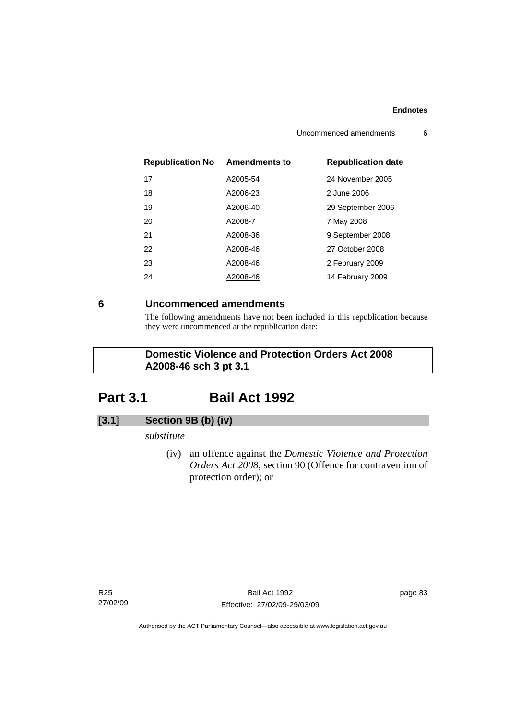| <b>Republication No</b> | <b>Amendments to</b> | <b>Republication date</b> |
|-------------------------|----------------------|---------------------------|
| 17                      | A2005-54             | 24 November 2005          |
| 18                      | A2006-23             | 2 June 2006               |
| 19                      | A2006-40             | 29 September 2006         |
| 20                      | A2008-7              | 7 May 2008                |
| 21                      | A2008-36             | 9 September 2008          |
| 22                      | A2008-46             | 27 October 2008           |
| 23                      | A2008-46             | 2 February 2009           |
| 24                      | A2008-46             | 14 February 2009          |

# **6 Uncommenced amendments**

The following amendments have not been included in this republication because they were uncommenced at the republication date:

# **Domestic Violence and Protection Orders Act 2008 A2008-46 sch 3 pt 3.1**

# **Part 3.1 Bail Act 1992**

# **[3.1] Section 9B (b) (iv)**

# *substitute*

 (iv) an offence against the *Domestic Violence and Protection Orders Act 2008*, section 90 (Offence for contravention of protection order); or

R25 27/02/09 page 83